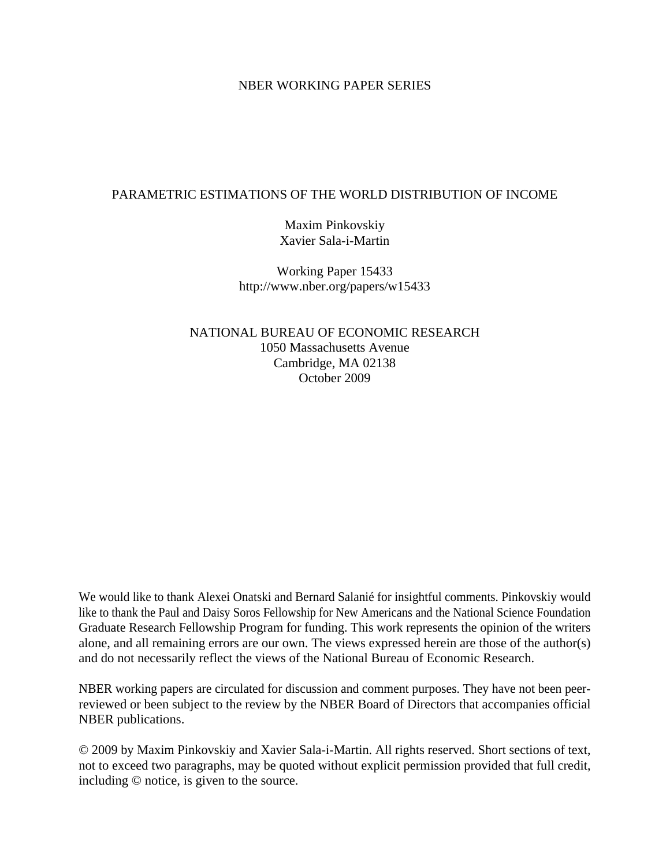#### NBER WORKING PAPER SERIES

#### PARAMETRIC ESTIMATIONS OF THE WORLD DISTRIBUTION OF INCOME

Maxim Pinkovskiy Xavier Sala-i-Martin

Working Paper 15433 http://www.nber.org/papers/w15433

NATIONAL BUREAU OF ECONOMIC RESEARCH 1050 Massachusetts Avenue Cambridge, MA 02138 October 2009

We would like to thank Alexei Onatski and Bernard Salanié for insightful comments. Pinkovskiy would like to thank the Paul and Daisy Soros Fellowship for New Americans and the National Science Foundation Graduate Research Fellowship Program for funding. This work represents the opinion of the writers alone, and all remaining errors are our own. The views expressed herein are those of the author(s) and do not necessarily reflect the views of the National Bureau of Economic Research.

NBER working papers are circulated for discussion and comment purposes. They have not been peerreviewed or been subject to the review by the NBER Board of Directors that accompanies official NBER publications.

© 2009 by Maxim Pinkovskiy and Xavier Sala-i-Martin. All rights reserved. Short sections of text, not to exceed two paragraphs, may be quoted without explicit permission provided that full credit, including © notice, is given to the source.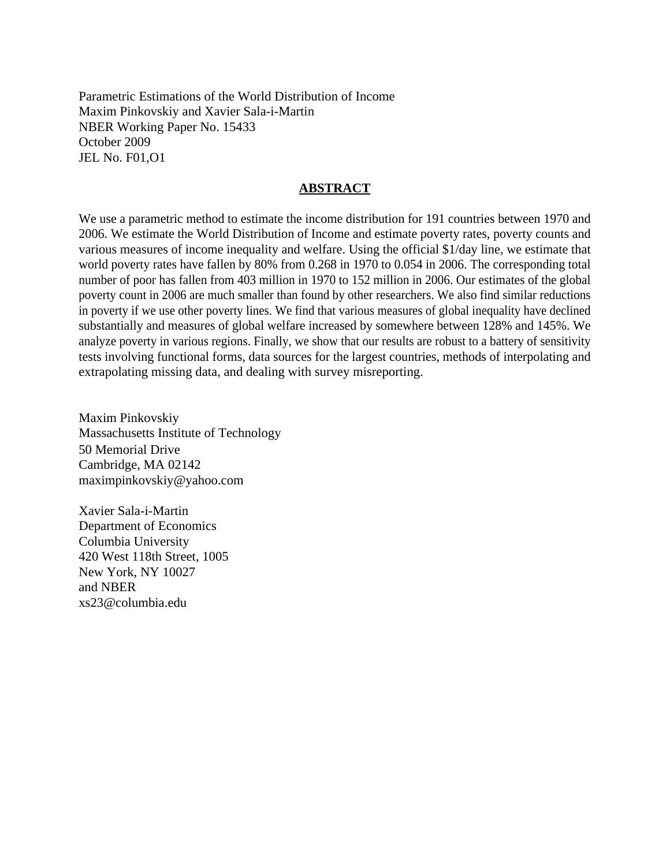Parametric Estimations of the World Distribution of Income Maxim Pinkovskiy and Xavier Sala-i-Martin NBER Working Paper No. 15433 October 2009 JEL No. F01,O1

#### **ABSTRACT**

We use a parametric method to estimate the income distribution for 191 countries between 1970 and 2006. We estimate the World Distribution of Income and estimate poverty rates, poverty counts and various measures of income inequality and welfare. Using the official \$1/day line, we estimate that world poverty rates have fallen by 80% from 0.268 in 1970 to 0.054 in 2006. The corresponding total number of poor has fallen from 403 million in 1970 to 152 million in 2006. Our estimates of the global poverty count in 2006 are much smaller than found by other researchers. We also find similar reductions in poverty if we use other poverty lines. We find that various measures of global inequality have declined substantially and measures of global welfare increased by somewhere between 128% and 145%. We analyze poverty in various regions. Finally, we show that our results are robust to a battery of sensitivity tests involving functional forms, data sources for the largest countries, methods of interpolating and extrapolating missing data, and dealing with survey misreporting.

Maxim Pinkovskiy Massachusetts Institute of Technology 50 Memorial Drive Cambridge, MA 02142 maximpinkovskiy@yahoo.com

Xavier Sala-i-Martin Department of Economics Columbia University 420 West 118th Street, 1005 New York, NY 10027 and NBER xs23@columbia.edu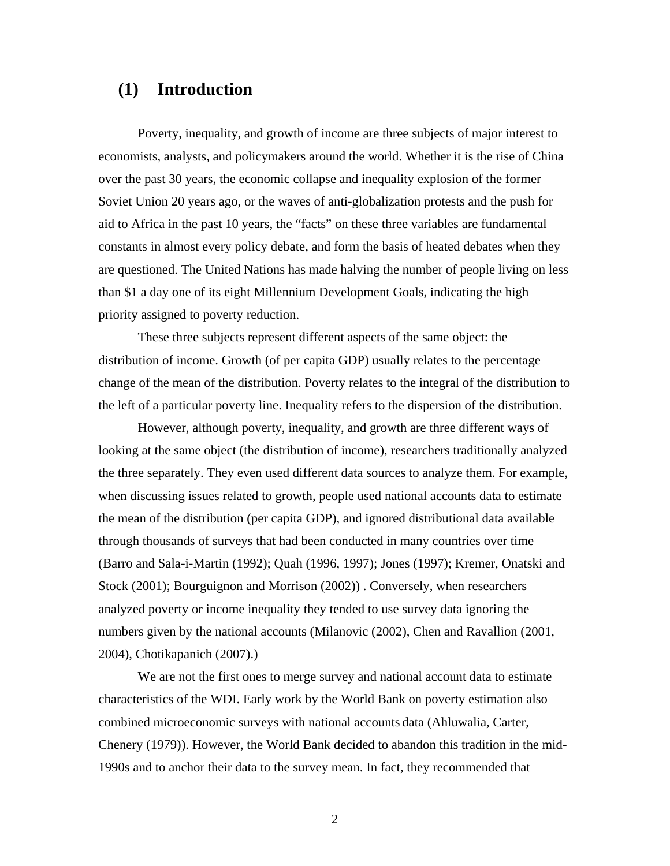# **(1) Introduction**

Poverty, inequality, and growth of income are three subjects of major interest to economists, analysts, and policymakers around the world. Whether it is the rise of China over the past 30 years, the economic collapse and inequality explosion of the former Soviet Union 20 years ago, or the waves of anti-globalization protests and the push for aid to Africa in the past 10 years, the "facts" on these three variables are fundamental constants in almost every policy debate, and form the basis of heated debates when they are questioned. The United Nations has made halving the number of people living on less than \$1 a day one of its eight Millennium Development Goals, indicating the high priority assigned to poverty reduction.

These three subjects represent different aspects of the same object: the distribution of income. Growth (of per capita GDP) usually relates to the percentage change of the mean of the distribution. Poverty relates to the integral of the distribution to the left of a particular poverty line. Inequality refers to the dispersion of the distribution.

However, although poverty, inequality, and growth are three different ways of looking at the same object (the distribution of income), researchers traditionally analyzed the three separately. They even used different data sources to analyze them. For example, when discussing issues related to growth, people used national accounts data to estimate the mean of the distribution (per capita GDP), and ignored distributional data available through thousands of surveys that had been conducted in many countries over time (Barro and Sala-i-Martin (1992); Quah (1996, 1997); Jones (1997); Kremer, Onatski and Stock (2001); Bourguignon and Morrison (2002)) . Conversely, when researchers analyzed poverty or income inequality they tended to use survey data ignoring the numbers given by the national accounts (Milanovic (2002), Chen and Ravallion (2001, 2004), Chotikapanich (2007).)

We are not the first ones to merge survey and national account data to estimate characteristics of the WDI. Early work by the World Bank on poverty estimation also combined microeconomic surveys with national accounts data (Ahluwalia, Carter, Chenery (1979)). However, the World Bank decided to abandon this tradition in the mid-1990s and to anchor their data to the survey mean. In fact, they recommended that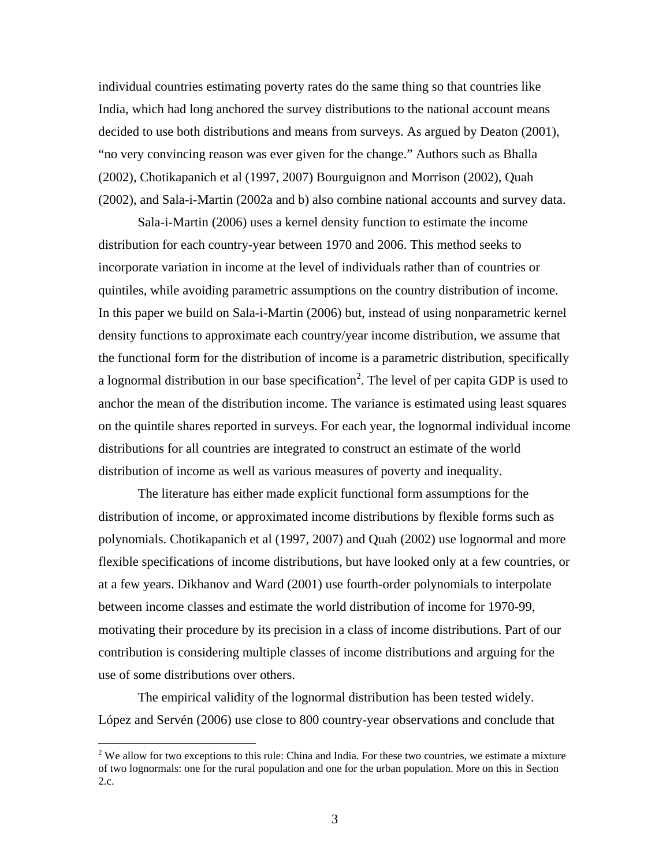individual countries estimating poverty rates do the same thing so that countries like India, which had long anchored the survey distributions to the national account means decided to use both distributions and means from surveys. As argued by Deaton (2001), "no very convincing reason was ever given for the change." Authors such as Bhalla (2002), Chotikapanich et al (1997, 2007) Bourguignon and Morrison (2002), Quah (2002), and Sala-i-Martin (2002a and b) also combine national accounts and survey data.

Sala-i-Martin (2006) uses a kernel density function to estimate the income distribution for each country-year between 1970 and 2006. This method seeks to incorporate variation in income at the level of individuals rather than of countries or quintiles, while avoiding parametric assumptions on the country distribution of income. In this paper we build on Sala-i-Martin (2006) but, instead of using nonparametric kernel density functions to approximate each country/year income distribution, we assume that the functional form for the distribution of income is a parametric distribution, specifically a lognormal distribution in our base specification<sup>2</sup>. The level of per capita GDP is used to anchor the mean of the distribution income. The variance is estimated using least squares on the quintile shares reported in surveys. For each year, the lognormal individual income distributions for all countries are integrated to construct an estimate of the world distribution of income as well as various measures of poverty and inequality.

The literature has either made explicit functional form assumptions for the distribution of income, or approximated income distributions by flexible forms such as polynomials. Chotikapanich et al (1997, 2007) and Quah (2002) use lognormal and more flexible specifications of income distributions, but have looked only at a few countries, or at a few years. Dikhanov and Ward (2001) use fourth-order polynomials to interpolate between income classes and estimate the world distribution of income for 1970-99, motivating their procedure by its precision in a class of income distributions. Part of our contribution is considering multiple classes of income distributions and arguing for the use of some distributions over others.

The empirical validity of the lognormal distribution has been tested widely. López and Servén (2006) use close to 800 country-year observations and conclude that

 $2$  We allow for two exceptions to this rule: China and India. For these two countries, we estimate a mixture of two lognormals: one for the rural population and one for the urban population. More on this in Section 2.c.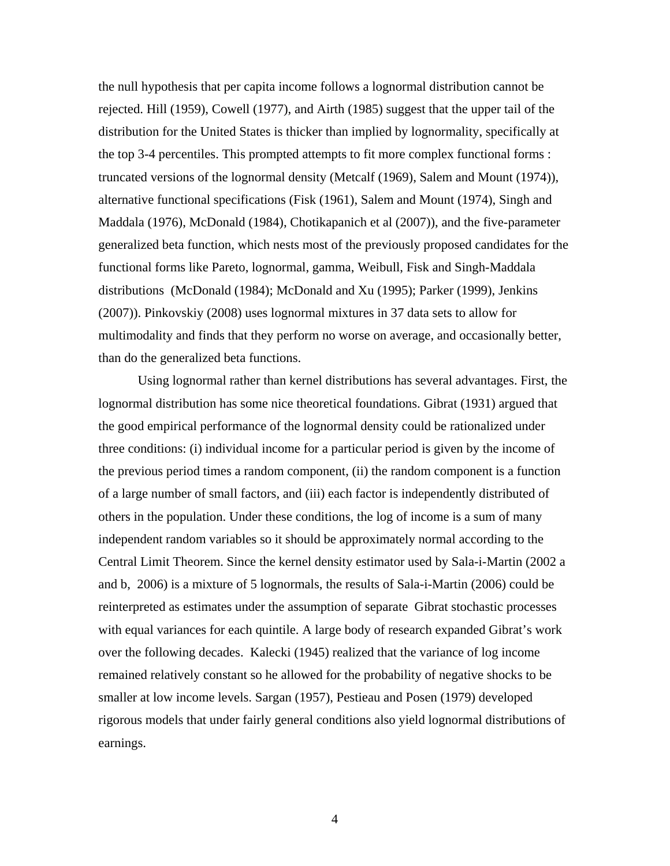the null hypothesis that per capita income follows a lognormal distribution cannot be rejected. Hill (1959), Cowell (1977), and Airth (1985) suggest that the upper tail of the distribution for the United States is thicker than implied by lognormality, specifically at the top 3-4 percentiles. This prompted attempts to fit more complex functional forms : truncated versions of the lognormal density (Metcalf (1969), Salem and Mount (1974)), alternative functional specifications (Fisk (1961), Salem and Mount (1974), Singh and Maddala (1976), McDonald (1984), Chotikapanich et al (2007)), and the five-parameter generalized beta function, which nests most of the previously proposed candidates for the functional forms like Pareto, lognormal, gamma, Weibull, Fisk and Singh-Maddala distributions (McDonald (1984); McDonald and Xu (1995); Parker (1999), Jenkins (2007)). Pinkovskiy (2008) uses lognormal mixtures in 37 data sets to allow for multimodality and finds that they perform no worse on average, and occasionally better, than do the generalized beta functions.

Using lognormal rather than kernel distributions has several advantages. First, the lognormal distribution has some nice theoretical foundations. Gibrat (1931) argued that the good empirical performance of the lognormal density could be rationalized under three conditions: (i) individual income for a particular period is given by the income of the previous period times a random component, (ii) the random component is a function of a large number of small factors, and (iii) each factor is independently distributed of others in the population. Under these conditions, the log of income is a sum of many independent random variables so it should be approximately normal according to the Central Limit Theorem. Since the kernel density estimator used by Sala-i-Martin (2002 a and b, 2006) is a mixture of 5 lognormals, the results of Sala-i-Martin (2006) could be reinterpreted as estimates under the assumption of separate Gibrat stochastic processes with equal variances for each quintile. A large body of research expanded Gibrat's work over the following decades. Kalecki (1945) realized that the variance of log income remained relatively constant so he allowed for the probability of negative shocks to be smaller at low income levels. Sargan (1957), Pestieau and Posen (1979) developed rigorous models that under fairly general conditions also yield lognormal distributions of earnings.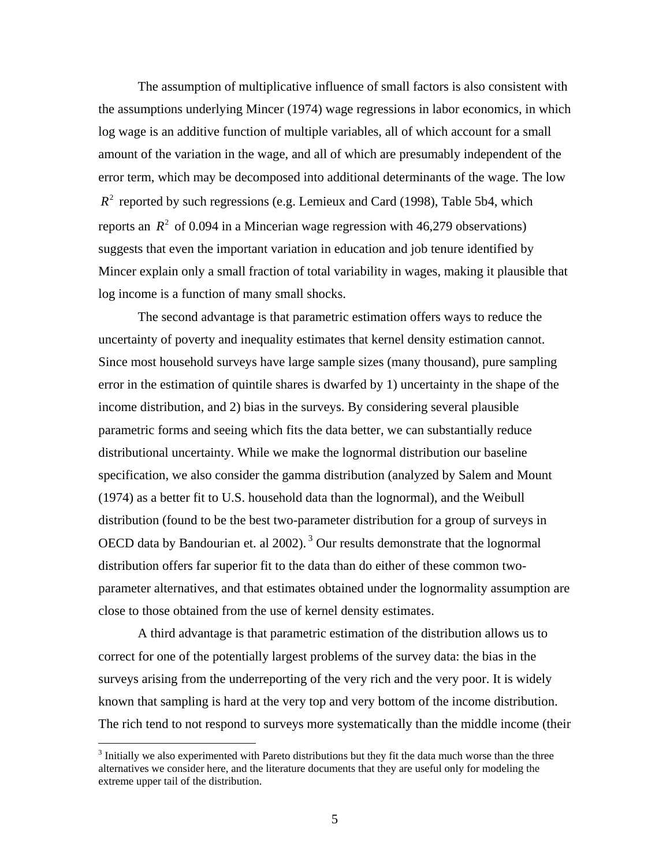The assumption of multiplicative influence of small factors is also consistent with the assumptions underlying Mincer (1974) wage regressions in labor economics, in which log wage is an additive function of multiple variables, all of which account for a small amount of the variation in the wage, and all of which are presumably independent of the error term, which may be decomposed into additional determinants of the wage. The low  $R<sup>2</sup>$  reported by such regressions (e.g. Lemieux and Card (1998), Table 5b4, which reports an  $R^2$  of 0.094 in a Mincerian wage regression with 46,279 observations) suggests that even the important variation in education and job tenure identified by Mincer explain only a small fraction of total variability in wages, making it plausible that log income is a function of many small shocks.

The second advantage is that parametric estimation offers ways to reduce the uncertainty of poverty and inequality estimates that kernel density estimation cannot. Since most household surveys have large sample sizes (many thousand), pure sampling error in the estimation of quintile shares is dwarfed by 1) uncertainty in the shape of the income distribution, and 2) bias in the surveys. By considering several plausible parametric forms and seeing which fits the data better, we can substantially reduce distributional uncertainty. While we make the lognormal distribution our baseline specification, we also consider the gamma distribution (analyzed by Salem and Mount (1974) as a better fit to U.S. household data than the lognormal), and the Weibull distribution (found to be the best two-parameter distribution for a group of surveys in OECD data by Bandourian et. al  $2002$ ).<sup>3</sup> Our results demonstrate that the lognormal distribution offers far superior fit to the data than do either of these common twoparameter alternatives, and that estimates obtained under the lognormality assumption are close to those obtained from the use of kernel density estimates.

A third advantage is that parametric estimation of the distribution allows us to correct for one of the potentially largest problems of the survey data: the bias in the surveys arising from the underreporting of the very rich and the very poor. It is widely known that sampling is hard at the very top and very bottom of the income distribution. The rich tend to not respond to surveys more systematically than the middle income (their

 $3$  Initially we also experimented with Pareto distributions but they fit the data much worse than the three alternatives we consider here, and the literature documents that they are useful only for modeling the extreme upper tail of the distribution.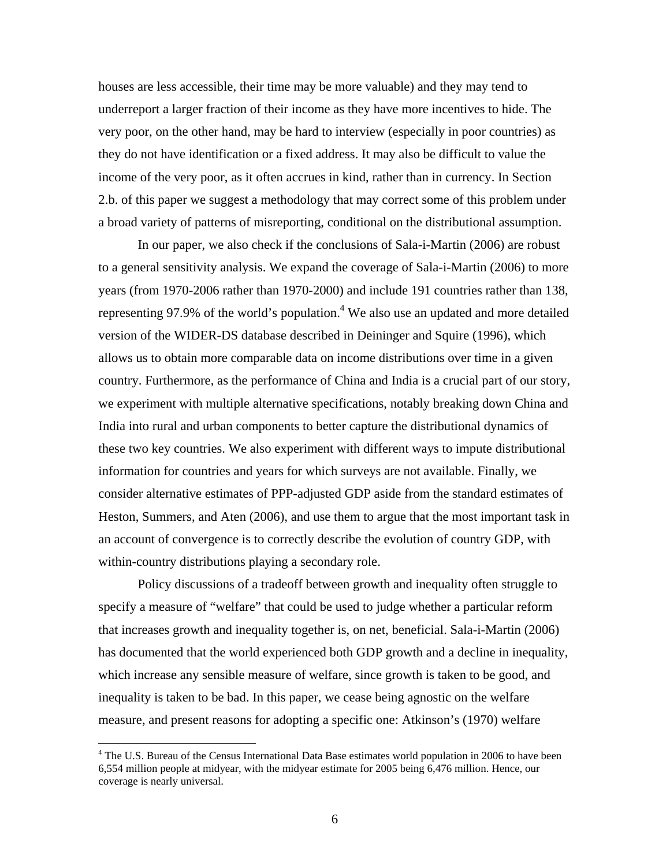houses are less accessible, their time may be more valuable) and they may tend to underreport a larger fraction of their income as they have more incentives to hide. The very poor, on the other hand, may be hard to interview (especially in poor countries) as they do not have identification or a fixed address. It may also be difficult to value the income of the very poor, as it often accrues in kind, rather than in currency. In Section 2.b. of this paper we suggest a methodology that may correct some of this problem under a broad variety of patterns of misreporting, conditional on the distributional assumption.

In our paper, we also check if the conclusions of Sala-i-Martin (2006) are robust to a general sensitivity analysis. We expand the coverage of Sala-i-Martin (2006) to more years (from 1970-2006 rather than 1970-2000) and include 191 countries rather than 138, representing 97.9% of the world's population.<sup>4</sup> We also use an updated and more detailed version of the WIDER-DS database described in Deininger and Squire (1996), which allows us to obtain more comparable data on income distributions over time in a given country. Furthermore, as the performance of China and India is a crucial part of our story, we experiment with multiple alternative specifications, notably breaking down China and India into rural and urban components to better capture the distributional dynamics of these two key countries. We also experiment with different ways to impute distributional information for countries and years for which surveys are not available. Finally, we consider alternative estimates of PPP-adjusted GDP aside from the standard estimates of Heston, Summers, and Aten (2006), and use them to argue that the most important task in an account of convergence is to correctly describe the evolution of country GDP, with within-country distributions playing a secondary role.

Policy discussions of a tradeoff between growth and inequality often struggle to specify a measure of "welfare" that could be used to judge whether a particular reform that increases growth and inequality together is, on net, beneficial. Sala-i-Martin (2006) has documented that the world experienced both GDP growth and a decline in inequality, which increase any sensible measure of welfare, since growth is taken to be good, and inequality is taken to be bad. In this paper, we cease being agnostic on the welfare measure, and present reasons for adopting a specific one: Atkinson's (1970) welfare

<sup>&</sup>lt;sup>4</sup> The U.S. Bureau of the Census International Data Base estimates world population in 2006 to have been 6,554 million people at midyear, with the midyear estimate for 2005 being 6,476 million. Hence, our coverage is nearly universal.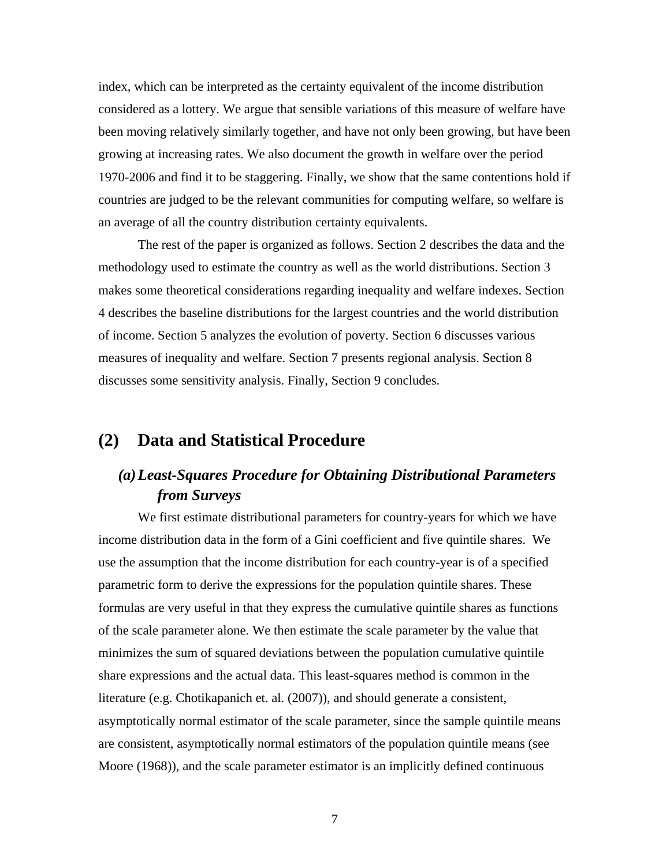index, which can be interpreted as the certainty equivalent of the income distribution considered as a lottery. We argue that sensible variations of this measure of welfare have been moving relatively similarly together, and have not only been growing, but have been growing at increasing rates. We also document the growth in welfare over the period 1970-2006 and find it to be staggering. Finally, we show that the same contentions hold if countries are judged to be the relevant communities for computing welfare, so welfare is an average of all the country distribution certainty equivalents.

The rest of the paper is organized as follows. Section 2 describes the data and the methodology used to estimate the country as well as the world distributions. Section 3 makes some theoretical considerations regarding inequality and welfare indexes. Section 4 describes the baseline distributions for the largest countries and the world distribution of income. Section 5 analyzes the evolution of poverty. Section 6 discusses various measures of inequality and welfare. Section 7 presents regional analysis. Section 8 discusses some sensitivity analysis. Finally, Section 9 concludes.

## **(2) Data and Statistical Procedure**

# *(a)Least-Squares Procedure for Obtaining Distributional Parameters from Surveys*

 We first estimate distributional parameters for country-years for which we have income distribution data in the form of a Gini coefficient and five quintile shares. We use the assumption that the income distribution for each country-year is of a specified parametric form to derive the expressions for the population quintile shares. These formulas are very useful in that they express the cumulative quintile shares as functions of the scale parameter alone. We then estimate the scale parameter by the value that minimizes the sum of squared deviations between the population cumulative quintile share expressions and the actual data. This least-squares method is common in the literature (e.g. Chotikapanich et. al. (2007)), and should generate a consistent, asymptotically normal estimator of the scale parameter, since the sample quintile means are consistent, asymptotically normal estimators of the population quintile means (see Moore (1968)), and the scale parameter estimator is an implicitly defined continuous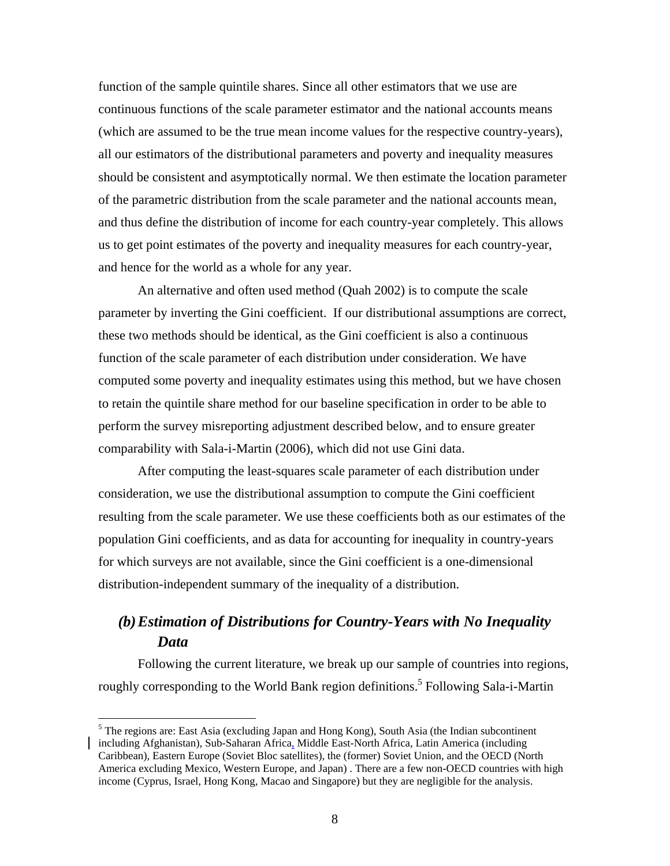function of the sample quintile shares. Since all other estimators that we use are continuous functions of the scale parameter estimator and the national accounts means (which are assumed to be the true mean income values for the respective country-years), all our estimators of the distributional parameters and poverty and inequality measures should be consistent and asymptotically normal. We then estimate the location parameter of the parametric distribution from the scale parameter and the national accounts mean, and thus define the distribution of income for each country-year completely. This allows us to get point estimates of the poverty and inequality measures for each country-year, and hence for the world as a whole for any year.

 An alternative and often used method (Quah 2002) is to compute the scale parameter by inverting the Gini coefficient. If our distributional assumptions are correct, these two methods should be identical, as the Gini coefficient is also a continuous function of the scale parameter of each distribution under consideration. We have computed some poverty and inequality estimates using this method, but we have chosen to retain the quintile share method for our baseline specification in order to be able to perform the survey misreporting adjustment described below, and to ensure greater comparability with Sala-i-Martin (2006), which did not use Gini data.

 After computing the least-squares scale parameter of each distribution under consideration, we use the distributional assumption to compute the Gini coefficient resulting from the scale parameter. We use these coefficients both as our estimates of the population Gini coefficients, and as data for accounting for inequality in country-years for which surveys are not available, since the Gini coefficient is a one-dimensional distribution-independent summary of the inequality of a distribution.

# *(b)Estimation of Distributions for Country-Years with No Inequality Data*

Following the current literature, we break up our sample of countries into regions, roughly corresponding to the World Bank region definitions.<sup>5</sup> Following Sala-i-Martin

<sup>&</sup>lt;sup>5</sup> The regions are: East Asia (excluding Japan and Hong Kong), South Asia (the Indian subcontinent including Afghanistan), Sub-Saharan Africa, Middle East-North Africa, Latin America (including Caribbean), Eastern Europe (Soviet Bloc satellites), the (former) Soviet Union, and the OECD (North America excluding Mexico, Western Europe, and Japan) . There are a few non-OECD countries with high income (Cyprus, Israel, Hong Kong, Macao and Singapore) but they are negligible for the analysis.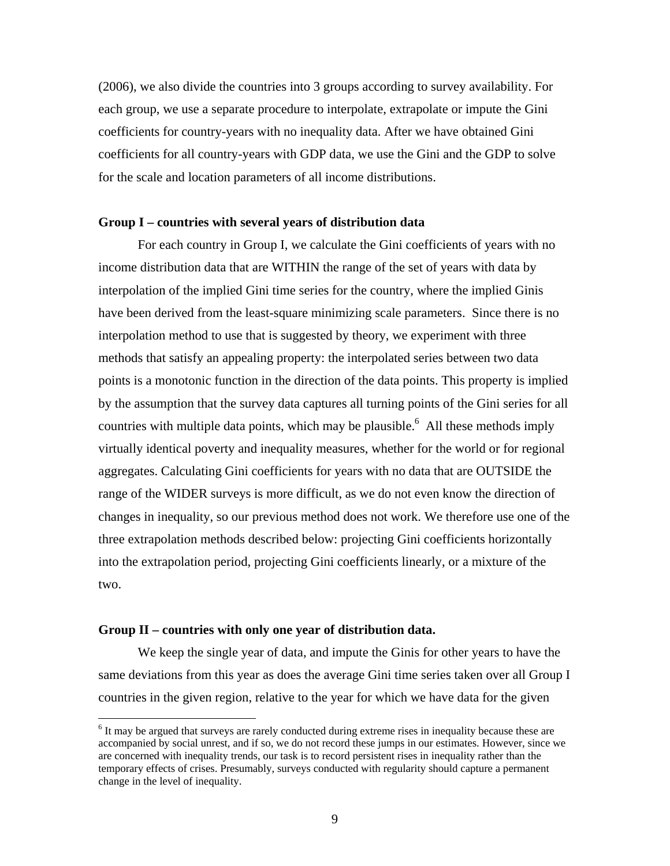(2006), we also divide the countries into 3 groups according to survey availability. For each group, we use a separate procedure to interpolate, extrapolate or impute the Gini coefficients for country-years with no inequality data. After we have obtained Gini coefficients for all country-years with GDP data, we use the Gini and the GDP to solve for the scale and location parameters of all income distributions.

#### **Group I – countries with several years of distribution data**

For each country in Group I, we calculate the Gini coefficients of years with no income distribution data that are WITHIN the range of the set of years with data by interpolation of the implied Gini time series for the country, where the implied Ginis have been derived from the least-square minimizing scale parameters. Since there is no interpolation method to use that is suggested by theory, we experiment with three methods that satisfy an appealing property: the interpolated series between two data points is a monotonic function in the direction of the data points. This property is implied by the assumption that the survey data captures all turning points of the Gini series for all countries with multiple data points, which may be plausible.<sup>6</sup> All these methods imply virtually identical poverty and inequality measures, whether for the world or for regional aggregates. Calculating Gini coefficients for years with no data that are OUTSIDE the range of the WIDER surveys is more difficult, as we do not even know the direction of changes in inequality, so our previous method does not work. We therefore use one of the three extrapolation methods described below: projecting Gini coefficients horizontally into the extrapolation period, projecting Gini coefficients linearly, or a mixture of the two.

#### **Group II – countries with only one year of distribution data.**

 $\overline{a}$ 

We keep the single year of data, and impute the Ginis for other years to have the same deviations from this year as does the average Gini time series taken over all Group I countries in the given region, relative to the year for which we have data for the given

<sup>&</sup>lt;sup>6</sup> It may be argued that surveys are rarely conducted during extreme rises in inequality because these are accompanied by social unrest, and if so, we do not record these jumps in our estimates. However, since we are concerned with inequality trends, our task is to record persistent rises in inequality rather than the temporary effects of crises. Presumably, surveys conducted with regularity should capture a permanent change in the level of inequality.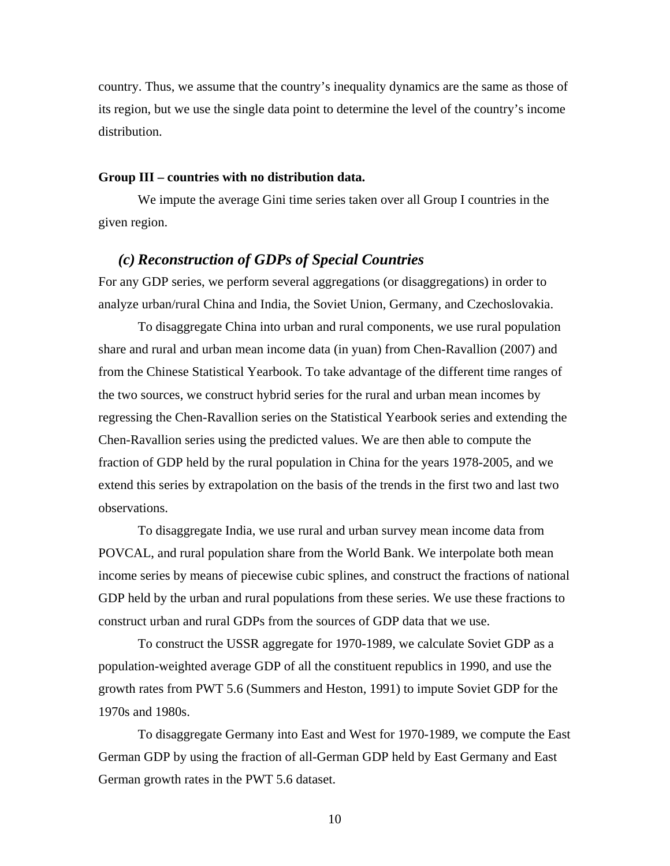country. Thus, we assume that the country's inequality dynamics are the same as those of its region, but we use the single data point to determine the level of the country's income distribution.

#### **Group III – countries with no distribution data.**

We impute the average Gini time series taken over all Group I countries in the given region.

#### *(c) Reconstruction of GDPs of Special Countries*

For any GDP series, we perform several aggregations (or disaggregations) in order to analyze urban/rural China and India, the Soviet Union, Germany, and Czechoslovakia.

 To disaggregate China into urban and rural components, we use rural population share and rural and urban mean income data (in yuan) from Chen-Ravallion (2007) and from the Chinese Statistical Yearbook. To take advantage of the different time ranges of the two sources, we construct hybrid series for the rural and urban mean incomes by regressing the Chen-Ravallion series on the Statistical Yearbook series and extending the Chen-Ravallion series using the predicted values. We are then able to compute the fraction of GDP held by the rural population in China for the years 1978-2005, and we extend this series by extrapolation on the basis of the trends in the first two and last two observations.

 To disaggregate India, we use rural and urban survey mean income data from POVCAL, and rural population share from the World Bank. We interpolate both mean income series by means of piecewise cubic splines, and construct the fractions of national GDP held by the urban and rural populations from these series. We use these fractions to construct urban and rural GDPs from the sources of GDP data that we use.

 To construct the USSR aggregate for 1970-1989, we calculate Soviet GDP as a population-weighted average GDP of all the constituent republics in 1990, and use the growth rates from PWT 5.6 (Summers and Heston, 1991) to impute Soviet GDP for the 1970s and 1980s.

 To disaggregate Germany into East and West for 1970-1989, we compute the East German GDP by using the fraction of all-German GDP held by East Germany and East German growth rates in the PWT 5.6 dataset.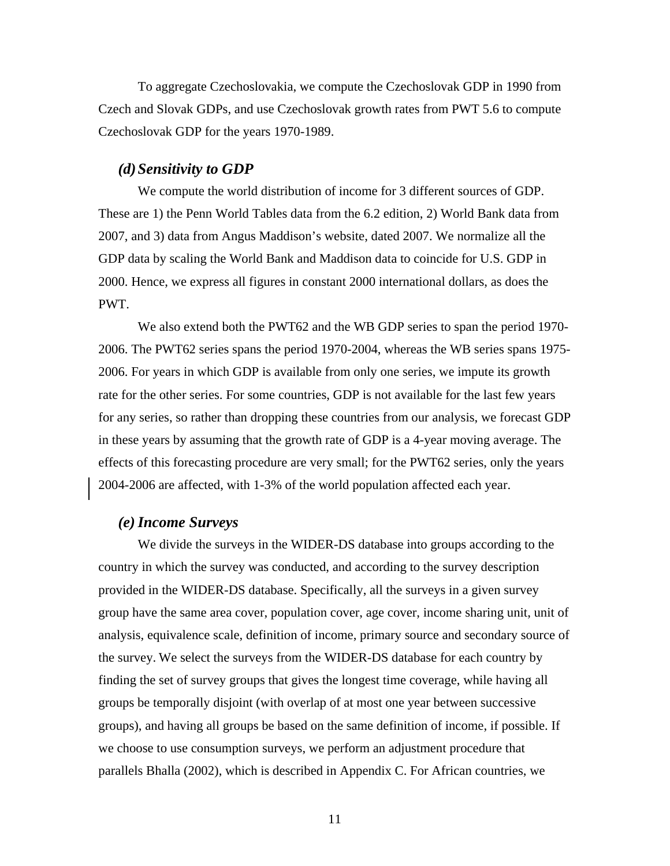To aggregate Czechoslovakia, we compute the Czechoslovak GDP in 1990 from Czech and Slovak GDPs, and use Czechoslovak growth rates from PWT 5.6 to compute Czechoslovak GDP for the years 1970-1989.

#### *(d)Sensitivity to GDP*

 We compute the world distribution of income for 3 different sources of GDP. These are 1) the Penn World Tables data from the 6.2 edition, 2) World Bank data from 2007, and 3) data from Angus Maddison's website, dated 2007. We normalize all the GDP data by scaling the World Bank and Maddison data to coincide for U.S. GDP in 2000. Hence, we express all figures in constant 2000 international dollars, as does the PWT.

 We also extend both the PWT62 and the WB GDP series to span the period 1970- 2006. The PWT62 series spans the period 1970-2004, whereas the WB series spans 1975- 2006. For years in which GDP is available from only one series, we impute its growth rate for the other series. For some countries, GDP is not available for the last few years for any series, so rather than dropping these countries from our analysis, we forecast GDP in these years by assuming that the growth rate of GDP is a 4-year moving average. The effects of this forecasting procedure are very small; for the PWT62 series, only the years 2004-2006 are affected, with 1-3% of the world population affected each year.

#### *(e)Income Surveys*

 We divide the surveys in the WIDER-DS database into groups according to the country in which the survey was conducted, and according to the survey description provided in the WIDER-DS database. Specifically, all the surveys in a given survey group have the same area cover, population cover, age cover, income sharing unit, unit of analysis, equivalence scale, definition of income, primary source and secondary source of the survey. We select the surveys from the WIDER-DS database for each country by finding the set of survey groups that gives the longest time coverage, while having all groups be temporally disjoint (with overlap of at most one year between successive groups), and having all groups be based on the same definition of income, if possible. If we choose to use consumption surveys, we perform an adjustment procedure that parallels Bhalla (2002), which is described in Appendix C. For African countries, we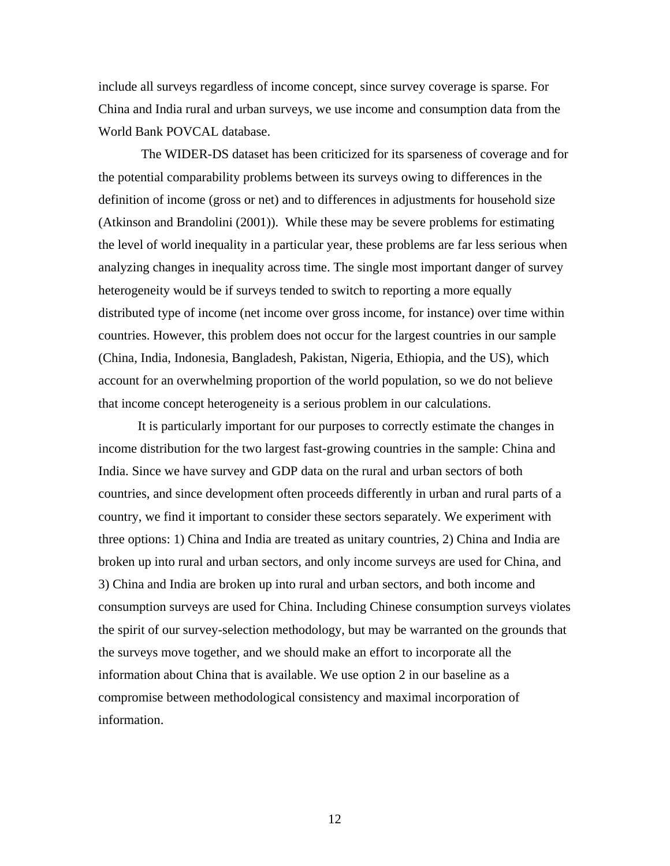include all surveys regardless of income concept, since survey coverage is sparse. For China and India rural and urban surveys, we use income and consumption data from the World Bank POVCAL database.

 The WIDER-DS dataset has been criticized for its sparseness of coverage and for the potential comparability problems between its surveys owing to differences in the definition of income (gross or net) and to differences in adjustments for household size (Atkinson and Brandolini (2001)). While these may be severe problems for estimating the level of world inequality in a particular year, these problems are far less serious when analyzing changes in inequality across time. The single most important danger of survey heterogeneity would be if surveys tended to switch to reporting a more equally distributed type of income (net income over gross income, for instance) over time within countries. However, this problem does not occur for the largest countries in our sample (China, India, Indonesia, Bangladesh, Pakistan, Nigeria, Ethiopia, and the US), which account for an overwhelming proportion of the world population, so we do not believe that income concept heterogeneity is a serious problem in our calculations.

It is particularly important for our purposes to correctly estimate the changes in income distribution for the two largest fast-growing countries in the sample: China and India. Since we have survey and GDP data on the rural and urban sectors of both countries, and since development often proceeds differently in urban and rural parts of a country, we find it important to consider these sectors separately. We experiment with three options: 1) China and India are treated as unitary countries, 2) China and India are broken up into rural and urban sectors, and only income surveys are used for China, and 3) China and India are broken up into rural and urban sectors, and both income and consumption surveys are used for China. Including Chinese consumption surveys violates the spirit of our survey-selection methodology, but may be warranted on the grounds that the surveys move together, and we should make an effort to incorporate all the information about China that is available. We use option 2 in our baseline as a compromise between methodological consistency and maximal incorporation of information.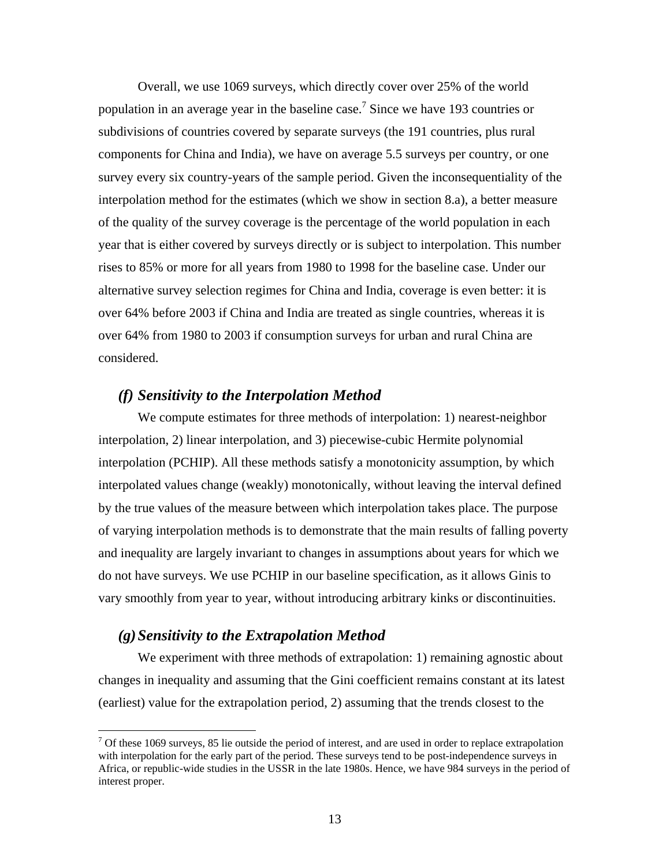Overall, we use 1069 surveys, which directly cover over 25% of the world population in an average year in the baseline case.<sup>7</sup> Since we have 193 countries or subdivisions of countries covered by separate surveys (the 191 countries, plus rural components for China and India), we have on average 5.5 surveys per country, or one survey every six country-years of the sample period. Given the inconsequentiality of the interpolation method for the estimates (which we show in section 8.a), a better measure of the quality of the survey coverage is the percentage of the world population in each year that is either covered by surveys directly or is subject to interpolation. This number rises to 85% or more for all years from 1980 to 1998 for the baseline case. Under our alternative survey selection regimes for China and India, coverage is even better: it is over 64% before 2003 if China and India are treated as single countries, whereas it is over 64% from 1980 to 2003 if consumption surveys for urban and rural China are considered.

#### *(f) Sensitivity to the Interpolation Method*

We compute estimates for three methods of interpolation: 1) nearest-neighbor interpolation, 2) linear interpolation, and 3) piecewise-cubic Hermite polynomial interpolation (PCHIP). All these methods satisfy a monotonicity assumption, by which interpolated values change (weakly) monotonically, without leaving the interval defined by the true values of the measure between which interpolation takes place. The purpose of varying interpolation methods is to demonstrate that the main results of falling poverty and inequality are largely invariant to changes in assumptions about years for which we do not have surveys. We use PCHIP in our baseline specification, as it allows Ginis to vary smoothly from year to year, without introducing arbitrary kinks or discontinuities.

#### *(g)Sensitivity to the Extrapolation Method*

 $\overline{a}$ 

We experiment with three methods of extrapolation: 1) remaining agnostic about changes in inequality and assuming that the Gini coefficient remains constant at its latest (earliest) value for the extrapolation period, 2) assuming that the trends closest to the

 $<sup>7</sup>$  Of these 1069 surveys, 85 lie outside the period of interest, and are used in order to replace extrapolation</sup> with interpolation for the early part of the period. These surveys tend to be post-independence surveys in Africa, or republic-wide studies in the USSR in the late 1980s. Hence, we have 984 surveys in the period of interest proper.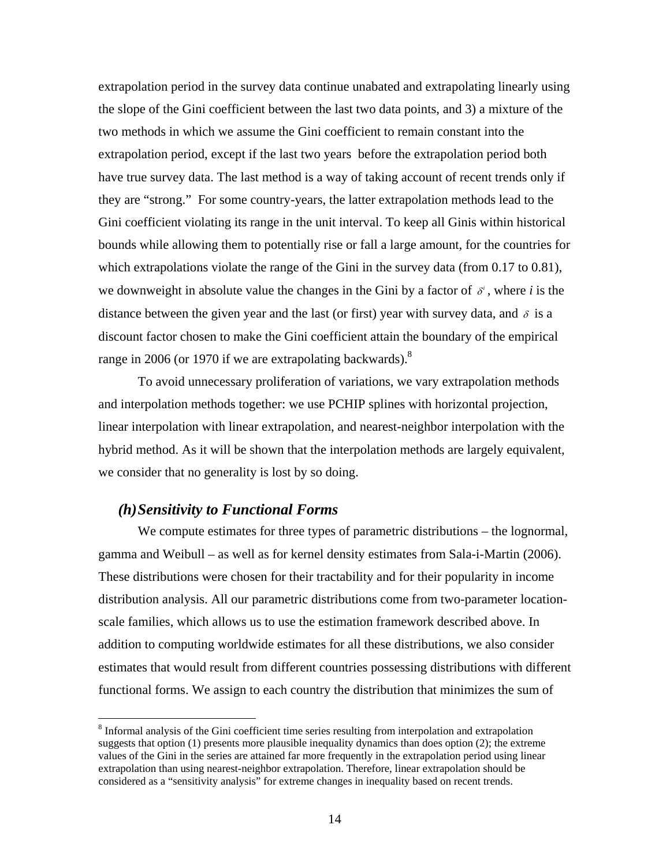extrapolation period in the survey data continue unabated and extrapolating linearly using the slope of the Gini coefficient between the last two data points, and 3) a mixture of the two methods in which we assume the Gini coefficient to remain constant into the extrapolation period, except if the last two years before the extrapolation period both have true survey data. The last method is a way of taking account of recent trends only if they are "strong." For some country-years, the latter extrapolation methods lead to the Gini coefficient violating its range in the unit interval. To keep all Ginis within historical bounds while allowing them to potentially rise or fall a large amount, for the countries for which extrapolations violate the range of the Gini in the survey data (from 0.17 to 0.81), we downweight in absolute value the changes in the Gini by a factor of  $\delta^i$ , where *i* is the distance between the given year and the last (or first) year with survey data, and  $\delta$  is a discount factor chosen to make the Gini coefficient attain the boundary of the empirical range in 2006 (or 1970 if we are extrapolating backwards). $8$ 

To avoid unnecessary proliferation of variations, we vary extrapolation methods and interpolation methods together: we use PCHIP splines with horizontal projection, linear interpolation with linear extrapolation, and nearest-neighbor interpolation with the hybrid method. As it will be shown that the interpolation methods are largely equivalent, we consider that no generality is lost by so doing.

#### *(h)Sensitivity to Functional Forms*

 $\overline{a}$ 

We compute estimates for three types of parametric distributions – the lognormal, gamma and Weibull – as well as for kernel density estimates from Sala-i-Martin (2006). These distributions were chosen for their tractability and for their popularity in income distribution analysis. All our parametric distributions come from two-parameter locationscale families, which allows us to use the estimation framework described above. In addition to computing worldwide estimates for all these distributions, we also consider estimates that would result from different countries possessing distributions with different functional forms. We assign to each country the distribution that minimizes the sum of

<sup>&</sup>lt;sup>8</sup> Informal analysis of the Gini coefficient time series resulting from interpolation and extrapolation suggests that option (1) presents more plausible inequality dynamics than does option (2); the extreme values of the Gini in the series are attained far more frequently in the extrapolation period using linear extrapolation than using nearest-neighbor extrapolation. Therefore, linear extrapolation should be considered as a "sensitivity analysis" for extreme changes in inequality based on recent trends.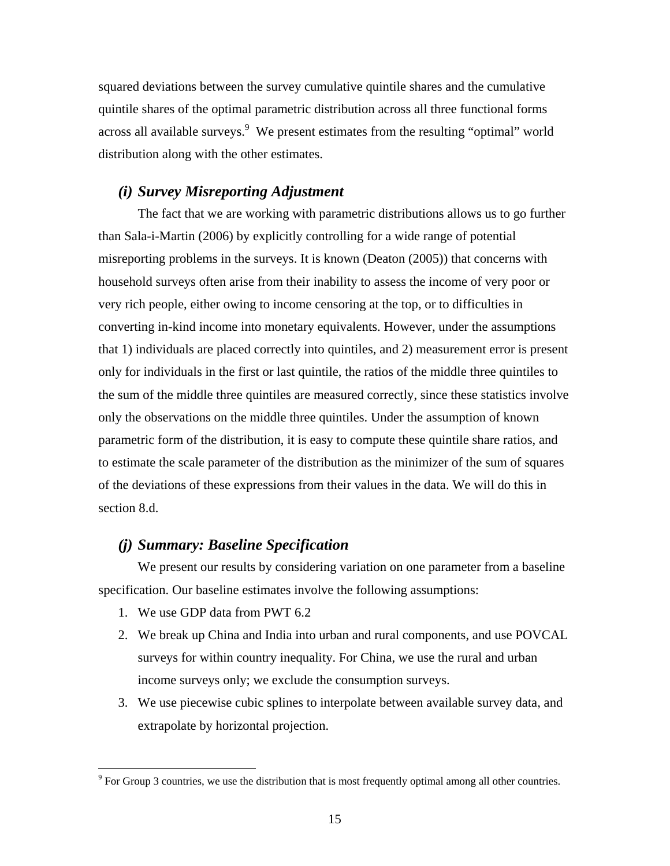squared deviations between the survey cumulative quintile shares and the cumulative quintile shares of the optimal parametric distribution across all three functional forms across all available surveys. $9$  We present estimates from the resulting "optimal" world distribution along with the other estimates.

#### *(i) Survey Misreporting Adjustment*

 The fact that we are working with parametric distributions allows us to go further than Sala-i-Martin (2006) by explicitly controlling for a wide range of potential misreporting problems in the surveys. It is known (Deaton (2005)) that concerns with household surveys often arise from their inability to assess the income of very poor or very rich people, either owing to income censoring at the top, or to difficulties in converting in-kind income into monetary equivalents. However, under the assumptions that 1) individuals are placed correctly into quintiles, and 2) measurement error is present only for individuals in the first or last quintile, the ratios of the middle three quintiles to the sum of the middle three quintiles are measured correctly, since these statistics involve only the observations on the middle three quintiles. Under the assumption of known parametric form of the distribution, it is easy to compute these quintile share ratios, and to estimate the scale parameter of the distribution as the minimizer of the sum of squares of the deviations of these expressions from their values in the data. We will do this in section 8.d.

#### *(j) Summary: Baseline Specification*

We present our results by considering variation on one parameter from a baseline specification. Our baseline estimates involve the following assumptions:

- 1. We use GDP data from PWT 6.2
- 2. We break up China and India into urban and rural components, and use POVCAL surveys for within country inequality. For China, we use the rural and urban income surveys only; we exclude the consumption surveys.
- 3. We use piecewise cubic splines to interpolate between available survey data, and extrapolate by horizontal projection.

<sup>&</sup>lt;sup>9</sup> For Group 3 countries, we use the distribution that is most frequently optimal among all other countries.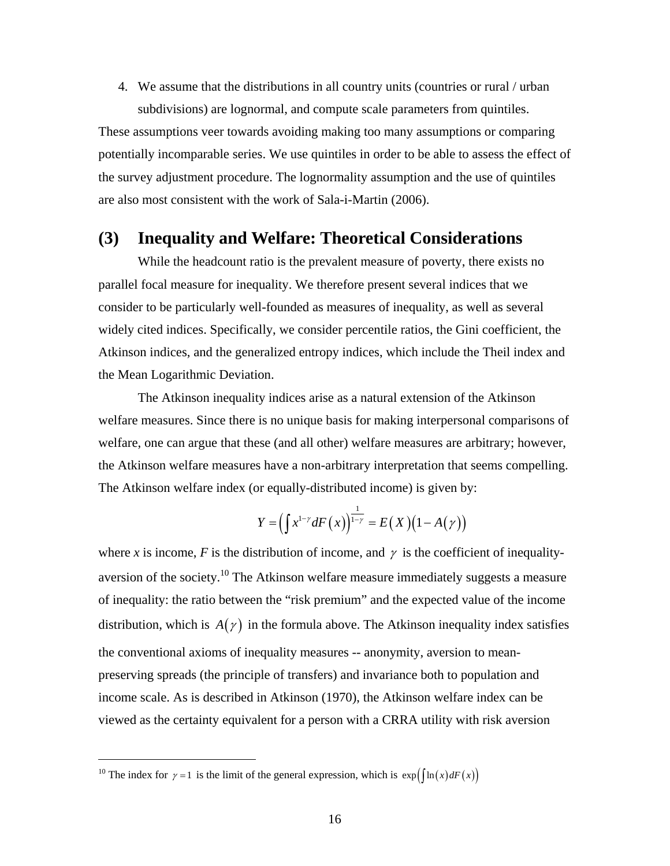4. We assume that the distributions in all country units (countries or rural / urban subdivisions) are lognormal, and compute scale parameters from quintiles.

These assumptions veer towards avoiding making too many assumptions or comparing potentially incomparable series. We use quintiles in order to be able to assess the effect of the survey adjustment procedure. The lognormality assumption and the use of quintiles are also most consistent with the work of Sala-i-Martin (2006).

## **(3) Inequality and Welfare: Theoretical Considerations**

While the headcount ratio is the prevalent measure of poverty, there exists no parallel focal measure for inequality. We therefore present several indices that we consider to be particularly well-founded as measures of inequality, as well as several widely cited indices. Specifically, we consider percentile ratios, the Gini coefficient, the Atkinson indices, and the generalized entropy indices, which include the Theil index and the Mean Logarithmic Deviation.

 The Atkinson inequality indices arise as a natural extension of the Atkinson welfare measures. Since there is no unique basis for making interpersonal comparisons of welfare, one can argue that these (and all other) welfare measures are arbitrary; however, the Atkinson welfare measures have a non-arbitrary interpretation that seems compelling. The Atkinson welfare index (or equally-distributed income) is given by:

$$
Y = \left(\int x^{1-\gamma} dF\left(x\right)\right)^{\frac{1}{1-\gamma}} = E(X)\left(1 - A(\gamma)\right)
$$

where *x* is income, *F* is the distribution of income, and  $\gamma$  is the coefficient of inequalityaversion of the society.<sup>10</sup> The Atkinson welfare measure immediately suggests a measure of inequality: the ratio between the "risk premium" and the expected value of the income distribution, which is  $A(\gamma)$  in the formula above. The Atkinson inequality index satisfies the conventional axioms of inequality measures -- anonymity, aversion to meanpreserving spreads (the principle of transfers) and invariance both to population and income scale. As is described in Atkinson (1970), the Atkinson welfare index can be viewed as the certainty equivalent for a person with a CRRA utility with risk aversion

<sup>&</sup>lt;sup>10</sup> The index for  $\gamma = 1$  is the limit of the general expression, which is  $\exp\left(\frac{\ln(x) dF(x)}{\ln(x)}\right)$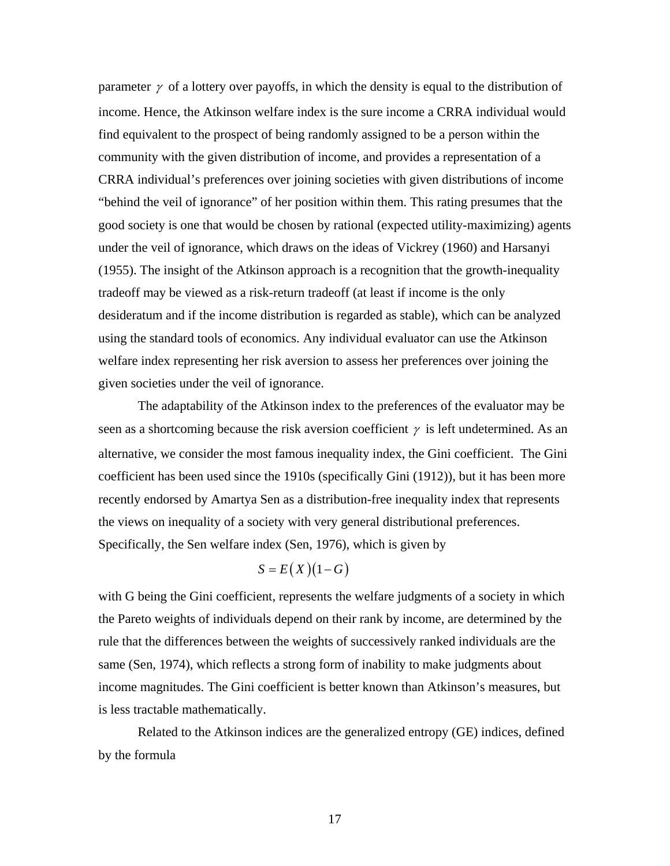parameter  $\gamma$  of a lottery over payoffs, in which the density is equal to the distribution of income. Hence, the Atkinson welfare index is the sure income a CRRA individual would find equivalent to the prospect of being randomly assigned to be a person within the community with the given distribution of income, and provides a representation of a CRRA individual's preferences over joining societies with given distributions of income "behind the veil of ignorance" of her position within them. This rating presumes that the good society is one that would be chosen by rational (expected utility-maximizing) agents under the veil of ignorance, which draws on the ideas of Vickrey (1960) and Harsanyi (1955). The insight of the Atkinson approach is a recognition that the growth-inequality tradeoff may be viewed as a risk-return tradeoff (at least if income is the only desideratum and if the income distribution is regarded as stable), which can be analyzed using the standard tools of economics. Any individual evaluator can use the Atkinson welfare index representing her risk aversion to assess her preferences over joining the given societies under the veil of ignorance.

 The adaptability of the Atkinson index to the preferences of the evaluator may be seen as a shortcoming because the risk aversion coefficient  $\gamma$  is left undetermined. As an alternative, we consider the most famous inequality index, the Gini coefficient. The Gini coefficient has been used since the 1910s (specifically Gini (1912)), but it has been more recently endorsed by Amartya Sen as a distribution-free inequality index that represents the views on inequality of a society with very general distributional preferences. Specifically, the Sen welfare index (Sen, 1976), which is given by

# $S = E(X)(1 - G)$

with G being the Gini coefficient, represents the welfare judgments of a society in which the Pareto weights of individuals depend on their rank by income, are determined by the rule that the differences between the weights of successively ranked individuals are the same (Sen, 1974), which reflects a strong form of inability to make judgments about income magnitudes. The Gini coefficient is better known than Atkinson's measures, but is less tractable mathematically.

 Related to the Atkinson indices are the generalized entropy (GE) indices, defined by the formula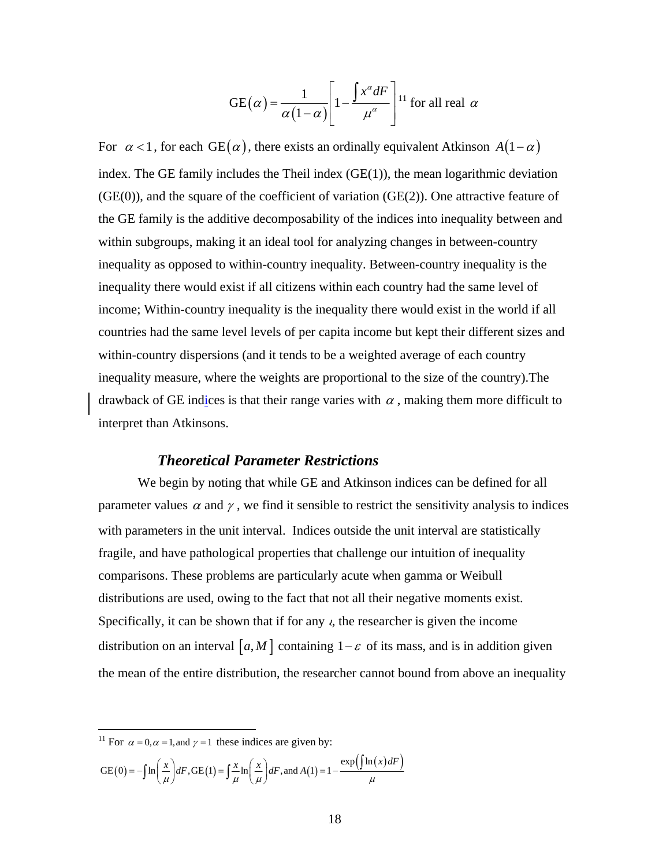$$
GE(\alpha) = \frac{1}{\alpha(1-\alpha)} \left[ 1 - \frac{\int x^{\alpha} dF}{\mu^{\alpha}} \right]^{11}
$$
 for all real  $\alpha$ 

For  $\alpha$  <1, for each GE( $\alpha$ ), there exists an ordinally equivalent Atkinson *A*( $1-\alpha$ ) index. The GE family includes the Theil index  $(GE(1))$ , the mean logarithmic deviation  $(GE(0))$ , and the square of the coefficient of variation  $(GE(2))$ . One attractive feature of the GE family is the additive decomposability of the indices into inequality between and within subgroups, making it an ideal tool for analyzing changes in between-country inequality as opposed to within-country inequality. Between-country inequality is the inequality there would exist if all citizens within each country had the same level of income; Within-country inequality is the inequality there would exist in the world if all countries had the same level levels of per capita income but kept their different sizes and within-country dispersions (and it tends to be a weighted average of each country inequality measure, where the weights are proportional to the size of the country).The drawback of GE indices is that their range varies with  $\alpha$ , making them more difficult to interpret than Atkinsons.

#### *Theoretical Parameter Restrictions*

 We begin by noting that while GE and Atkinson indices can be defined for all parameter values  $\alpha$  and  $\gamma$ , we find it sensible to restrict the sensitivity analysis to indices with parameters in the unit interval. Indices outside the unit interval are statistically fragile, and have pathological properties that challenge our intuition of inequality comparisons. These problems are particularly acute when gamma or Weibull distributions are used, owing to the fact that not all their negative moments exist. Specifically, it can be shown that if for any  $\epsilon$ , the researcher is given the income distribution on an interval  $[a, M]$  containing  $1-\varepsilon$  of its mass, and is in addition given the mean of the entire distribution, the researcher cannot bound from above an inequality

$$
GE(0) = -\int \ln\left(\frac{x}{\mu}\right) dF, GE(1) = \int \frac{x}{\mu} \ln\left(\frac{x}{\mu}\right) dF, and A(1) = 1 - \frac{\exp\left(\int \ln(x) dF\right)}{\mu}
$$

<sup>&</sup>lt;sup>11</sup> For  $\alpha = 0, \alpha = 1$ , and  $\gamma = 1$  these indices are given by: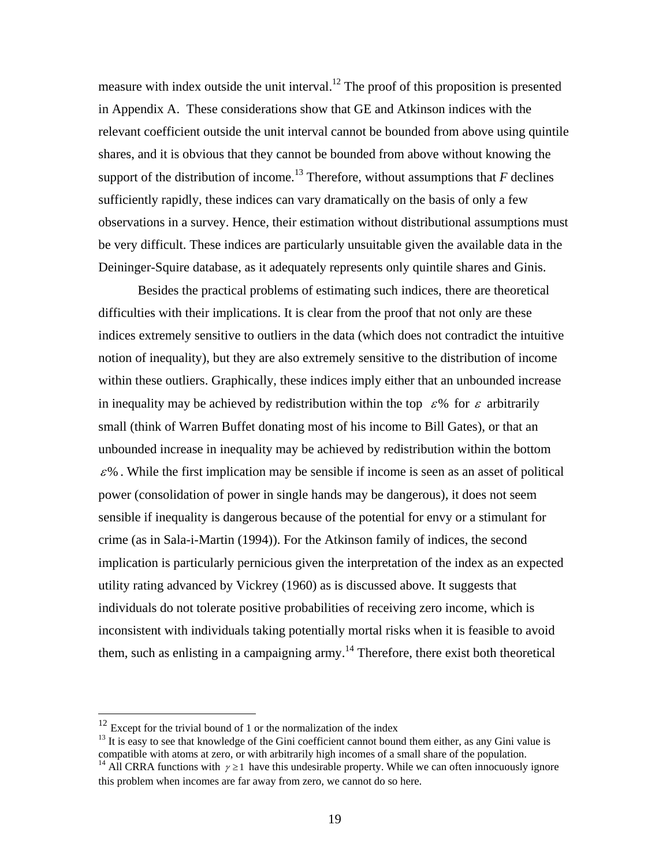measure with index outside the unit interval.<sup>12</sup> The proof of this proposition is presented in Appendix A. These considerations show that GE and Atkinson indices with the relevant coefficient outside the unit interval cannot be bounded from above using quintile shares, and it is obvious that they cannot be bounded from above without knowing the support of the distribution of income.<sup>13</sup> Therefore, without assumptions that  $F$  declines sufficiently rapidly, these indices can vary dramatically on the basis of only a few observations in a survey. Hence, their estimation without distributional assumptions must be very difficult. These indices are particularly unsuitable given the available data in the Deininger-Squire database, as it adequately represents only quintile shares and Ginis.

 Besides the practical problems of estimating such indices, there are theoretical difficulties with their implications. It is clear from the proof that not only are these indices extremely sensitive to outliers in the data (which does not contradict the intuitive notion of inequality), but they are also extremely sensitive to the distribution of income within these outliers. Graphically, these indices imply either that an unbounded increase in inequality may be achieved by redistribution within the top  $\epsilon$ % for  $\epsilon$  arbitrarily small (think of Warren Buffet donating most of his income to Bill Gates), or that an unbounded increase in inequality may be achieved by redistribution within the bottom  $\varepsilon$ %. While the first implication may be sensible if income is seen as an asset of political power (consolidation of power in single hands may be dangerous), it does not seem sensible if inequality is dangerous because of the potential for envy or a stimulant for crime (as in Sala-i-Martin (1994)). For the Atkinson family of indices, the second implication is particularly pernicious given the interpretation of the index as an expected utility rating advanced by Vickrey (1960) as is discussed above. It suggests that individuals do not tolerate positive probabilities of receiving zero income, which is inconsistent with individuals taking potentially mortal risks when it is feasible to avoid them, such as enlisting in a campaigning army.<sup>14</sup> Therefore, there exist both theoretical

 $12$  Except for the trivial bound of 1 or the normalization of the index

 $13$  It is easy to see that knowledge of the Gini coefficient cannot bound them either, as any Gini value is compatible with atoms at zero, or with arbitrarily high incomes of a small share of the population. <sup>14</sup> All CRRA functions with  $\gamma \ge 1$  have this undesirable property. While we can often innocuously ignore

this problem when incomes are far away from zero, we cannot do so here.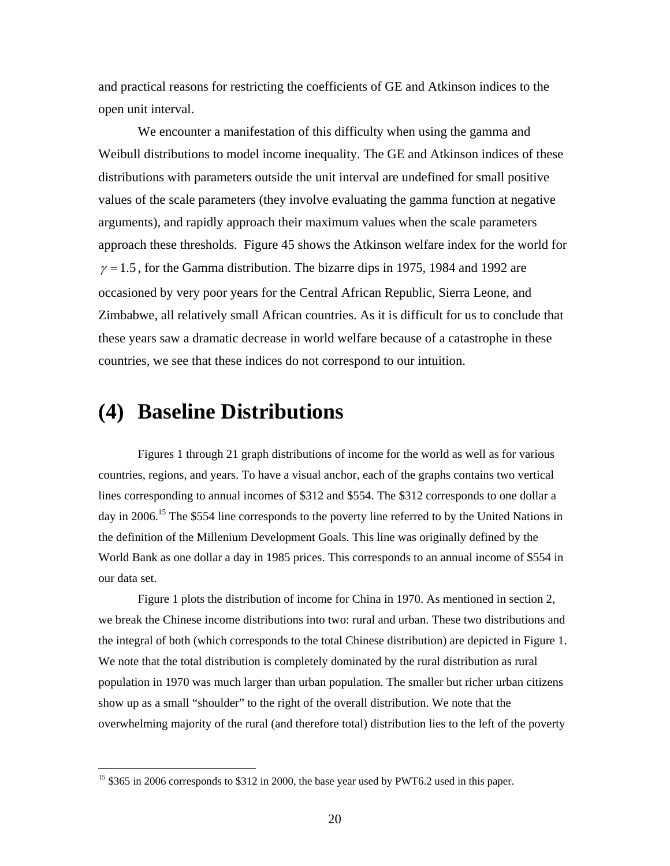and practical reasons for restricting the coefficients of GE and Atkinson indices to the open unit interval.

 We encounter a manifestation of this difficulty when using the gamma and Weibull distributions to model income inequality. The GE and Atkinson indices of these distributions with parameters outside the unit interval are undefined for small positive values of the scale parameters (they involve evaluating the gamma function at negative arguments), and rapidly approach their maximum values when the scale parameters approach these thresholds. Figure 45 shows the Atkinson welfare index for the world for  $\gamma = 1.5$ , for the Gamma distribution. The bizarre dips in 1975, 1984 and 1992 are occasioned by very poor years for the Central African Republic, Sierra Leone, and Zimbabwe, all relatively small African countries. As it is difficult for us to conclude that these years saw a dramatic decrease in world welfare because of a catastrophe in these countries, we see that these indices do not correspond to our intuition.

# **(4) Baseline Distributions**

 $\overline{a}$ 

Figures 1 through 21 graph distributions of income for the world as well as for various countries, regions, and years. To have a visual anchor, each of the graphs contains two vertical lines corresponding to annual incomes of \$312 and \$554. The \$312 corresponds to one dollar a day in 2006.<sup>15</sup> The \$554 line corresponds to the poverty line referred to by the United Nations in the definition of the Millenium Development Goals. This line was originally defined by the World Bank as one dollar a day in 1985 prices. This corresponds to an annual income of \$554 in our data set.

Figure 1 plots the distribution of income for China in 1970. As mentioned in section 2, we break the Chinese income distributions into two: rural and urban. These two distributions and the integral of both (which corresponds to the total Chinese distribution) are depicted in Figure 1. We note that the total distribution is completely dominated by the rural distribution as rural population in 1970 was much larger than urban population. The smaller but richer urban citizens show up as a small "shoulder" to the right of the overall distribution. We note that the overwhelming majority of the rural (and therefore total) distribution lies to the left of the poverty

<sup>&</sup>lt;sup>15</sup> \$365 in 2006 corresponds to \$312 in 2000, the base year used by PWT6.2 used in this paper.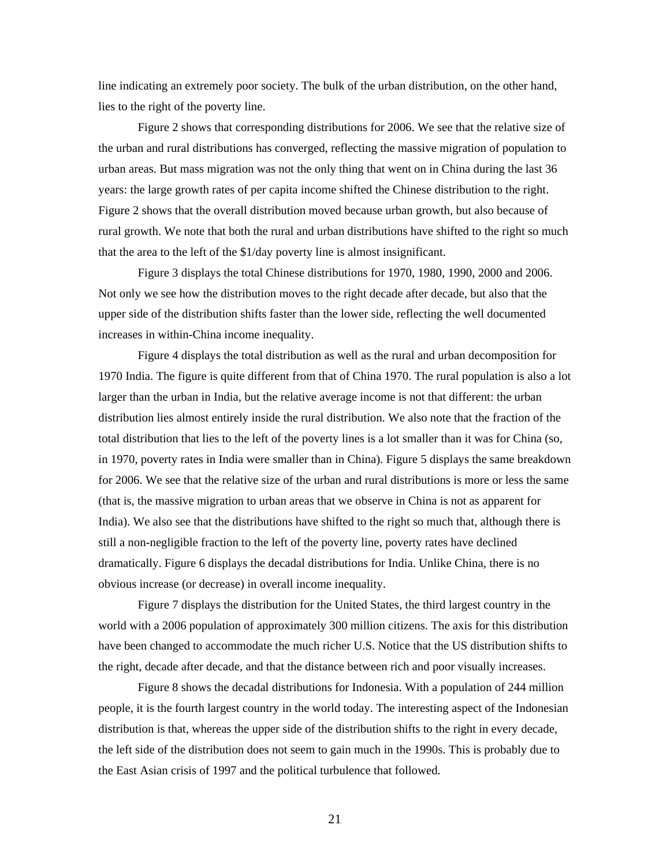line indicating an extremely poor society. The bulk of the urban distribution, on the other hand, lies to the right of the poverty line.

Figure 2 shows that corresponding distributions for 2006. We see that the relative size of the urban and rural distributions has converged, reflecting the massive migration of population to urban areas. But mass migration was not the only thing that went on in China during the last 36 years: the large growth rates of per capita income shifted the Chinese distribution to the right. Figure 2 shows that the overall distribution moved because urban growth, but also because of rural growth. We note that both the rural and urban distributions have shifted to the right so much that the area to the left of the \$1/day poverty line is almost insignificant.

Figure 3 displays the total Chinese distributions for 1970, 1980, 1990, 2000 and 2006. Not only we see how the distribution moves to the right decade after decade, but also that the upper side of the distribution shifts faster than the lower side, reflecting the well documented increases in within-China income inequality.

Figure 4 displays the total distribution as well as the rural and urban decomposition for 1970 India. The figure is quite different from that of China 1970. The rural population is also a lot larger than the urban in India, but the relative average income is not that different: the urban distribution lies almost entirely inside the rural distribution. We also note that the fraction of the total distribution that lies to the left of the poverty lines is a lot smaller than it was for China (so, in 1970, poverty rates in India were smaller than in China). Figure 5 displays the same breakdown for 2006. We see that the relative size of the urban and rural distributions is more or less the same (that is, the massive migration to urban areas that we observe in China is not as apparent for India). We also see that the distributions have shifted to the right so much that, although there is still a non-negligible fraction to the left of the poverty line, poverty rates have declined dramatically. Figure 6 displays the decadal distributions for India. Unlike China, there is no obvious increase (or decrease) in overall income inequality.

Figure 7 displays the distribution for the United States, the third largest country in the world with a 2006 population of approximately 300 million citizens. The axis for this distribution have been changed to accommodate the much richer U.S. Notice that the US distribution shifts to the right, decade after decade, and that the distance between rich and poor visually increases.

Figure 8 shows the decadal distributions for Indonesia. With a population of 244 million people, it is the fourth largest country in the world today. The interesting aspect of the Indonesian distribution is that, whereas the upper side of the distribution shifts to the right in every decade, the left side of the distribution does not seem to gain much in the 1990s. This is probably due to the East Asian crisis of 1997 and the political turbulence that followed.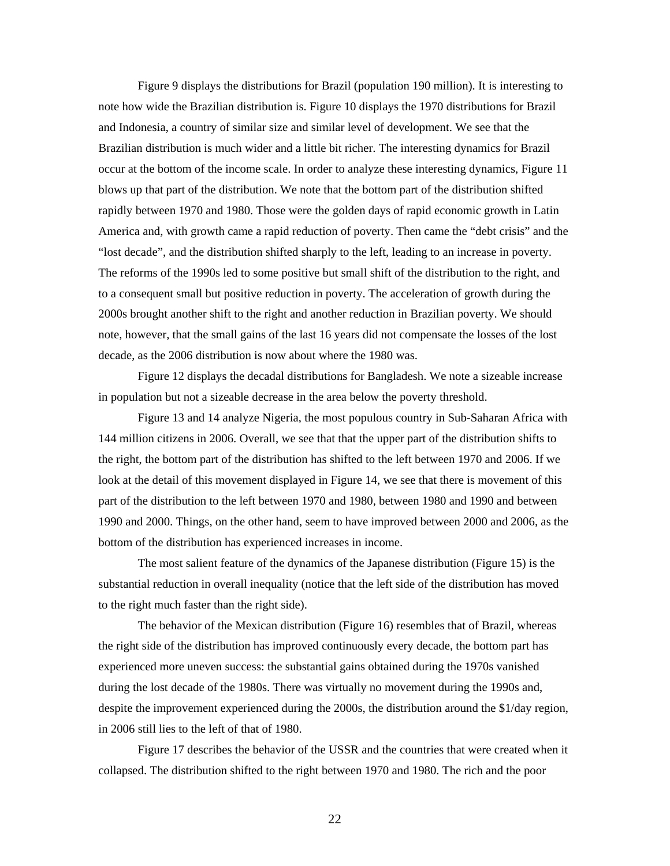Figure 9 displays the distributions for Brazil (population 190 million). It is interesting to note how wide the Brazilian distribution is. Figure 10 displays the 1970 distributions for Brazil and Indonesia, a country of similar size and similar level of development. We see that the Brazilian distribution is much wider and a little bit richer. The interesting dynamics for Brazil occur at the bottom of the income scale. In order to analyze these interesting dynamics, Figure 11 blows up that part of the distribution. We note that the bottom part of the distribution shifted rapidly between 1970 and 1980. Those were the golden days of rapid economic growth in Latin America and, with growth came a rapid reduction of poverty. Then came the "debt crisis" and the "lost decade", and the distribution shifted sharply to the left, leading to an increase in poverty. The reforms of the 1990s led to some positive but small shift of the distribution to the right, and to a consequent small but positive reduction in poverty. The acceleration of growth during the 2000s brought another shift to the right and another reduction in Brazilian poverty. We should note, however, that the small gains of the last 16 years did not compensate the losses of the lost decade, as the 2006 distribution is now about where the 1980 was.

Figure 12 displays the decadal distributions for Bangladesh. We note a sizeable increase in population but not a sizeable decrease in the area below the poverty threshold.

Figure 13 and 14 analyze Nigeria, the most populous country in Sub-Saharan Africa with 144 million citizens in 2006. Overall, we see that that the upper part of the distribution shifts to the right, the bottom part of the distribution has shifted to the left between 1970 and 2006. If we look at the detail of this movement displayed in Figure 14, we see that there is movement of this part of the distribution to the left between 1970 and 1980, between 1980 and 1990 and between 1990 and 2000. Things, on the other hand, seem to have improved between 2000 and 2006, as the bottom of the distribution has experienced increases in income.

The most salient feature of the dynamics of the Japanese distribution (Figure 15) is the substantial reduction in overall inequality (notice that the left side of the distribution has moved to the right much faster than the right side).

The behavior of the Mexican distribution (Figure 16) resembles that of Brazil, whereas the right side of the distribution has improved continuously every decade, the bottom part has experienced more uneven success: the substantial gains obtained during the 1970s vanished during the lost decade of the 1980s. There was virtually no movement during the 1990s and, despite the improvement experienced during the 2000s, the distribution around the \$1/day region, in 2006 still lies to the left of that of 1980.

Figure 17 describes the behavior of the USSR and the countries that were created when it collapsed. The distribution shifted to the right between 1970 and 1980. The rich and the poor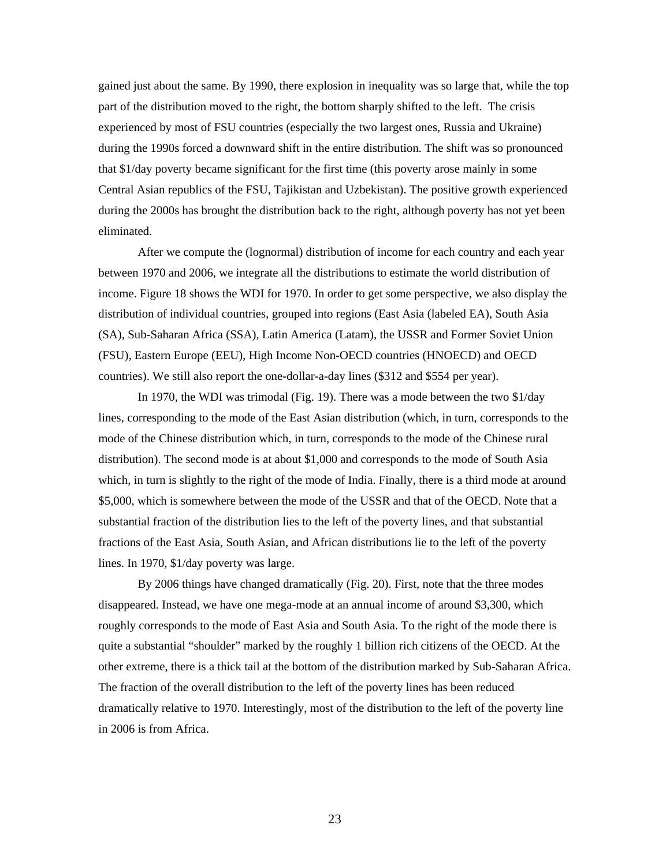gained just about the same. By 1990, there explosion in inequality was so large that, while the top part of the distribution moved to the right, the bottom sharply shifted to the left. The crisis experienced by most of FSU countries (especially the two largest ones, Russia and Ukraine) during the 1990s forced a downward shift in the entire distribution. The shift was so pronounced that \$1/day poverty became significant for the first time (this poverty arose mainly in some Central Asian republics of the FSU, Tajikistan and Uzbekistan). The positive growth experienced during the 2000s has brought the distribution back to the right, although poverty has not yet been eliminated.

After we compute the (lognormal) distribution of income for each country and each year between 1970 and 2006, we integrate all the distributions to estimate the world distribution of income. Figure 18 shows the WDI for 1970. In order to get some perspective, we also display the distribution of individual countries, grouped into regions (East Asia (labeled EA), South Asia (SA), Sub-Saharan Africa (SSA), Latin America (Latam), the USSR and Former Soviet Union (FSU), Eastern Europe (EEU), High Income Non-OECD countries (HNOECD) and OECD countries). We still also report the one-dollar-a-day lines (\$312 and \$554 per year).

In 1970, the WDI was trimodal (Fig. 19). There was a mode between the two \$1/day lines, corresponding to the mode of the East Asian distribution (which, in turn, corresponds to the mode of the Chinese distribution which, in turn, corresponds to the mode of the Chinese rural distribution). The second mode is at about \$1,000 and corresponds to the mode of South Asia which, in turn is slightly to the right of the mode of India. Finally, there is a third mode at around \$5,000, which is somewhere between the mode of the USSR and that of the OECD. Note that a substantial fraction of the distribution lies to the left of the poverty lines, and that substantial fractions of the East Asia, South Asian, and African distributions lie to the left of the poverty lines. In 1970, \$1/day poverty was large.

By 2006 things have changed dramatically (Fig. 20). First, note that the three modes disappeared. Instead, we have one mega-mode at an annual income of around \$3,300, which roughly corresponds to the mode of East Asia and South Asia. To the right of the mode there is quite a substantial "shoulder" marked by the roughly 1 billion rich citizens of the OECD. At the other extreme, there is a thick tail at the bottom of the distribution marked by Sub-Saharan Africa. The fraction of the overall distribution to the left of the poverty lines has been reduced dramatically relative to 1970. Interestingly, most of the distribution to the left of the poverty line in 2006 is from Africa.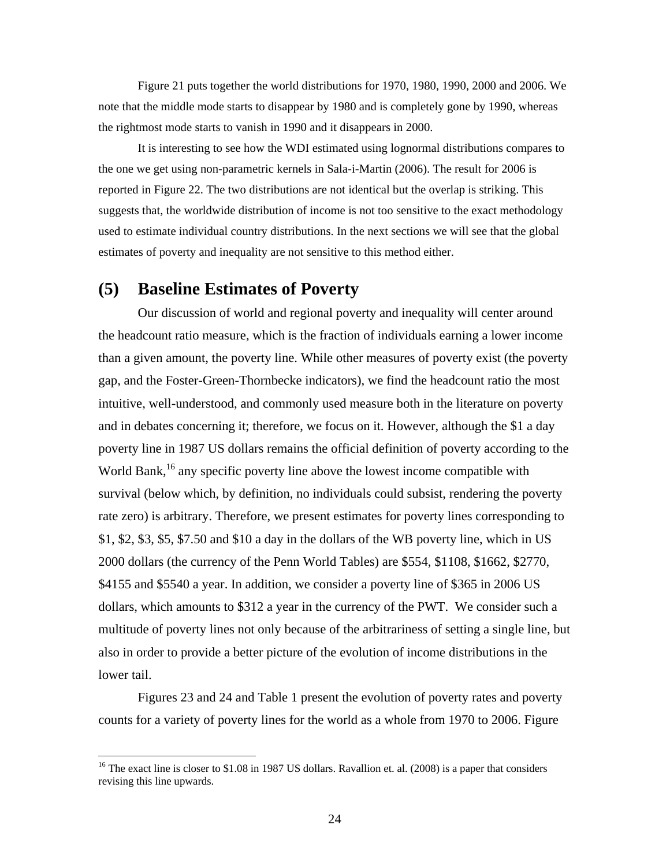Figure 21 puts together the world distributions for 1970, 1980, 1990, 2000 and 2006. We note that the middle mode starts to disappear by 1980 and is completely gone by 1990, whereas the rightmost mode starts to vanish in 1990 and it disappears in 2000.

It is interesting to see how the WDI estimated using lognormal distributions compares to the one we get using non-parametric kernels in Sala-i-Martin (2006). The result for 2006 is reported in Figure 22. The two distributions are not identical but the overlap is striking. This suggests that, the worldwide distribution of income is not too sensitive to the exact methodology used to estimate individual country distributions. In the next sections we will see that the global estimates of poverty and inequality are not sensitive to this method either.

## **(5) Baseline Estimates of Poverty**

 $\overline{a}$ 

Our discussion of world and regional poverty and inequality will center around the headcount ratio measure, which is the fraction of individuals earning a lower income than a given amount, the poverty line. While other measures of poverty exist (the poverty gap, and the Foster-Green-Thornbecke indicators), we find the headcount ratio the most intuitive, well-understood, and commonly used measure both in the literature on poverty and in debates concerning it; therefore, we focus on it. However, although the \$1 a day poverty line in 1987 US dollars remains the official definition of poverty according to the World Bank,<sup>16</sup> any specific poverty line above the lowest income compatible with survival (below which, by definition, no individuals could subsist, rendering the poverty rate zero) is arbitrary. Therefore, we present estimates for poverty lines corresponding to \$1, \$2, \$3, \$5, \$7.50 and \$10 a day in the dollars of the WB poverty line, which in US 2000 dollars (the currency of the Penn World Tables) are \$554, \$1108, \$1662, \$2770, \$4155 and \$5540 a year. In addition, we consider a poverty line of \$365 in 2006 US dollars, which amounts to \$312 a year in the currency of the PWT. We consider such a multitude of poverty lines not only because of the arbitrariness of setting a single line, but also in order to provide a better picture of the evolution of income distributions in the lower tail.

Figures 23 and 24 and Table 1 present the evolution of poverty rates and poverty counts for a variety of poverty lines for the world as a whole from 1970 to 2006. Figure

<sup>&</sup>lt;sup>16</sup> The exact line is closer to \$1.08 in 1987 US dollars. Ravallion et. al. (2008) is a paper that considers revising this line upwards.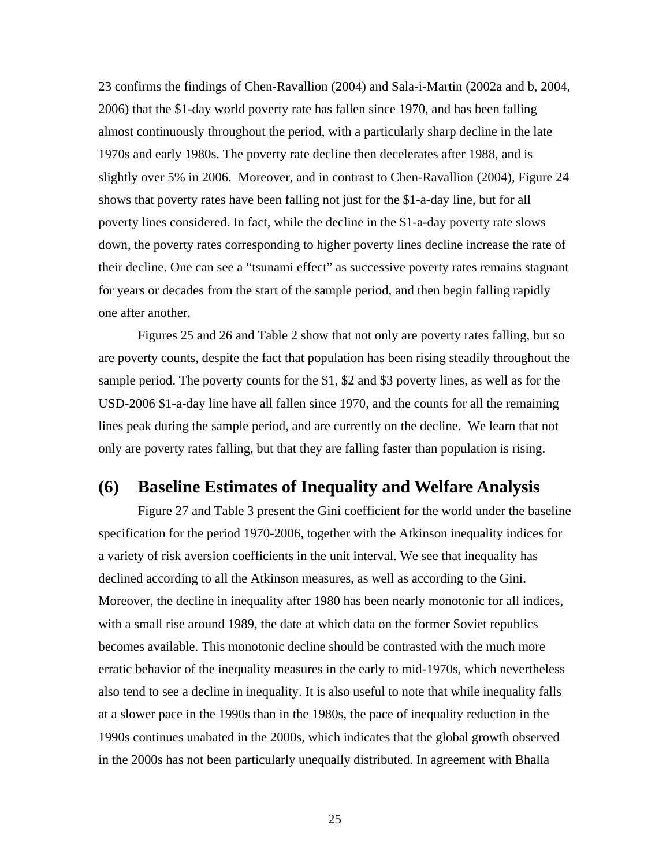23 confirms the findings of Chen-Ravallion (2004) and Sala-i-Martin (2002a and b, 2004, 2006) that the \$1-day world poverty rate has fallen since 1970, and has been falling almost continuously throughout the period, with a particularly sharp decline in the late 1970s and early 1980s. The poverty rate decline then decelerates after 1988, and is slightly over 5% in 2006. Moreover, and in contrast to Chen-Ravallion (2004), Figure 24 shows that poverty rates have been falling not just for the \$1-a-day line, but for all poverty lines considered. In fact, while the decline in the \$1-a-day poverty rate slows down, the poverty rates corresponding to higher poverty lines decline increase the rate of their decline. One can see a "tsunami effect" as successive poverty rates remains stagnant for years or decades from the start of the sample period, and then begin falling rapidly one after another.

Figures 25 and 26 and Table 2 show that not only are poverty rates falling, but so are poverty counts, despite the fact that population has been rising steadily throughout the sample period. The poverty counts for the \$1, \$2 and \$3 poverty lines, as well as for the USD-2006 \$1-a-day line have all fallen since 1970, and the counts for all the remaining lines peak during the sample period, and are currently on the decline. We learn that not only are poverty rates falling, but that they are falling faster than population is rising.

### **(6) Baseline Estimates of Inequality and Welfare Analysis**

 Figure 27 and Table 3 present the Gini coefficient for the world under the baseline specification for the period 1970-2006, together with the Atkinson inequality indices for a variety of risk aversion coefficients in the unit interval. We see that inequality has declined according to all the Atkinson measures, as well as according to the Gini. Moreover, the decline in inequality after 1980 has been nearly monotonic for all indices, with a small rise around 1989, the date at which data on the former Soviet republics becomes available. This monotonic decline should be contrasted with the much more erratic behavior of the inequality measures in the early to mid-1970s, which nevertheless also tend to see a decline in inequality. It is also useful to note that while inequality falls at a slower pace in the 1990s than in the 1980s, the pace of inequality reduction in the 1990s continues unabated in the 2000s, which indicates that the global growth observed in the 2000s has not been particularly unequally distributed. In agreement with Bhalla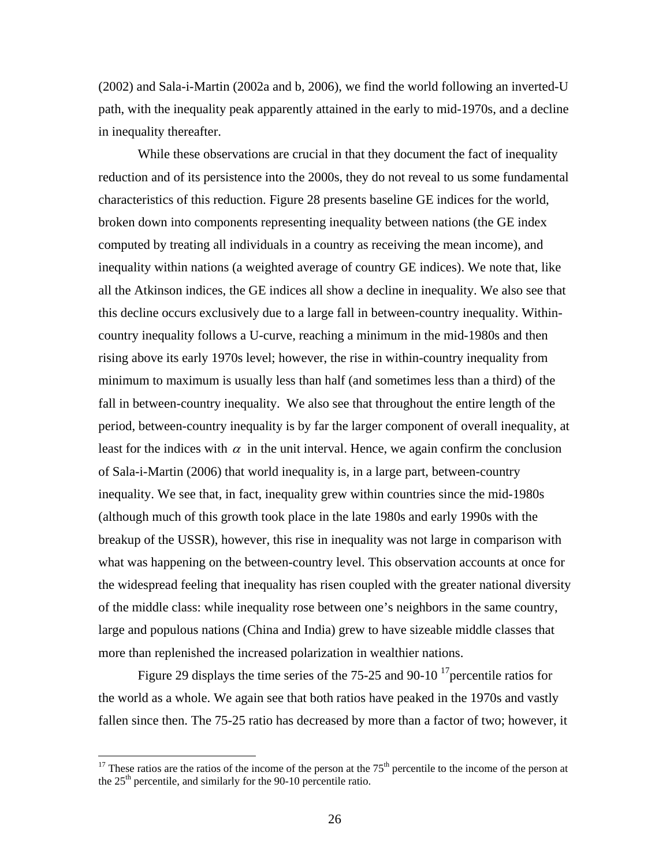(2002) and Sala-i-Martin (2002a and b, 2006), we find the world following an inverted-U path, with the inequality peak apparently attained in the early to mid-1970s, and a decline in inequality thereafter.

 While these observations are crucial in that they document the fact of inequality reduction and of its persistence into the 2000s, they do not reveal to us some fundamental characteristics of this reduction. Figure 28 presents baseline GE indices for the world, broken down into components representing inequality between nations (the GE index computed by treating all individuals in a country as receiving the mean income), and inequality within nations (a weighted average of country GE indices). We note that, like all the Atkinson indices, the GE indices all show a decline in inequality. We also see that this decline occurs exclusively due to a large fall in between-country inequality. Withincountry inequality follows a U-curve, reaching a minimum in the mid-1980s and then rising above its early 1970s level; however, the rise in within-country inequality from minimum to maximum is usually less than half (and sometimes less than a third) of the fall in between-country inequality. We also see that throughout the entire length of the period, between-country inequality is by far the larger component of overall inequality, at least for the indices with  $\alpha$  in the unit interval. Hence, we again confirm the conclusion of Sala-i-Martin (2006) that world inequality is, in a large part, between-country inequality. We see that, in fact, inequality grew within countries since the mid-1980s (although much of this growth took place in the late 1980s and early 1990s with the breakup of the USSR), however, this rise in inequality was not large in comparison with what was happening on the between-country level. This observation accounts at once for the widespread feeling that inequality has risen coupled with the greater national diversity of the middle class: while inequality rose between one's neighbors in the same country, large and populous nations (China and India) grew to have sizeable middle classes that more than replenished the increased polarization in wealthier nations.

Figure 29 displays the time series of the 75-25 and 90-10<sup>-17</sup> percentile ratios for the world as a whole. We again see that both ratios have peaked in the 1970s and vastly fallen since then. The 75-25 ratio has decreased by more than a factor of two; however, it

<sup>&</sup>lt;sup>17</sup> These ratios are the ratios of the income of the person at the  $75<sup>th</sup>$  percentile to the income of the person at the  $25<sup>th</sup>$  percentile, and similarly for the 90-10 percentile ratio.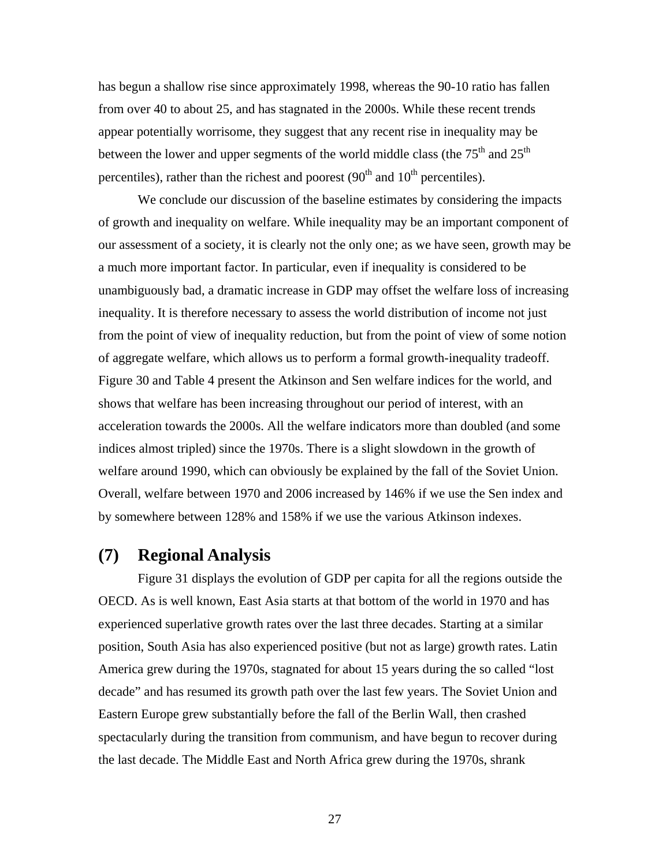has begun a shallow rise since approximately 1998, whereas the 90-10 ratio has fallen from over 40 to about 25, and has stagnated in the 2000s. While these recent trends appear potentially worrisome, they suggest that any recent rise in inequality may be between the lower and upper segments of the world middle class (the  $75<sup>th</sup>$  and  $25<sup>th</sup>$ ) percentiles), rather than the richest and poorest  $(90<sup>th</sup>$  and  $10<sup>th</sup>$  percentiles).

 We conclude our discussion of the baseline estimates by considering the impacts of growth and inequality on welfare. While inequality may be an important component of our assessment of a society, it is clearly not the only one; as we have seen, growth may be a much more important factor. In particular, even if inequality is considered to be unambiguously bad, a dramatic increase in GDP may offset the welfare loss of increasing inequality. It is therefore necessary to assess the world distribution of income not just from the point of view of inequality reduction, but from the point of view of some notion of aggregate welfare, which allows us to perform a formal growth-inequality tradeoff. Figure 30 and Table 4 present the Atkinson and Sen welfare indices for the world, and shows that welfare has been increasing throughout our period of interest, with an acceleration towards the 2000s. All the welfare indicators more than doubled (and some indices almost tripled) since the 1970s. There is a slight slowdown in the growth of welfare around 1990, which can obviously be explained by the fall of the Soviet Union. Overall, welfare between 1970 and 2006 increased by 146% if we use the Sen index and by somewhere between 128% and 158% if we use the various Atkinson indexes.

# **(7) Regional Analysis**

Figure 31 displays the evolution of GDP per capita for all the regions outside the OECD. As is well known, East Asia starts at that bottom of the world in 1970 and has experienced superlative growth rates over the last three decades. Starting at a similar position, South Asia has also experienced positive (but not as large) growth rates. Latin America grew during the 1970s, stagnated for about 15 years during the so called "lost decade" and has resumed its growth path over the last few years. The Soviet Union and Eastern Europe grew substantially before the fall of the Berlin Wall, then crashed spectacularly during the transition from communism, and have begun to recover during the last decade. The Middle East and North Africa grew during the 1970s, shrank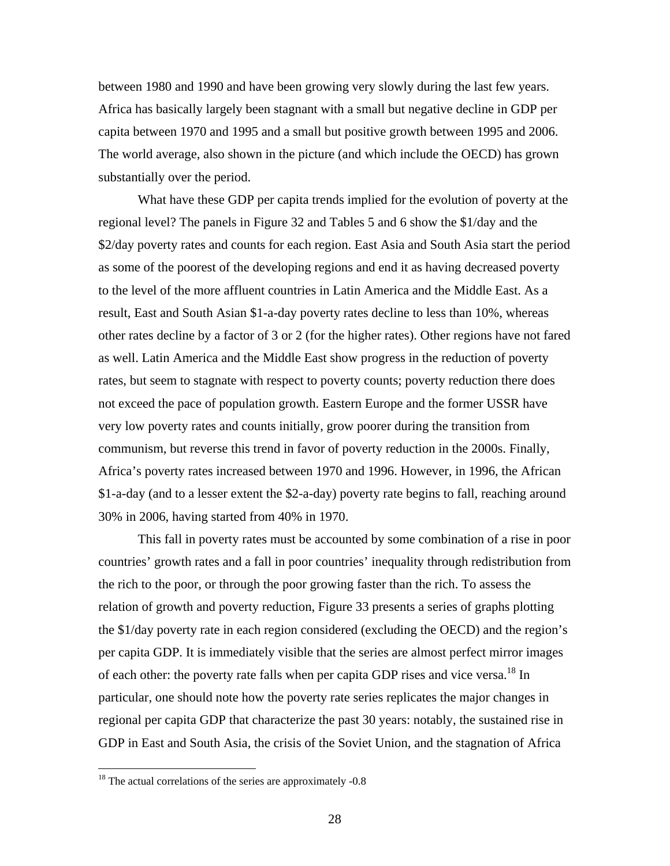between 1980 and 1990 and have been growing very slowly during the last few years. Africa has basically largely been stagnant with a small but negative decline in GDP per capita between 1970 and 1995 and a small but positive growth between 1995 and 2006. The world average, also shown in the picture (and which include the OECD) has grown substantially over the period.

What have these GDP per capita trends implied for the evolution of poverty at the regional level? The panels in Figure 32 and Tables 5 and 6 show the \$1/day and the \$2/day poverty rates and counts for each region. East Asia and South Asia start the period as some of the poorest of the developing regions and end it as having decreased poverty to the level of the more affluent countries in Latin America and the Middle East. As a result, East and South Asian \$1-a-day poverty rates decline to less than 10%, whereas other rates decline by a factor of 3 or 2 (for the higher rates). Other regions have not fared as well. Latin America and the Middle East show progress in the reduction of poverty rates, but seem to stagnate with respect to poverty counts; poverty reduction there does not exceed the pace of population growth. Eastern Europe and the former USSR have very low poverty rates and counts initially, grow poorer during the transition from communism, but reverse this trend in favor of poverty reduction in the 2000s. Finally, Africa's poverty rates increased between 1970 and 1996. However, in 1996, the African \$1-a-day (and to a lesser extent the \$2-a-day) poverty rate begins to fall, reaching around 30% in 2006, having started from 40% in 1970.

 This fall in poverty rates must be accounted by some combination of a rise in poor countries' growth rates and a fall in poor countries' inequality through redistribution from the rich to the poor, or through the poor growing faster than the rich. To assess the relation of growth and poverty reduction, Figure 33 presents a series of graphs plotting the \$1/day poverty rate in each region considered (excluding the OECD) and the region's per capita GDP. It is immediately visible that the series are almost perfect mirror images of each other: the poverty rate falls when per capita GDP rises and vice versa.<sup>18</sup> In particular, one should note how the poverty rate series replicates the major changes in regional per capita GDP that characterize the past 30 years: notably, the sustained rise in GDP in East and South Asia, the crisis of the Soviet Union, and the stagnation of Africa

<u>.</u>

 $18$  The actual correlations of the series are approximately -0.8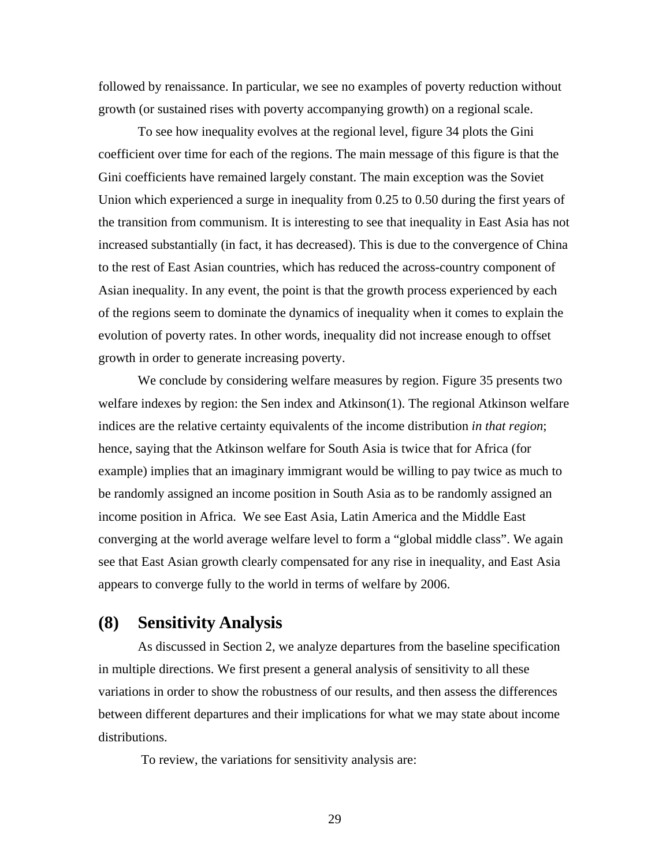followed by renaissance. In particular, we see no examples of poverty reduction without growth (or sustained rises with poverty accompanying growth) on a regional scale.

 To see how inequality evolves at the regional level, figure 34 plots the Gini coefficient over time for each of the regions. The main message of this figure is that the Gini coefficients have remained largely constant. The main exception was the Soviet Union which experienced a surge in inequality from 0.25 to 0.50 during the first years of the transition from communism. It is interesting to see that inequality in East Asia has not increased substantially (in fact, it has decreased). This is due to the convergence of China to the rest of East Asian countries, which has reduced the across-country component of Asian inequality. In any event, the point is that the growth process experienced by each of the regions seem to dominate the dynamics of inequality when it comes to explain the evolution of poverty rates. In other words, inequality did not increase enough to offset growth in order to generate increasing poverty.

 We conclude by considering welfare measures by region. Figure 35 presents two welfare indexes by region: the Sen index and Atkinson(1). The regional Atkinson welfare indices are the relative certainty equivalents of the income distribution *in that region*; hence, saying that the Atkinson welfare for South Asia is twice that for Africa (for example) implies that an imaginary immigrant would be willing to pay twice as much to be randomly assigned an income position in South Asia as to be randomly assigned an income position in Africa. We see East Asia, Latin America and the Middle East converging at the world average welfare level to form a "global middle class". We again see that East Asian growth clearly compensated for any rise in inequality, and East Asia appears to converge fully to the world in terms of welfare by 2006.

## **(8) Sensitivity Analysis**

As discussed in Section 2, we analyze departures from the baseline specification in multiple directions. We first present a general analysis of sensitivity to all these variations in order to show the robustness of our results, and then assess the differences between different departures and their implications for what we may state about income distributions.

To review, the variations for sensitivity analysis are: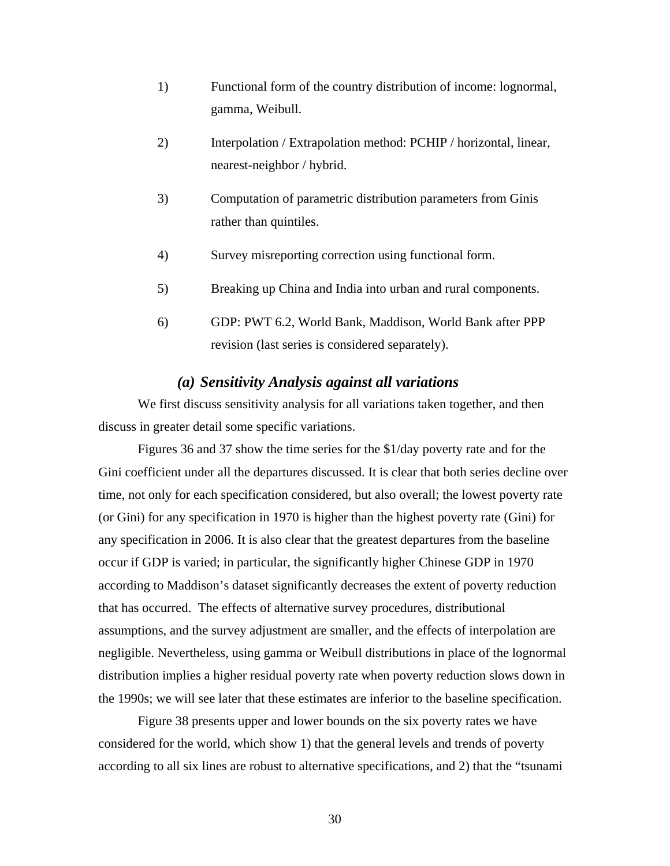- 1) Functional form of the country distribution of income: lognormal, gamma, Weibull.
- 2) Interpolation / Extrapolation method: PCHIP / horizontal, linear, nearest-neighbor / hybrid.
- 3) Computation of parametric distribution parameters from Ginis rather than quintiles.
- 4) Survey misreporting correction using functional form.
- 5) Breaking up China and India into urban and rural components.
- 6) GDP: PWT 6.2, World Bank, Maddison, World Bank after PPP revision (last series is considered separately).

#### *(a) Sensitivity Analysis against all variations*

We first discuss sensitivity analysis for all variations taken together, and then discuss in greater detail some specific variations.

Figures 36 and 37 show the time series for the \$1/day poverty rate and for the Gini coefficient under all the departures discussed. It is clear that both series decline over time, not only for each specification considered, but also overall; the lowest poverty rate (or Gini) for any specification in 1970 is higher than the highest poverty rate (Gini) for any specification in 2006. It is also clear that the greatest departures from the baseline occur if GDP is varied; in particular, the significantly higher Chinese GDP in 1970 according to Maddison's dataset significantly decreases the extent of poverty reduction that has occurred. The effects of alternative survey procedures, distributional assumptions, and the survey adjustment are smaller, and the effects of interpolation are negligible. Nevertheless, using gamma or Weibull distributions in place of the lognormal distribution implies a higher residual poverty rate when poverty reduction slows down in the 1990s; we will see later that these estimates are inferior to the baseline specification.

Figure 38 presents upper and lower bounds on the six poverty rates we have considered for the world, which show 1) that the general levels and trends of poverty according to all six lines are robust to alternative specifications, and 2) that the "tsunami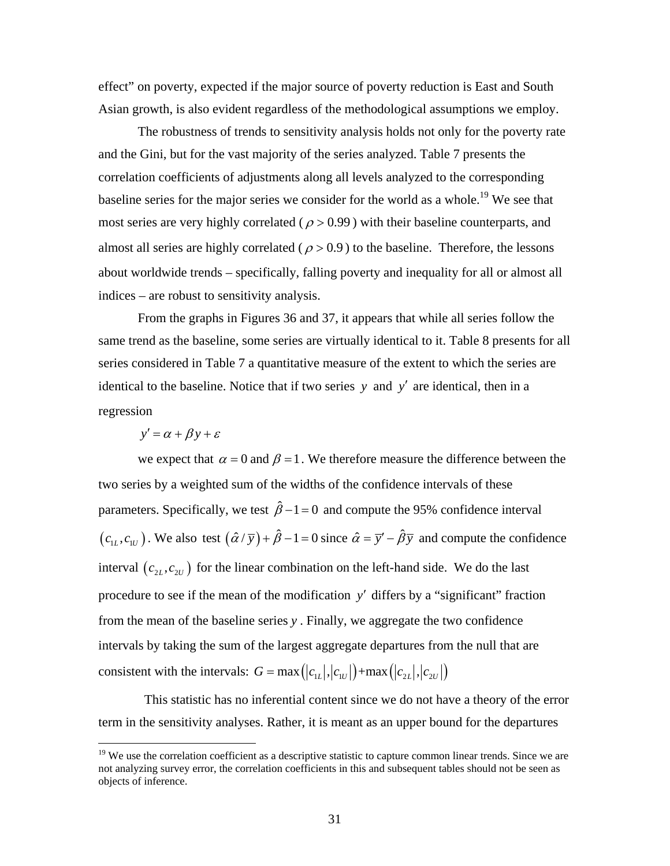effect" on poverty, expected if the major source of poverty reduction is East and South Asian growth, is also evident regardless of the methodological assumptions we employ.

The robustness of trends to sensitivity analysis holds not only for the poverty rate and the Gini, but for the vast majority of the series analyzed. Table 7 presents the correlation coefficients of adjustments along all levels analyzed to the corresponding baseline series for the major series we consider for the world as a whole.<sup>19</sup> We see that most series are very highly correlated ( $\rho > 0.99$ ) with their baseline counterparts, and almost all series are highly correlated ( $\rho > 0.9$ ) to the baseline. Therefore, the lessons about worldwide trends – specifically, falling poverty and inequality for all or almost all indices – are robust to sensitivity analysis.

From the graphs in Figures 36 and 37, it appears that while all series follow the same trend as the baseline, some series are virtually identical to it. Table 8 presents for all series considered in Table 7 a quantitative measure of the extent to which the series are identical to the baseline. Notice that if two series *y* and *y*′ are identical, then in a regression

$$
y' = \alpha + \beta y + \varepsilon
$$

1

we expect that  $\alpha = 0$  and  $\beta = 1$ . We therefore measure the difference between the two series by a weighted sum of the widths of the confidence intervals of these parameters. Specifically, we test  $\hat{\beta}$  –1 = 0 and compute the 95% confidence interval  $(c_{1L}, c_{1U})$ . We also test  $(\hat{\alpha}/\overline{y}) + \hat{\beta} - 1 = 0$  since  $\hat{\alpha} = \overline{y'} - \hat{\beta}\overline{y}$  and compute the confidence interval  $(c_{2L}, c_{2U})$  for the linear combination on the left-hand side. We do the last procedure to see if the mean of the modification *y*′ differs by a "significant" fraction from the mean of the baseline series *y* . Finally, we aggregate the two confidence intervals by taking the sum of the largest aggregate departures from the null that are consistent with the intervals:  $G = \max(|c_{LL}|, |c_{LU}|) + \max(|c_{2L}|, |c_{2U}|)$ 

 This statistic has no inferential content since we do not have a theory of the error term in the sensitivity analyses. Rather, it is meant as an upper bound for the departures

<sup>&</sup>lt;sup>19</sup> We use the correlation coefficient as a descriptive statistic to capture common linear trends. Since we are not analyzing survey error, the correlation coefficients in this and subsequent tables should not be seen as objects of inference.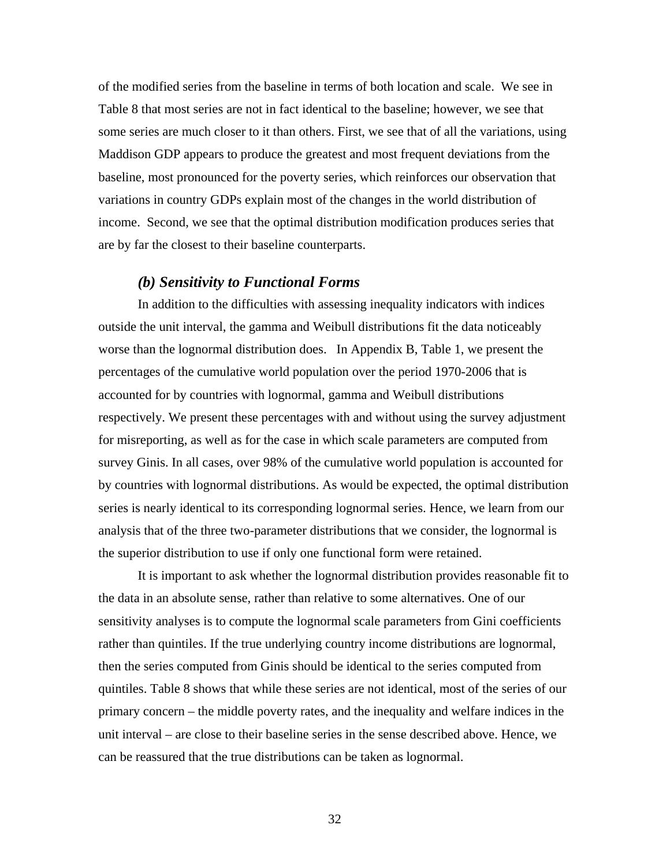of the modified series from the baseline in terms of both location and scale. We see in Table 8 that most series are not in fact identical to the baseline; however, we see that some series are much closer to it than others. First, we see that of all the variations, using Maddison GDP appears to produce the greatest and most frequent deviations from the baseline, most pronounced for the poverty series, which reinforces our observation that variations in country GDPs explain most of the changes in the world distribution of income. Second, we see that the optimal distribution modification produces series that are by far the closest to their baseline counterparts.

#### *(b) Sensitivity to Functional Forms*

 In addition to the difficulties with assessing inequality indicators with indices outside the unit interval, the gamma and Weibull distributions fit the data noticeably worse than the lognormal distribution does. In Appendix B, Table 1, we present the percentages of the cumulative world population over the period 1970-2006 that is accounted for by countries with lognormal, gamma and Weibull distributions respectively. We present these percentages with and without using the survey adjustment for misreporting, as well as for the case in which scale parameters are computed from survey Ginis. In all cases, over 98% of the cumulative world population is accounted for by countries with lognormal distributions. As would be expected, the optimal distribution series is nearly identical to its corresponding lognormal series. Hence, we learn from our analysis that of the three two-parameter distributions that we consider, the lognormal is the superior distribution to use if only one functional form were retained.

 It is important to ask whether the lognormal distribution provides reasonable fit to the data in an absolute sense, rather than relative to some alternatives. One of our sensitivity analyses is to compute the lognormal scale parameters from Gini coefficients rather than quintiles. If the true underlying country income distributions are lognormal, then the series computed from Ginis should be identical to the series computed from quintiles. Table 8 shows that while these series are not identical, most of the series of our primary concern – the middle poverty rates, and the inequality and welfare indices in the unit interval – are close to their baseline series in the sense described above. Hence, we can be reassured that the true distributions can be taken as lognormal.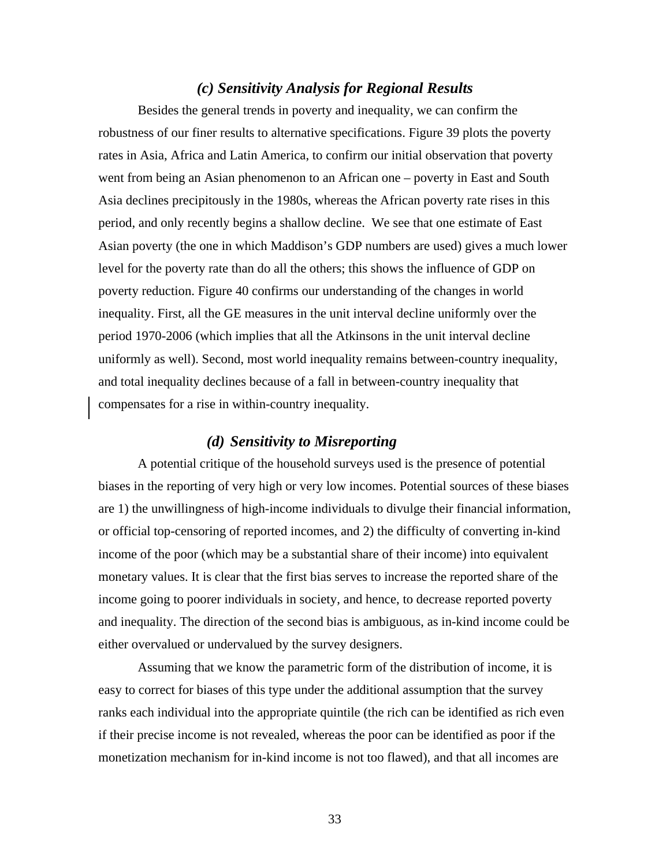#### *(c) Sensitivity Analysis for Regional Results*

Besides the general trends in poverty and inequality, we can confirm the robustness of our finer results to alternative specifications. Figure 39 plots the poverty rates in Asia, Africa and Latin America, to confirm our initial observation that poverty went from being an Asian phenomenon to an African one – poverty in East and South Asia declines precipitously in the 1980s, whereas the African poverty rate rises in this period, and only recently begins a shallow decline. We see that one estimate of East Asian poverty (the one in which Maddison's GDP numbers are used) gives a much lower level for the poverty rate than do all the others; this shows the influence of GDP on poverty reduction. Figure 40 confirms our understanding of the changes in world inequality. First, all the GE measures in the unit interval decline uniformly over the period 1970-2006 (which implies that all the Atkinsons in the unit interval decline uniformly as well). Second, most world inequality remains between-country inequality, and total inequality declines because of a fall in between-country inequality that compensates for a rise in within-country inequality.

#### *(d) Sensitivity to Misreporting*

A potential critique of the household surveys used is the presence of potential biases in the reporting of very high or very low incomes. Potential sources of these biases are 1) the unwillingness of high-income individuals to divulge their financial information, or official top-censoring of reported incomes, and 2) the difficulty of converting in-kind income of the poor (which may be a substantial share of their income) into equivalent monetary values. It is clear that the first bias serves to increase the reported share of the income going to poorer individuals in society, and hence, to decrease reported poverty and inequality. The direction of the second bias is ambiguous, as in-kind income could be either overvalued or undervalued by the survey designers.

 Assuming that we know the parametric form of the distribution of income, it is easy to correct for biases of this type under the additional assumption that the survey ranks each individual into the appropriate quintile (the rich can be identified as rich even if their precise income is not revealed, whereas the poor can be identified as poor if the monetization mechanism for in-kind income is not too flawed), and that all incomes are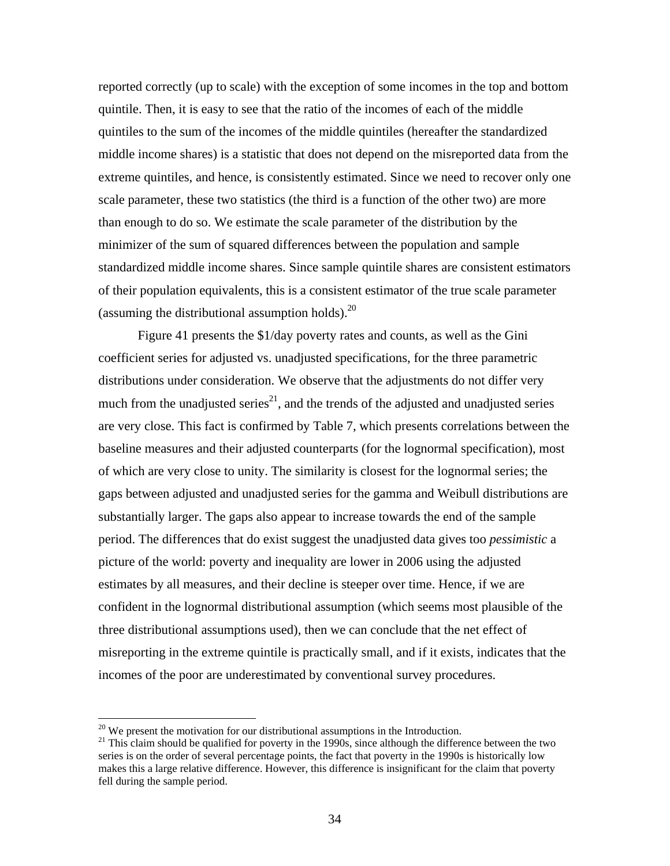reported correctly (up to scale) with the exception of some incomes in the top and bottom quintile. Then, it is easy to see that the ratio of the incomes of each of the middle quintiles to the sum of the incomes of the middle quintiles (hereafter the standardized middle income shares) is a statistic that does not depend on the misreported data from the extreme quintiles, and hence, is consistently estimated. Since we need to recover only one scale parameter, these two statistics (the third is a function of the other two) are more than enough to do so. We estimate the scale parameter of the distribution by the minimizer of the sum of squared differences between the population and sample standardized middle income shares. Since sample quintile shares are consistent estimators of their population equivalents, this is a consistent estimator of the true scale parameter (assuming the distributional assumption holds). $^{20}$ 

 Figure 41 presents the \$1/day poverty rates and counts, as well as the Gini coefficient series for adjusted vs. unadjusted specifications, for the three parametric distributions under consideration. We observe that the adjustments do not differ very much from the unadjusted series<sup>21</sup>, and the trends of the adjusted and unadjusted series are very close. This fact is confirmed by Table 7, which presents correlations between the baseline measures and their adjusted counterparts (for the lognormal specification), most of which are very close to unity. The similarity is closest for the lognormal series; the gaps between adjusted and unadjusted series for the gamma and Weibull distributions are substantially larger. The gaps also appear to increase towards the end of the sample period. The differences that do exist suggest the unadjusted data gives too *pessimistic* a picture of the world: poverty and inequality are lower in 2006 using the adjusted estimates by all measures, and their decline is steeper over time. Hence, if we are confident in the lognormal distributional assumption (which seems most plausible of the three distributional assumptions used), then we can conclude that the net effect of misreporting in the extreme quintile is practically small, and if it exists, indicates that the incomes of the poor are underestimated by conventional survey procedures.

 $20$  We present the motivation for our distributional assumptions in the Introduction.

 $21$  This claim should be qualified for poverty in the 1990s, since although the difference between the two series is on the order of several percentage points, the fact that poverty in the 1990s is historically low makes this a large relative difference. However, this difference is insignificant for the claim that poverty fell during the sample period.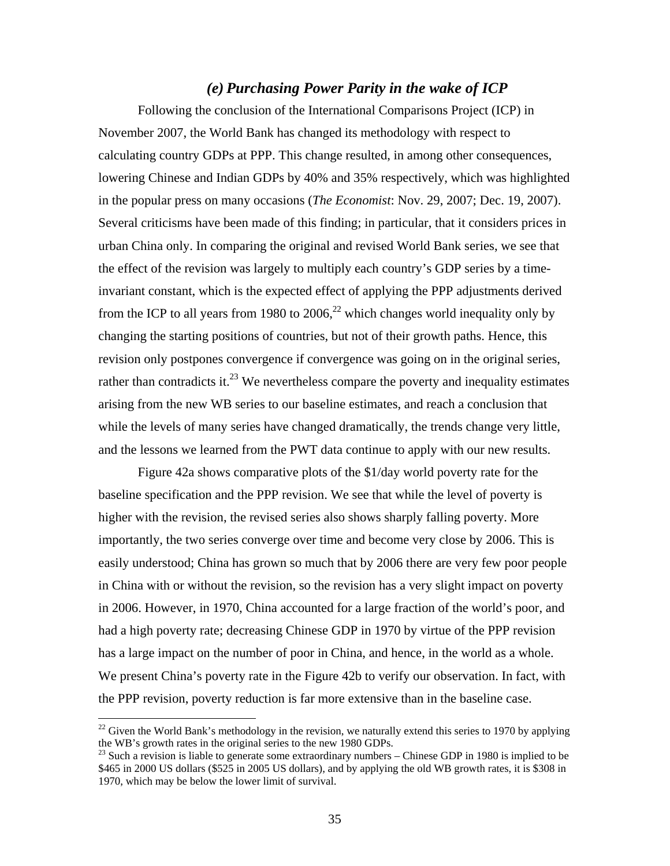#### *(e) Purchasing Power Parity in the wake of ICP*

 Following the conclusion of the International Comparisons Project (ICP) in November 2007, the World Bank has changed its methodology with respect to calculating country GDPs at PPP. This change resulted, in among other consequences, lowering Chinese and Indian GDPs by 40% and 35% respectively, which was highlighted in the popular press on many occasions (*The Economist*: Nov. 29, 2007; Dec. 19, 2007). Several criticisms have been made of this finding; in particular, that it considers prices in urban China only. In comparing the original and revised World Bank series, we see that the effect of the revision was largely to multiply each country's GDP series by a timeinvariant constant, which is the expected effect of applying the PPP adjustments derived from the ICP to all years from 1980 to 2006,<sup>22</sup> which changes world inequality only by changing the starting positions of countries, but not of their growth paths. Hence, this revision only postpones convergence if convergence was going on in the original series, rather than contradicts it. $^{23}$  We nevertheless compare the poverty and inequality estimates arising from the new WB series to our baseline estimates, and reach a conclusion that while the levels of many series have changed dramatically, the trends change very little, and the lessons we learned from the PWT data continue to apply with our new results.

 Figure 42a shows comparative plots of the \$1/day world poverty rate for the baseline specification and the PPP revision. We see that while the level of poverty is higher with the revision, the revised series also shows sharply falling poverty. More importantly, the two series converge over time and become very close by 2006. This is easily understood; China has grown so much that by 2006 there are very few poor people in China with or without the revision, so the revision has a very slight impact on poverty in 2006. However, in 1970, China accounted for a large fraction of the world's poor, and had a high poverty rate; decreasing Chinese GDP in 1970 by virtue of the PPP revision has a large impact on the number of poor in China, and hence, in the world as a whole. We present China's poverty rate in the Figure 42b to verify our observation. In fact, with the PPP revision, poverty reduction is far more extensive than in the baseline case.

 $^{22}$  Given the World Bank's methodology in the revision, we naturally extend this series to 1970 by applying the WB's growth rates in the original series to the new 1980 GDPs.

 $23$  Such a revision is liable to generate some extraordinary numbers – Chinese GDP in 1980 is implied to be \$465 in 2000 US dollars (\$525 in 2005 US dollars), and by applying the old WB growth rates, it is \$308 in 1970, which may be below the lower limit of survival.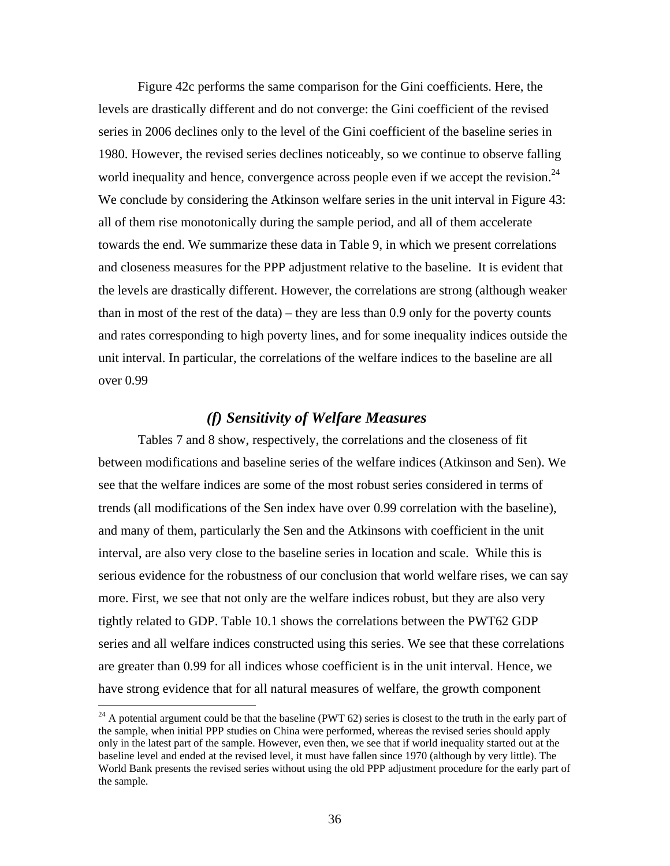Figure 42c performs the same comparison for the Gini coefficients. Here, the levels are drastically different and do not converge: the Gini coefficient of the revised series in 2006 declines only to the level of the Gini coefficient of the baseline series in 1980. However, the revised series declines noticeably, so we continue to observe falling world inequality and hence, convergence across people even if we accept the revision.<sup>24</sup> We conclude by considering the Atkinson welfare series in the unit interval in Figure 43: all of them rise monotonically during the sample period, and all of them accelerate towards the end. We summarize these data in Table 9, in which we present correlations and closeness measures for the PPP adjustment relative to the baseline. It is evident that the levels are drastically different. However, the correlations are strong (although weaker than in most of the rest of the data) – they are less than 0.9 only for the poverty counts and rates corresponding to high poverty lines, and for some inequality indices outside the unit interval. In particular, the correlations of the welfare indices to the baseline are all over 0.99

## *(f) Sensitivity of Welfare Measures*

 Tables 7 and 8 show, respectively, the correlations and the closeness of fit between modifications and baseline series of the welfare indices (Atkinson and Sen). We see that the welfare indices are some of the most robust series considered in terms of trends (all modifications of the Sen index have over 0.99 correlation with the baseline), and many of them, particularly the Sen and the Atkinsons with coefficient in the unit interval, are also very close to the baseline series in location and scale. While this is serious evidence for the robustness of our conclusion that world welfare rises, we can say more. First, we see that not only are the welfare indices robust, but they are also very tightly related to GDP. Table 10.1 shows the correlations between the PWT62 GDP series and all welfare indices constructed using this series. We see that these correlations are greater than 0.99 for all indices whose coefficient is in the unit interval. Hence, we have strong evidence that for all natural measures of welfare, the growth component

 $\overline{a}$ 

 $24$  A potential argument could be that the baseline (PWT 62) series is closest to the truth in the early part of the sample, when initial PPP studies on China were performed, whereas the revised series should apply only in the latest part of the sample. However, even then, we see that if world inequality started out at the baseline level and ended at the revised level, it must have fallen since 1970 (although by very little). The World Bank presents the revised series without using the old PPP adjustment procedure for the early part of the sample.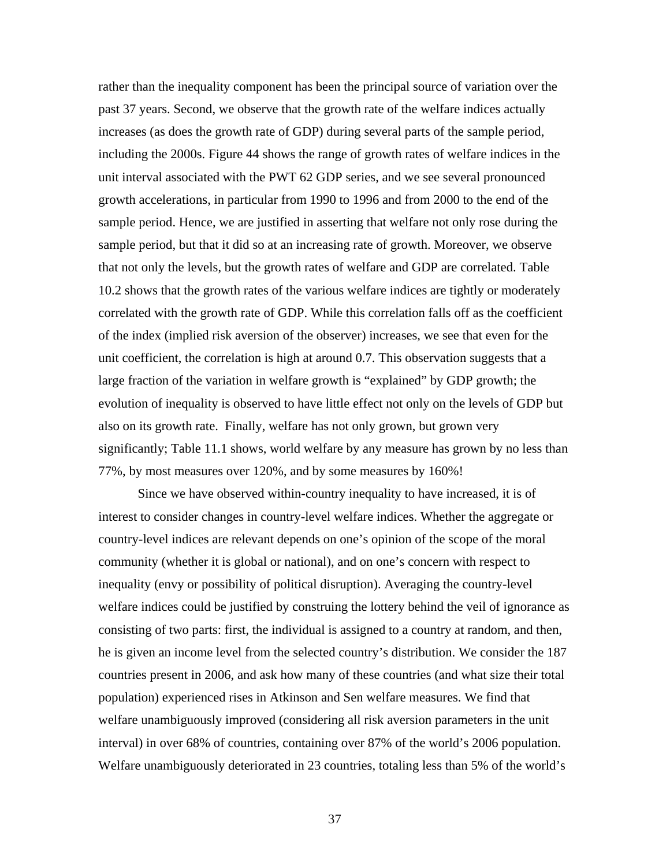rather than the inequality component has been the principal source of variation over the past 37 years. Second, we observe that the growth rate of the welfare indices actually increases (as does the growth rate of GDP) during several parts of the sample period, including the 2000s. Figure 44 shows the range of growth rates of welfare indices in the unit interval associated with the PWT 62 GDP series, and we see several pronounced growth accelerations, in particular from 1990 to 1996 and from 2000 to the end of the sample period. Hence, we are justified in asserting that welfare not only rose during the sample period, but that it did so at an increasing rate of growth. Moreover, we observe that not only the levels, but the growth rates of welfare and GDP are correlated. Table 10.2 shows that the growth rates of the various welfare indices are tightly or moderately correlated with the growth rate of GDP. While this correlation falls off as the coefficient of the index (implied risk aversion of the observer) increases, we see that even for the unit coefficient, the correlation is high at around 0.7. This observation suggests that a large fraction of the variation in welfare growth is "explained" by GDP growth; the evolution of inequality is observed to have little effect not only on the levels of GDP but also on its growth rate. Finally, welfare has not only grown, but grown very significantly; Table 11.1 shows, world welfare by any measure has grown by no less than 77%, by most measures over 120%, and by some measures by 160%!

Since we have observed within-country inequality to have increased, it is of interest to consider changes in country-level welfare indices. Whether the aggregate or country-level indices are relevant depends on one's opinion of the scope of the moral community (whether it is global or national), and on one's concern with respect to inequality (envy or possibility of political disruption). Averaging the country-level welfare indices could be justified by construing the lottery behind the veil of ignorance as consisting of two parts: first, the individual is assigned to a country at random, and then, he is given an income level from the selected country's distribution. We consider the 187 countries present in 2006, and ask how many of these countries (and what size their total population) experienced rises in Atkinson and Sen welfare measures. We find that welfare unambiguously improved (considering all risk aversion parameters in the unit interval) in over 68% of countries, containing over 87% of the world's 2006 population. Welfare unambiguously deteriorated in 23 countries, totaling less than 5% of the world's

37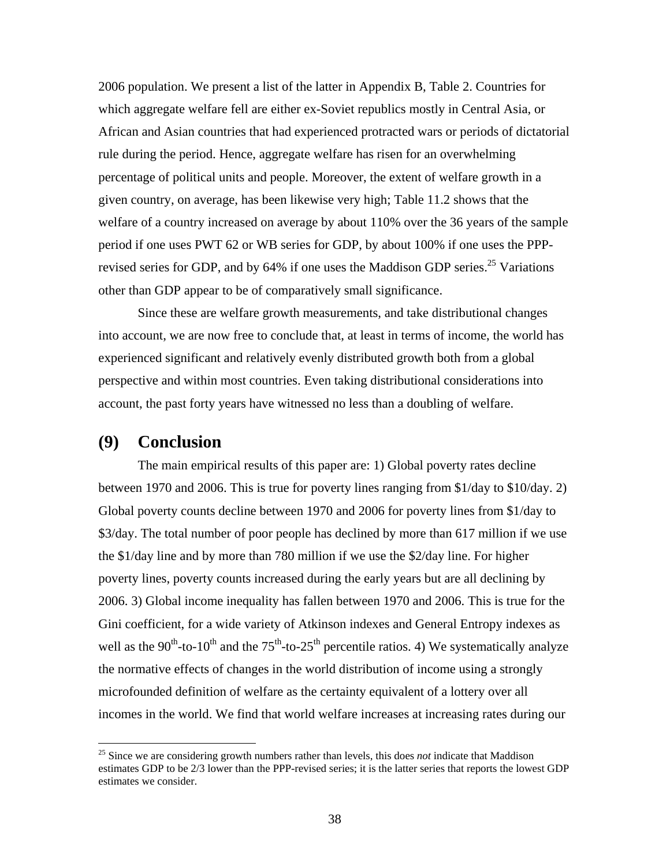2006 population. We present a list of the latter in Appendix B, Table 2. Countries for which aggregate welfare fell are either ex-Soviet republics mostly in Central Asia, or African and Asian countries that had experienced protracted wars or periods of dictatorial rule during the period. Hence, aggregate welfare has risen for an overwhelming percentage of political units and people. Moreover, the extent of welfare growth in a given country, on average, has been likewise very high; Table 11.2 shows that the welfare of a country increased on average by about 110% over the 36 years of the sample period if one uses PWT 62 or WB series for GDP, by about 100% if one uses the PPPrevised series for GDP, and by 64% if one uses the Maddison GDP series.<sup>25</sup> Variations other than GDP appear to be of comparatively small significance.

Since these are welfare growth measurements, and take distributional changes into account, we are now free to conclude that, at least in terms of income, the world has experienced significant and relatively evenly distributed growth both from a global perspective and within most countries. Even taking distributional considerations into account, the past forty years have witnessed no less than a doubling of welfare.

## **(9) Conclusion**

1

 The main empirical results of this paper are: 1) Global poverty rates decline between 1970 and 2006. This is true for poverty lines ranging from \$1/day to \$10/day. 2) Global poverty counts decline between 1970 and 2006 for poverty lines from \$1/day to \$3/day. The total number of poor people has declined by more than 617 million if we use the \$1/day line and by more than 780 million if we use the \$2/day line. For higher poverty lines, poverty counts increased during the early years but are all declining by 2006. 3) Global income inequality has fallen between 1970 and 2006. This is true for the Gini coefficient, for a wide variety of Atkinson indexes and General Entropy indexes as well as the  $90^{th}$ -to-10<sup>th</sup> and the  $75^{th}$ -to-25<sup>th</sup> percentile ratios. 4) We systematically analyze the normative effects of changes in the world distribution of income using a strongly microfounded definition of welfare as the certainty equivalent of a lottery over all incomes in the world. We find that world welfare increases at increasing rates during our

<sup>&</sup>lt;sup>25</sup> Since we are considering growth numbers rather than levels, this does *not* indicate that Maddison estimates GDP to be 2/3 lower than the PPP-revised series; it is the latter series that reports the lowest GDP estimates we consider.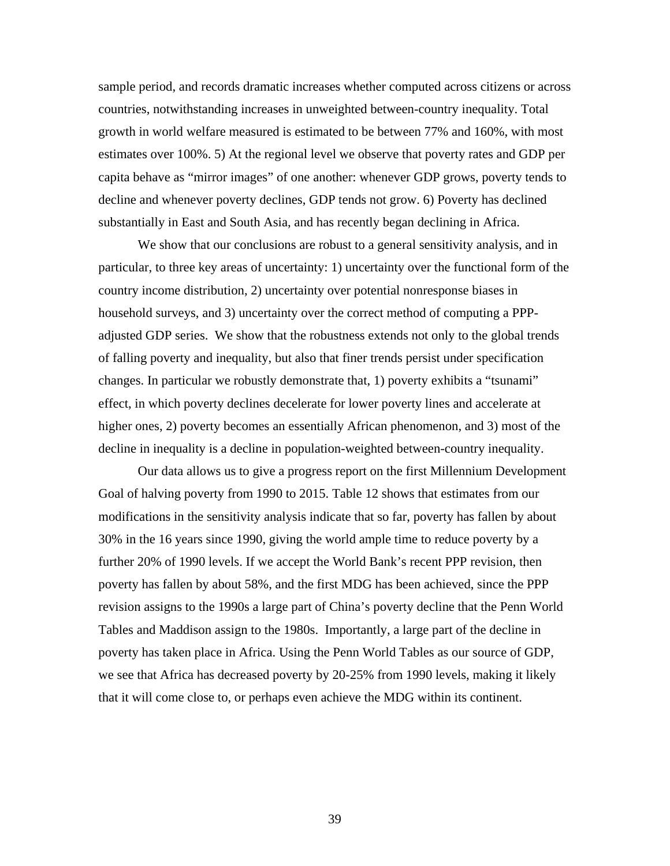sample period, and records dramatic increases whether computed across citizens or across countries, notwithstanding increases in unweighted between-country inequality. Total growth in world welfare measured is estimated to be between 77% and 160%, with most estimates over 100%. 5) At the regional level we observe that poverty rates and GDP per capita behave as "mirror images" of one another: whenever GDP grows, poverty tends to decline and whenever poverty declines, GDP tends not grow. 6) Poverty has declined substantially in East and South Asia, and has recently began declining in Africa.

We show that our conclusions are robust to a general sensitivity analysis, and in particular, to three key areas of uncertainty: 1) uncertainty over the functional form of the country income distribution, 2) uncertainty over potential nonresponse biases in household surveys, and 3) uncertainty over the correct method of computing a PPPadjusted GDP series. We show that the robustness extends not only to the global trends of falling poverty and inequality, but also that finer trends persist under specification changes. In particular we robustly demonstrate that, 1) poverty exhibits a "tsunami" effect, in which poverty declines decelerate for lower poverty lines and accelerate at higher ones, 2) poverty becomes an essentially African phenomenon, and 3) most of the decline in inequality is a decline in population-weighted between-country inequality.

 Our data allows us to give a progress report on the first Millennium Development Goal of halving poverty from 1990 to 2015. Table 12 shows that estimates from our modifications in the sensitivity analysis indicate that so far, poverty has fallen by about 30% in the 16 years since 1990, giving the world ample time to reduce poverty by a further 20% of 1990 levels. If we accept the World Bank's recent PPP revision, then poverty has fallen by about 58%, and the first MDG has been achieved, since the PPP revision assigns to the 1990s a large part of China's poverty decline that the Penn World Tables and Maddison assign to the 1980s. Importantly, a large part of the decline in poverty has taken place in Africa. Using the Penn World Tables as our source of GDP, we see that Africa has decreased poverty by 20-25% from 1990 levels, making it likely that it will come close to, or perhaps even achieve the MDG within its continent.

39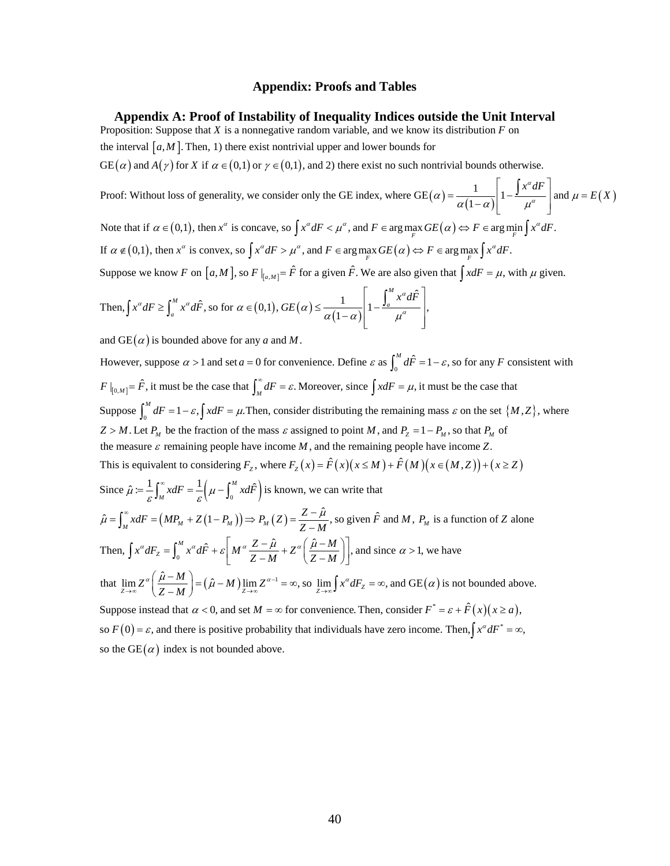#### **Appendix: Proofs and Tables**

**Appendix A: Proof of Instability of Inequality Indices outside the Unit Interval** 

Proposition: Suppose that  $X$  is a nonnegative random variable, and we know its distribution  $F$  on

the interval  $[a, M]$ . Then, 1) there exist nontrivial upper and lower bounds for

 $GE(\alpha)$  and  $A(\gamma)$  for X if  $\alpha \in (0,1)$  or  $\gamma \in (0,1)$ , and 2) there exist no such nontrivial bounds otherwise.

Proof: Without loss of generality, we consider only the GE index, where  $GE(\alpha) = \frac{1}{\alpha(1-\alpha)} \left| 1 - \frac{f^2 x^{\alpha}}{\mu^{\alpha}} \right|$  and  $\mu = E(X)$  $\alpha$ ) =  $\frac{a(1-\alpha)}{a(1-\alpha)}$  |  $1-\frac{a}{\mu^{\alpha}}$  | and  $\mu$  $\int x^{\alpha} dF$  $=\frac{1}{\alpha(1-\alpha)}\left[1-\frac{1-\alpha}{\mu^{\alpha}}\right]$  and  $\mu =$ 

Note that if  $\alpha \in (0,1)$ , then  $x^{\alpha}$  is concave, so  $\int x^{\alpha} dF < \mu^{\alpha}$ , and  $F \in \arg \max_{F} GE(\alpha) \Leftrightarrow F \in \arg \min_{F} \int x^{\alpha} dF$ . If  $\alpha \notin (0,1)$ , then  $x^{\alpha}$  is convex, so  $\int x^{\alpha} dF > \mu^{\alpha}$ , and  $F \in \arg\max_{F} GE(\alpha) \Leftrightarrow F \in \arg\max_{F} \int x^{\alpha} dF$ .

 $\frac{\alpha dF}{a}$  and  $\mu = E(X)$ 

∫

Suppose we know F on  $[a, M]$ , so  $F|_{[a, M]} = \hat{F}$  for a given  $\hat{F}$ . We are also given that  $\int x dF = \mu$ , with  $\mu$  given.

Then, 
$$
\int x^{\alpha} dF \ge \int_{a}^{M} x^{\alpha} d\hat{F}
$$
, so for  $\alpha \in (0,1)$ ,  $GE(\alpha) \le \frac{1}{\alpha(1-\alpha)} \left[ 1 - \frac{\int_{a}^{M} x^{\alpha} d\hat{F}}{\mu^{\alpha}} \right],$ 

and  $GE(\alpha)$  is bounded above for any  $\alpha$  and  $M$ .

However, suppose  $\alpha > 1$  and set  $a = 0$  for convenience. Define  $\varepsilon$  as  $\int_0^M d\hat{F} = 1 - \varepsilon$ , so for any F consistent with  $F|_{[0,M]} = \hat{F}$ , it must be the case that  $\int_M^{\infty} dF = \varepsilon$ . Moreover, since  $\int x dF = \mu$ , it must be the case that Suppose  $\int_0^M dF = 1 - \varepsilon$ ,  $\int x dF = \mu$ . Then, consider distributing the remaining mass  $\varepsilon$  on the set  $\{M, Z\}$ , where  $Z > M$ . Let  $P_M$  be the fraction of the mass  $\varepsilon$  assigned to point M, and  $P_Z = 1 - P_M$ , so that  $P_M$  of This is equivalent to considering  $F_z$ , where  $F_z(x) = \hat{F}(x)(x \le M) + \hat{F}(M)(x \in (M,Z)) + (x \ge Z)$ the measure  $\varepsilon$  remaining people have income  $M$ , and the remaining people have income Z. Since  $\hat{\mu} = \frac{1}{\varepsilon} \int_M^{\infty} x dF = \frac{1}{\varepsilon} \left( \mu - \int_0^M x d\hat{F} \right)$  is known, we can write that  $\hat{\mu} = \int_M^{\infty} x dF = (MP_M + Z(1 - P_M)) \Rightarrow P_M(Z) = \frac{Z - \hat{\mu}}{Z - M}$ , so given  $\hat{F}$  and M,  $P_M$  is a function of Z alone Then,  $\int x^{\alpha} dF_z = \int_0^M x^{\alpha} d\hat{F} + \varepsilon \left| M^{\alpha} \frac{Z - \hat{\mu}}{Z - M} + Z^{\alpha} \right| \frac{\hat{\mu}}{Z}$  $\hat{\mu} := \frac{1}{\varepsilon} \int_M^{\infty} x dF = \frac{1}{\varepsilon} \left( \mu - \int_0^{\infty} x d\hat{F} \right)$  $\int x^{\alpha} dF_z = \int_0^M x^{\alpha} d\hat{F} + \varepsilon \left[ M^{\alpha} \frac{Z - \hat{\mu}}{Z - M} + Z^{\alpha} \left( \frac{\hat{\mu} - M}{Z - M} \right) \right]$ , and since  $\alpha > 1$ , we have  $=\frac{1}{\varepsilon}\int_M^{\infty} x dF=\frac{1}{\varepsilon}\left(\mu-\int_M^{\infty}$ that  $\lim_{Z \to \infty} Z^{\alpha} \left( \frac{\hat{\mu} - M}{Z - M} \right) = (\hat{\mu} - M) \lim_{Z \to \infty} Z^{\alpha - 1} = \infty$ , so  $\lim_{Z \to \infty} \int x^{\alpha} dF_z = \infty$ , and GE( $\alpha$ ) is not bounded above. Suppose instead that  $\alpha < 0$ , and set  $M = \infty$  for convenience. Then, consider  $F^* = \varepsilon + \hat{F}(x)(x \ge a)$ , so  $F(0) = \varepsilon$ , and there is positive probability that individuals have zero income. Then,  $\int x^{\alpha} dF^* = \infty$ ,  $\lim_{\Delta \to \infty} Z^{\alpha} \left( \frac{\hat{\mu} - M}{Z - M} \right) = (\hat{\mu} - M) \lim_{Z \to \infty} Z^{\alpha - 1} = \infty$ , so  $\lim_{Z \to \infty} \int x^{\alpha} dF_Z = \infty$ 

so the GE( $\alpha$ ) index is not bounded above.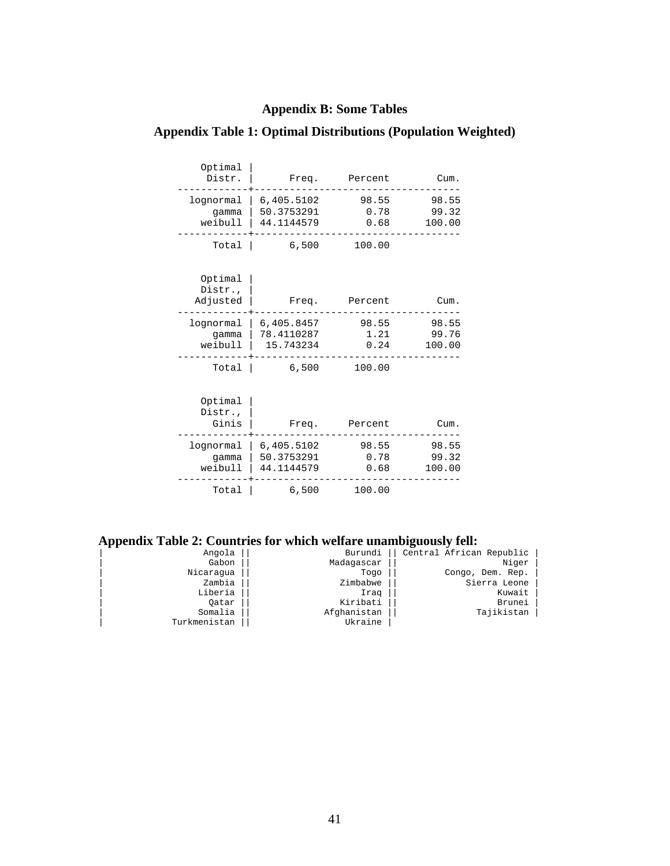## **Appendix B: Some Tables**

### Optimal | -<br>Distr. | Freq. Percent Cum. ------------+---------------------------------- lognormal | 6,405.5102 98.55 98.55 gamma | 50.3753291 0.78 99.32 weibull | 44.1144579 0.68 100.00 ------------+----------------------------------- Total | 6,500 100.00 Optimal | Distr., Adjusted | Freq. Percent Cum. ------------+---------------------------------- lognormal | 6,405.8457 98.55 98.55 gamma | 78.4110287 1.21 99.76 weibull | 15.743234 0.24 100.00 ------------+-----------------------------------  $6,500$  100.00 Optimal | Distr., | Ginis | Freq. Percent Cum. ------------+---------------------------------- lognormal | 6,405.5102 98.55 98.55 gamma | 50.3753291 0.78 99.32 weibull | 44.1144579 0.68 100.00 ------------+----------------------------------- Total | 6,500 100.00

### **Appendix Table 1: Optimal Distributions (Population Weighted)**

**Appendix Table 2: Countries for which welfare unambiguously fell:** 

| Angola       | Burundi     | Central African Republic |  |
|--------------|-------------|--------------------------|--|
| Gabon        | Madagascar  | Niger                    |  |
| Nicaraqua    | Togo        | Congo, Dem. Rep.         |  |
| Zambia       | Zimbabwe    | Sierra Leone             |  |
| Liberia      | Iraq        | Kuwait                   |  |
| Oatar        | Kiribati    | Brunei                   |  |
| Somalia      | Afghanistan | Tajikistan               |  |
| Turkmenistan | Ukraine     |                          |  |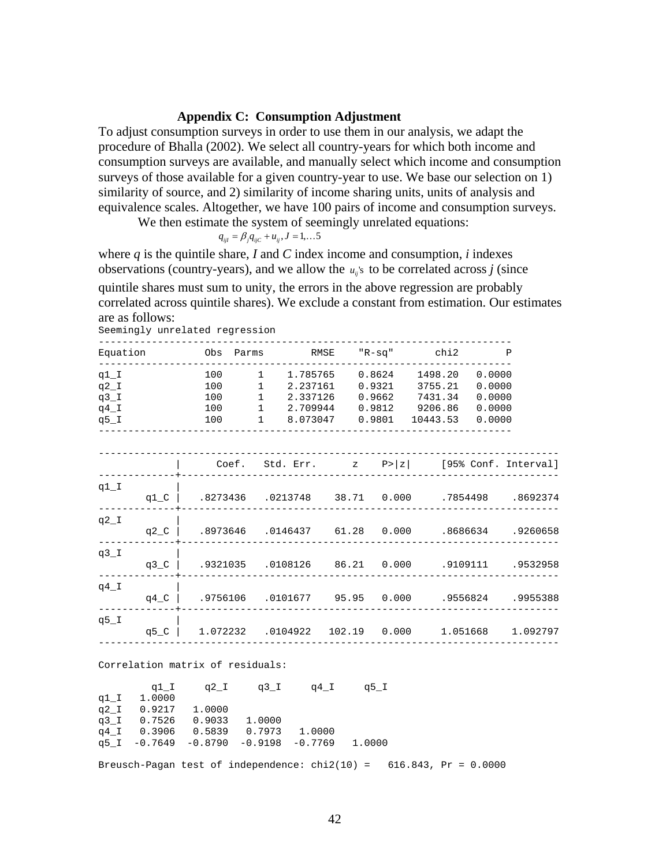## **Appendix C: Consumption Adjustment**

To adjust consumption surveys in order to use them in our analysis, we adapt the procedure of Bhalla (2002). We select all country-years for which both income and consumption surveys are available, and manually select which income and consumption surveys of those available for a given country-year to use. We base our selection on 1) similarity of source, and 2) similarity of income sharing units, units of analysis and equivalence scales. Altogether, we have 100 pairs of income and consumption surveys.

We then estimate the system of seemingly unrelated equations:

$$
q_{ijl}=\beta_j q_{ijC}+u_{ij}, J=1,\ldots 5
$$

where *q* is the quintile share, *I* and *C* index income and consumption, *i* indexes observations (country-years), and we allow the  $u_n$ 's to be correlated across *j* (since

quintile shares must sum to unity, the errors in the above regression are probably correlated across quintile shares). We exclude a constant from estimation. Our estimates are as follows:

Seemingly unrelated regression

| Equation                                       |                | Obs Parms                        |                 |                          |  | RMSE "R-sq" chi2                                                                                                                                                                        | P |
|------------------------------------------------|----------------|----------------------------------|-----------------|--------------------------|--|-----------------------------------------------------------------------------------------------------------------------------------------------------------------------------------------|---|
| $q1_I$<br>$q2_I$<br>$q3_I$<br>$q4$ I<br>$q5_l$ |                | 100<br>100<br>100                | $\sim$ $\sim$ 1 | 1 2.237161               |  | 1 1.785765 0.8624 1498.20 0.0000<br>$0.9321$ $3755.21$ $0.0000$<br>2.337126  0.9662  7431.34  0.0000<br>$100$ 1 2.709944 0.9812 9206.86 0.0000<br>100 1 8.073047 0.9801 10443.53 0.0000 |   |
|                                                |                |                                  |                 |                          |  | Coef. Std. Err. $z \quad P >  z $ [95% Conf. Interval]                                                                                                                                  |   |
| $q1\_I$                                        | q $1\_c$       |                                  |                 |                          |  | .8273436 .0213748 38.71 0.000 .7854498 .8692374                                                                                                                                         |   |
| $q2_I$                                         |                |                                  |                 |                          |  | 9260658.  8686634  .0146437  61.28  0.000  .8686634  .9260658                                                                                                                           |   |
| $q3_l$                                         | q3_C $\vert$   |                                  |                 |                          |  |                                                                                                                                                                                         |   |
| $q4$ I                                         |                |                                  |                 |                          |  | 9955388. 9556824. 0.000 0.0101677 95.95 0.000 0.9756106.   g4_C                                                                                                                         |   |
| $q5$ _I                                        | q5 $\degree$ C |                                  |                 |                          |  | $1.072232$ $.0104922$ $102.19$ $0.000$ $1.051668$ $1.092797$                                                                                                                            |   |
|                                                |                | Correlation matrix of residuals: |                 |                          |  |                                                                                                                                                                                         |   |
|                                                |                |                                  |                 | q1 I q2 I q3 I q4 I q5 I |  |                                                                                                                                                                                         |   |

q1\_I 1.0000<br>q2\_I 0.9217  $q2_1$  0.9217 1.0000<br> $q3_1$  0.7526 0.9033 q3\_I 0.7526 0.9033 1.0000  $q4$ <sup>1</sup> 0.3906 0.5839 0.7973 1.0000 q5\_I -0.7649 -0.8790 -0.9198 -0.7769 1.0000

Breusch-Pagan test of independence:  $\text{chi}(10) = 616.843$ , Pr = 0.0000

42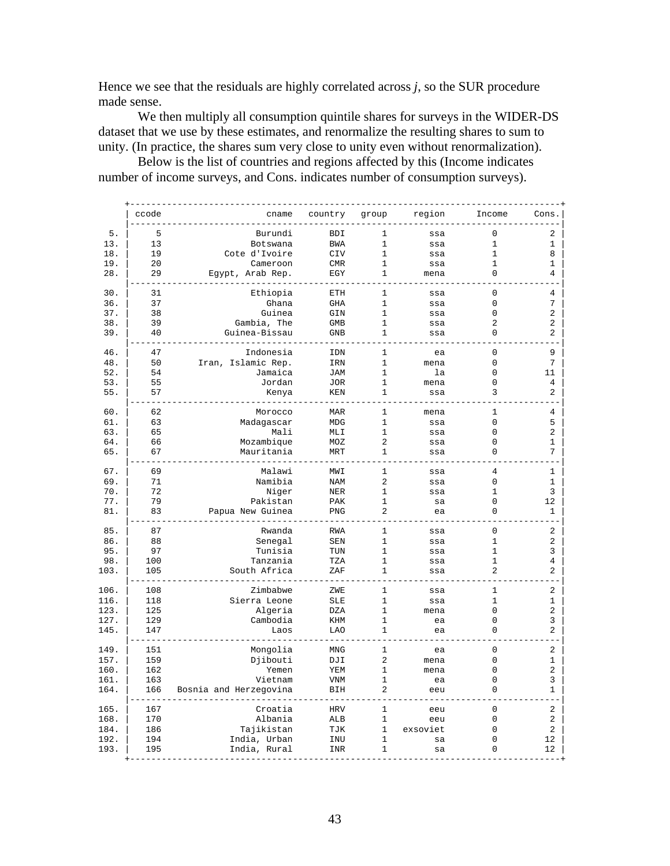Hence we see that the residuals are highly correlated across *j*, so the SUR procedure made sense.

 We then multiply all consumption quintile shares for surveys in the WIDER-DS dataset that we use by these estimates, and renormalize the resulting shares to sum to unity. (In practice, the shares sum very close to unity even without renormalization).

 Below is the list of countries and regions affected by this (Income indicates number of income surveys, and Cons. indicates number of consumption surveys).

|      | ccode | cname                  | country    | group          | region     | Income         | Cons. |
|------|-------|------------------------|------------|----------------|------------|----------------|-------|
| 5.   | 5     | Burundi                | <b>BDI</b> | 1              | ssa        | $\mathbf 0$    | 2     |
| 13.  | 13    | Botswana               | <b>BWA</b> | 1              | ssa        | $\mathbf 1$    | 1     |
| 18.  | 19    | Cote d'Ivoire          | CIV        | $\mathbf{1}$   | ssa        | 1              | 8     |
| 19.  | 2.0   | Cameroon               | <b>CMR</b> | $\mathbf{1}$   | ssa        | $\mathbf{1}$   | 1     |
| 28.  | 29    | Egypt, Arab Rep.       | EGY        | 1              | mena       | $\Omega$       | 4     |
| 30.  | 31    |                        | ETH        | 1              | ssa        | $\mathbf 0$    | 4     |
| 36.  | 37    | Ethiopia<br>Ghana      | <b>GHA</b> | 1              |            | $\mathbf 0$    | 7     |
|      |       |                        |            |                | ssa        |                |       |
| 37.  | 38    | Guinea                 | GIN        | 1              | ssa        | $\mathbf 0$    | 2     |
| 38.  | 39    | Gambia, The            | <b>GMB</b> | $\mathbf{1}$   | ssa        | $\overline{2}$ | 2     |
| 39.  | 40    | Guinea-Bissau          | GNB        | 1              | ssa        | 0              | 2     |
| 46.  | 47    | Indonesia              | IDN        | 1              | ea         | $\mathbf 0$    | 9     |
| 48.  | 50    | Iran, Islamic Rep.     | IRN        | $\mathbf{1}$   | mena       | $\mathbf 0$    | 7     |
| 52.  | 54    | Jamaica                | <b>JAM</b> | 1              | la         | 0              | 11    |
| 53.  | 55    | Jordan                 | <b>JOR</b> | 1              | mena       | 0              | 4     |
| 55.  | 57    | Kenya                  | KEN        | 1              | ssa        | 3              | 2     |
| 60.  | 62    | Morocco                | <b>MAR</b> | 1              | mena       | 1              | 4     |
| 61.  | 63    | Madagascar             | <b>MDG</b> | $\mathbf{1}$   | ssa        | $\Omega$       | 5     |
| 63.  | 65    | Mali                   | MLI        | $\mathbf{1}$   | ssa        | $\mathbf 0$    | 2     |
| 64.  | 66    | Mozambique             | MOZ        | 2              |            | 0              | 1     |
| 65.  | 67    | Mauritania             | <b>MRT</b> | $\mathbf{1}$   | ssa<br>SSA | $\Omega$       | 7     |
|      |       |                        |            |                |            |                |       |
| 67.  | 69    | Malawi                 | MWI        | 1              | ssa        | 4              | 1     |
| 69.  | 71    | Namibia                | <b>NAM</b> | $\overline{2}$ | ssa        | $\mathsf 0$    | 1     |
| 70.  | 72    | Niger                  | <b>NER</b> | 1              | ssa        | 1              | 3     |
| 77.  | 79    | Pakistan               | PAK        | 1              | sa         | 0              | 12    |
| 81.  | 83    | Papua New Guinea       | PNG        | $\overline{2}$ | ea         | $\Omega$       | 1     |
| 85.  | 87    | Rwanda                 | <b>RWA</b> | $\mathbf{1}$   | ssa        | $\mathbf 0$    | 2     |
| 86.  | 88    | Senegal                | SEN        | 1              | ssa        | 1              | 2     |
| 95.  | 97    | Tunisia                | TUN        | 1              | ssa        | 1              | 3     |
| 98.  | 100   | Tanzania               | TZA        | 1              | ssa        | 1              | 4     |
| 103. | 105   | South Africa           |            | $\mathbf{1}$   |            | 2              | 2     |
|      |       |                        | ZAF        |                | ssa        |                |       |
| 106. | 108   | Zimbabwe               | ZWE        | 1              | ssa        | 1              | 2     |
| 116. | 118   | Sierra Leone           | <b>SLE</b> | 1              | ssa        | 1              | 1     |
| 123. | 125   | Algeria                | DZA        | $\mathbf 1$    | mena       | 0              | 2     |
| 127. | 129   | Cambodia               | KHM        | $\mathbf{1}$   | ea         | $\mathbf 0$    | 3     |
| 145. | 147   | Laos                   | <b>LAO</b> | 1              | ea         | 0              | 2     |
| 149. | 151   | Mongolia               | MNG        | 1              | ea         | 0              | 2     |
| 157. | 159   | Djibouti               | DJI        | 2              | mena       | $\mathsf 0$    | 1     |
| 160. | 162   | Yemen                  | YEM        | 1              | mena       | 0              | 2     |
|      |       |                        |            |                |            | 0              |       |
| 161. | 163   | Vietnam                | <b>VNM</b> | 1              | ea         |                | 3     |
| 164. | 166   | Bosnia and Herzegovina | BIH        | 2              | eeu        | 0              | 1     |
| 165. | 167   | Croatia                | <b>HRV</b> | 1              | eeu        | 0              | 2     |
| 168. | 170   | Albania                | ALB        | $\mathbf{1}$   | eeu        | $\mathbf 0$    | 2     |
| 184. | 186   | Tajikistan             | TJK        | 1              | exsoviet   | 0              | 2     |
| 192. | 194   | India, Urban           | INU        | 1              | sa         | 0              | 12    |
| 193. | 195   | India, Rural           | INR        | 1              | sa         | 0              | 12    |
|      |       |                        |            |                |            |                |       |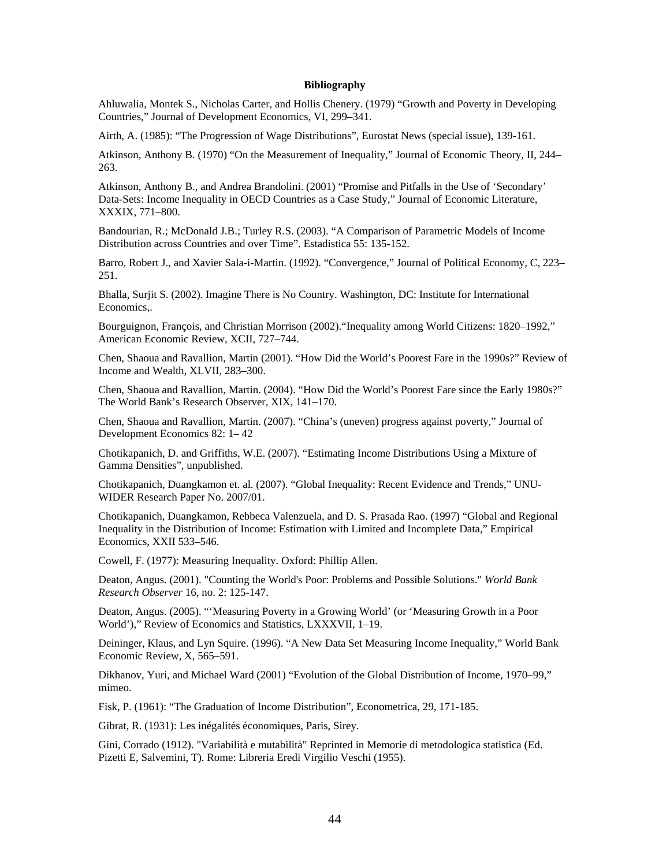#### **Bibliography**

Ahluwalia, Montek S., Nicholas Carter, and Hollis Chenery. (1979) "Growth and Poverty in Developing Countries," Journal of Development Economics, VI, 299–341.

Airth, A. (1985): "The Progression of Wage Distributions", Eurostat News (special issue), 139-161.

Atkinson, Anthony B. (1970) "On the Measurement of Inequality," Journal of Economic Theory, II, 244– 263.

Atkinson, Anthony B., and Andrea Brandolini. (2001) "Promise and Pitfalls in the Use of 'Secondary' Data-Sets: Income Inequality in OECD Countries as a Case Study," Journal of Economic Literature, XXXIX, 771–800.

Bandourian, R.; McDonald J.B.; Turley R.S. (2003). "A Comparison of Parametric Models of Income Distribution across Countries and over Time". Estadistica 55: 135-152.

Barro, Robert J., and Xavier Sala-i-Martin. (1992). "Convergence," Journal of Political Economy, C, 223– 251.

Bhalla, Surjit S. (2002). Imagine There is No Country. Washington, DC: Institute for International Economics,.

Bourguignon, François, and Christian Morrison (2002)."Inequality among World Citizens: 1820–1992," American Economic Review, XCII, 727–744.

Chen, Shaoua and Ravallion, Martin (2001). "How Did the World's Poorest Fare in the 1990s?" Review of Income and Wealth, XLVII, 283–300.

Chen, Shaoua and Ravallion, Martin. (2004). "How Did the World's Poorest Fare since the Early 1980s?" The World Bank's Research Observer, XIX, 141–170.

Chen, Shaoua and Ravallion, Martin. (2007). "China's (uneven) progress against poverty," Journal of Development Economics 82: 1– 42

Chotikapanich, D. and Griffiths, W.E. (2007). "Estimating Income Distributions Using a Mixture of Gamma Densities", unpublished.

Chotikapanich, Duangkamon et. al. (2007). "Global Inequality: Recent Evidence and Trends," UNU-WIDER Research Paper No. 2007/01.

Chotikapanich, Duangkamon, Rebbeca Valenzuela, and D. S. Prasada Rao. (1997) "Global and Regional Inequality in the Distribution of Income: Estimation with Limited and Incomplete Data," Empirical Economics, XXII 533–546.

Cowell, F. (1977): Measuring Inequality. Oxford: Phillip Allen.

Deaton, Angus. (2001). "Counting the World's Poor: Problems and Possible Solutions." *World Bank Research Observer* 16, no. 2: 125-147.

Deaton, Angus. (2005). "'Measuring Poverty in a Growing World' (or 'Measuring Growth in a Poor World')," Review of Economics and Statistics, LXXXVII, 1–19.

Deininger, Klaus, and Lyn Squire. (1996). "A New Data Set Measuring Income Inequality," World Bank Economic Review, X, 565–591.

Dikhanov, Yuri, and Michael Ward (2001) "Evolution of the Global Distribution of Income, 1970–99," mimeo.

Fisk, P. (1961): "The Graduation of Income Distribution", Econometrica, 29, 171-185.

Gibrat, R. (1931): Les inégalités économiques, Paris, Sirey.

Gini, Corrado (1912). "Variabilità e mutabilità" Reprinted in Memorie di metodologica statistica (Ed. Pizetti E, Salvemini, T). Rome: Libreria Eredi Virgilio Veschi (1955).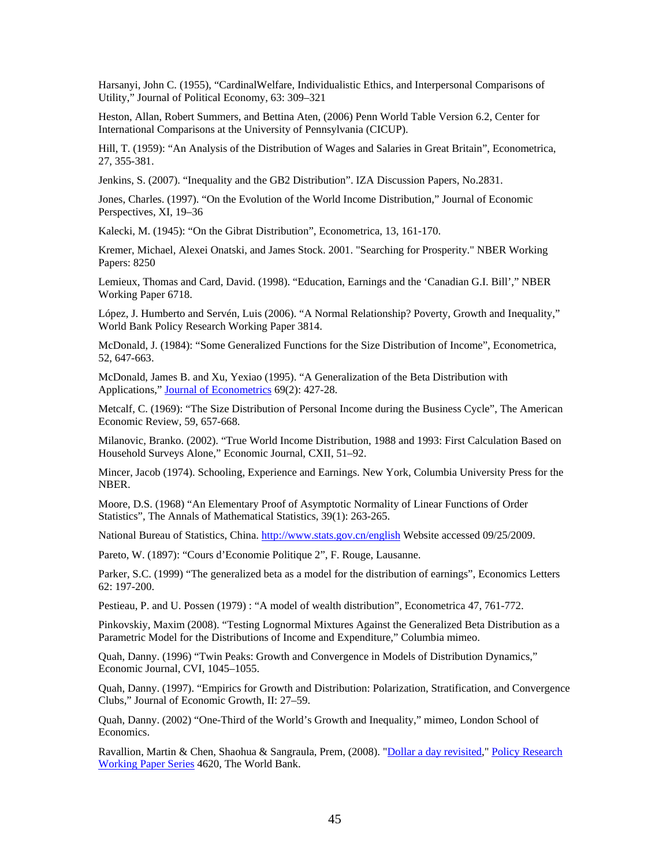Harsanyi, John C. (1955), "CardinalWelfare, Individualistic Ethics, and Interpersonal Comparisons of Utility," Journal of Political Economy, 63: 309–321

Heston, Allan, Robert Summers, and Bettina Aten, (2006) Penn World Table Version 6.2, Center for International Comparisons at the University of Pennsylvania (CICUP).

Hill, T. (1959): "An Analysis of the Distribution of Wages and Salaries in Great Britain", Econometrica, 27, 355-381.

Jenkins, S. (2007). "Inequality and the GB2 Distribution". IZA Discussion Papers, No.2831.

Jones, Charles. (1997). "On the Evolution of the World Income Distribution," Journal of Economic Perspectives, XI, 19–36

Kalecki, M. (1945): "On the Gibrat Distribution", Econometrica, 13, 161-170.

Kremer, Michael, Alexei Onatski, and James Stock. 2001. "Searching for Prosperity." NBER Working Papers: 8250

Lemieux, Thomas and Card, David. (1998). "Education, Earnings and the 'Canadian G.I. Bill'," NBER Working Paper 6718.

López, J. Humberto and Servén, Luis (2006). "A Normal Relationship? Poverty, Growth and Inequality," World Bank Policy Research Working Paper 3814.

McDonald, J. (1984): "Some Generalized Functions for the Size Distribution of Income", Econometrica, 52, 647-663.

McDonald, James B. and Xu, Yexiao (1995). "A Generalization of the Beta Distribution with Applications," Journal of Econometrics 69(2): 427-28.

Metcalf, C. (1969): "The Size Distribution of Personal Income during the Business Cycle", The American Economic Review, 59, 657-668.

Milanovic, Branko. (2002). "True World Income Distribution, 1988 and 1993: First Calculation Based on Household Surveys Alone," Economic Journal, CXII, 51–92.

Mincer, Jacob (1974). Schooling, Experience and Earnings. New York, Columbia University Press for the NBER.

Moore, D.S. (1968) "An Elementary Proof of Asymptotic Normality of Linear Functions of Order Statistics", The Annals of Mathematical Statistics, 39(1): 263-265.

National Bureau of Statistics, China. http://www.stats.gov.cn/english Website accessed 09/25/2009.

Pareto, W. (1897): "Cours d'Economie Politique 2", F. Rouge, Lausanne.

Parker, S.C. (1999) "The generalized beta as a model for the distribution of earnings", Economics Letters 62: 197-200.

Pestieau, P. and U. Possen (1979) : "A model of wealth distribution", Econometrica 47, 761-772.

Pinkovskiy, Maxim (2008). "Testing Lognormal Mixtures Against the Generalized Beta Distribution as a Parametric Model for the Distributions of Income and Expenditure," Columbia mimeo.

Quah, Danny. (1996) "Twin Peaks: Growth and Convergence in Models of Distribution Dynamics," Economic Journal, CVI, 1045–1055.

Quah, Danny. (1997). "Empirics for Growth and Distribution: Polarization, Stratification, and Convergence Clubs," Journal of Economic Growth, II: 27–59.

Quah, Danny. (2002) "One-Third of the World's Growth and Inequality," mimeo, London School of Economics.

Ravallion, Martin & Chen, Shaohua & Sangraula, Prem, (2008). "Dollar a day revisited," Policy Research Working Paper Series 4620, The World Bank.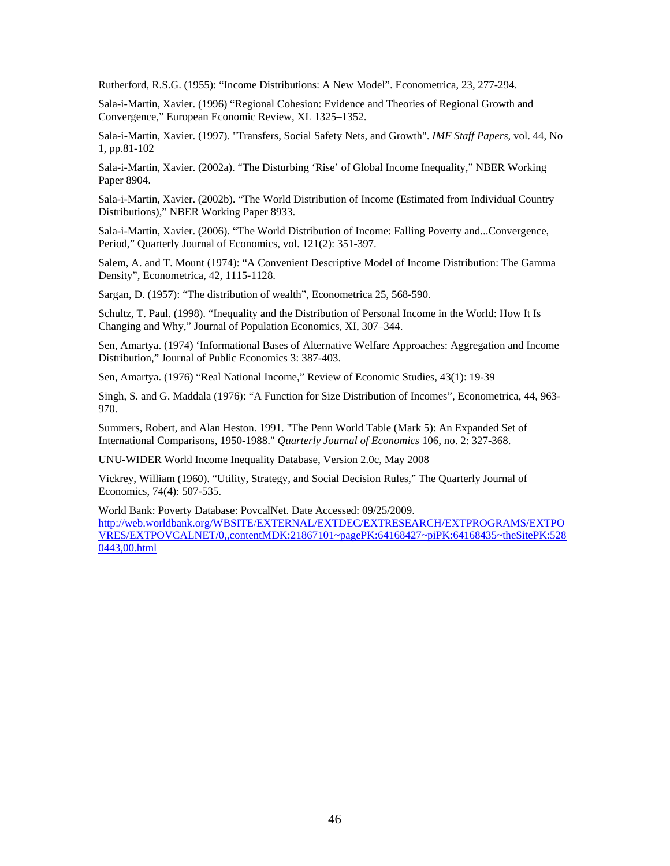Rutherford, R.S.G. (1955): "Income Distributions: A New Model". Econometrica, 23, 277-294.

Sala-i-Martin, Xavier. (1996) "Regional Cohesion: Evidence and Theories of Regional Growth and Convergence," European Economic Review, XL 1325–1352.

Sala-i-Martin, Xavier. (1997). "Transfers, Social Safety Nets, and Growth". *IMF Staff Papers*, vol. 44, No 1, pp.81-102

Sala-i-Martin, Xavier. (2002a). "The Disturbing 'Rise' of Global Income Inequality," NBER Working Paper 8904.

Sala-i-Martin, Xavier. (2002b). "The World Distribution of Income (Estimated from Individual Country Distributions)," NBER Working Paper 8933.

Sala-i-Martin, Xavier. (2006). "The World Distribution of Income: Falling Poverty and...Convergence, Period," Quarterly Journal of Economics, vol. 121(2): 351-397.

Salem, A. and T. Mount (1974): "A Convenient Descriptive Model of Income Distribution: The Gamma Density", Econometrica, 42, 1115-1128.

Sargan, D. (1957): "The distribution of wealth", Econometrica 25, 568-590.

Schultz, T. Paul. (1998). "Inequality and the Distribution of Personal Income in the World: How It Is Changing and Why," Journal of Population Economics, XI, 307–344.

Sen, Amartya. (1974) 'Informational Bases of Alternative Welfare Approaches: Aggregation and Income Distribution," Journal of Public Economics 3: 387-403.

Sen, Amartya. (1976) "Real National Income," Review of Economic Studies, 43(1): 19-39

Singh, S. and G. Maddala (1976): "A Function for Size Distribution of Incomes", Econometrica, 44, 963- 970.

Summers, Robert, and Alan Heston. 1991. "The Penn World Table (Mark 5): An Expanded Set of International Comparisons, 1950-1988." *Quarterly Journal of Economics* 106, no. 2: 327-368.

UNU-WIDER World Income Inequality Database, Version 2.0c, May 2008

Vickrey, William (1960). "Utility, Strategy, and Social Decision Rules," The Quarterly Journal of Economics, 74(4): 507-535.

World Bank: Poverty Database: PovcalNet. Date Accessed: 09/25/2009.

http://web.worldbank.org/WBSITE/EXTERNAL/EXTDEC/EXTRESEARCH/EXTPROGRAMS/EXTPO VRES/EXTPOVCALNET/0,,contentMDK:21867101~pagePK:64168427~piPK:64168435~theSitePK:528 0443,00.html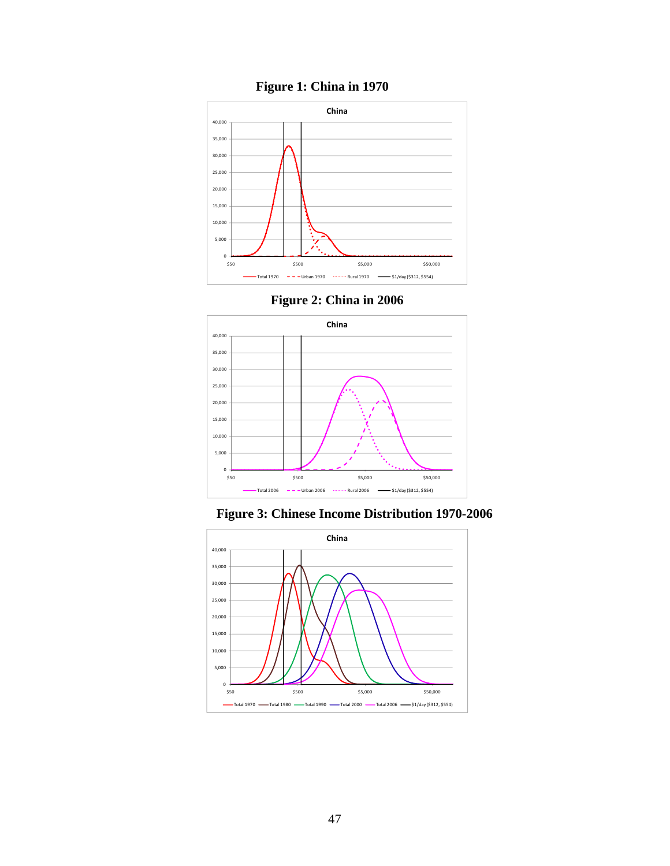

**Figure 1: China in 1970** 





**Figure 3: Chinese Income Distribution 1970-2006** 

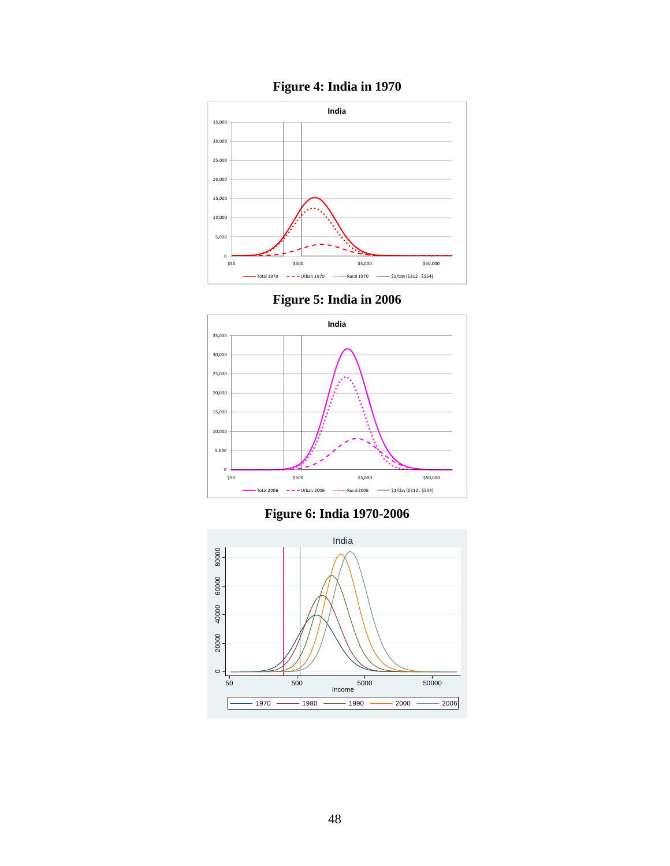

**Figure 4: India in 1970** 

**Figure 5: India in 2006** 



**Figure 6: India 1970-2006** 

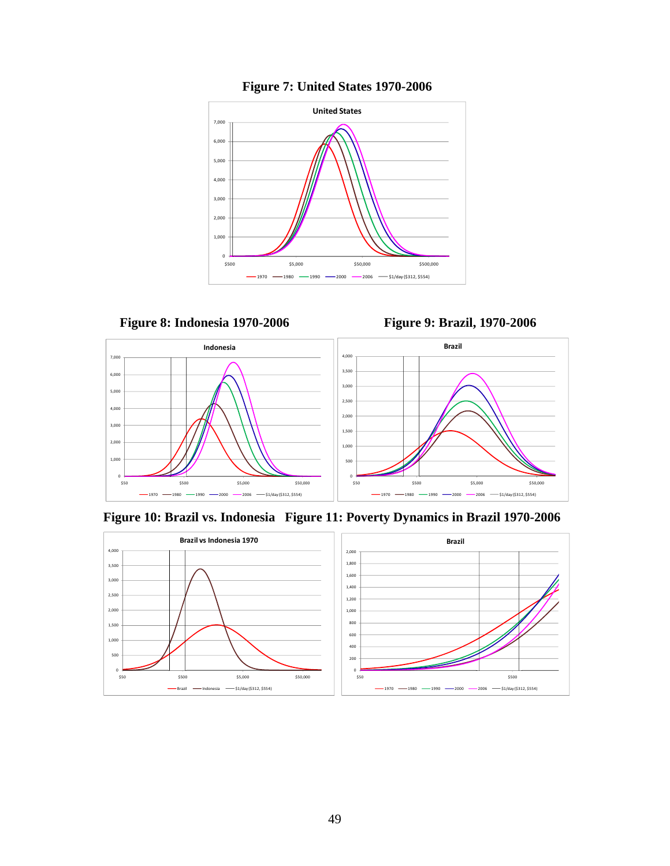





**Figure 10: Brazil vs. Indonesia Figure 11: Poverty Dynamics in Brazil 1970-2006** 

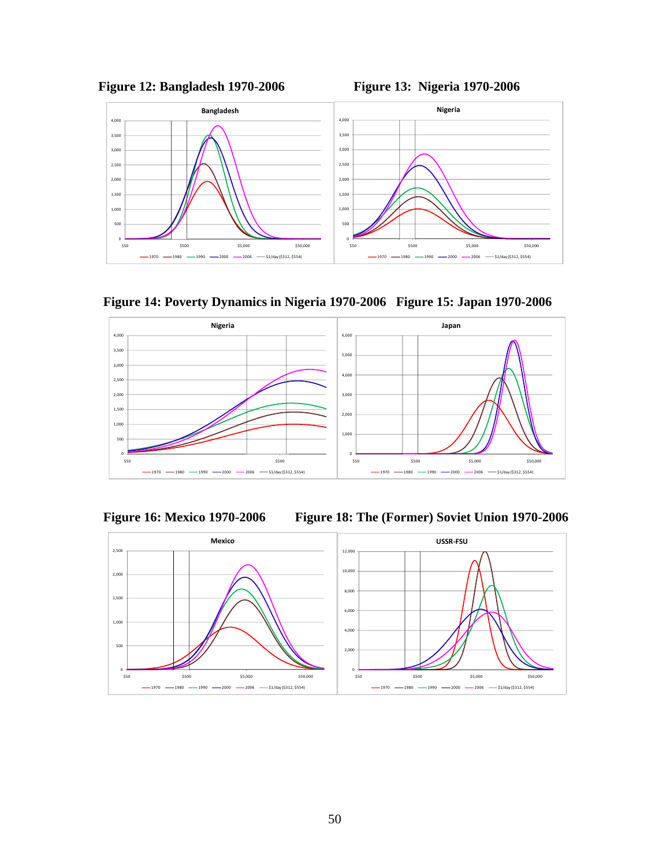



**Figure 14: Poverty Dynamics in Nigeria 1970-2006 Figure 15: Japan 1970-2006** 





**Figure 16: Mexico 1970-2006 Figure 18: The (Former) Soviet Union 1970-2006** 

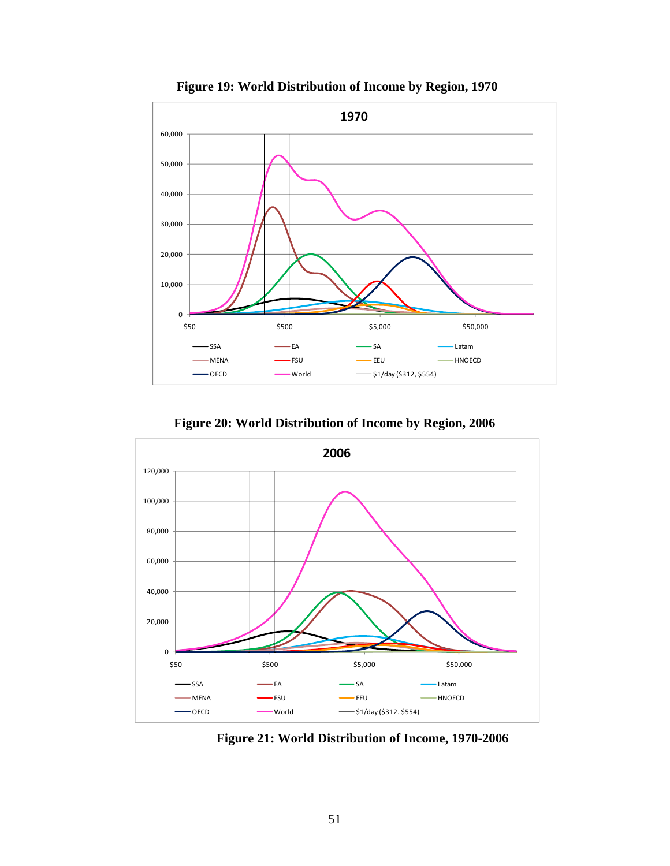

**Figure 19: World Distribution of Income by Region, 1970** 

**Figure 20: World Distribution of Income by Region, 2006** 



**Figure 21: World Distribution of Income, 1970-2006**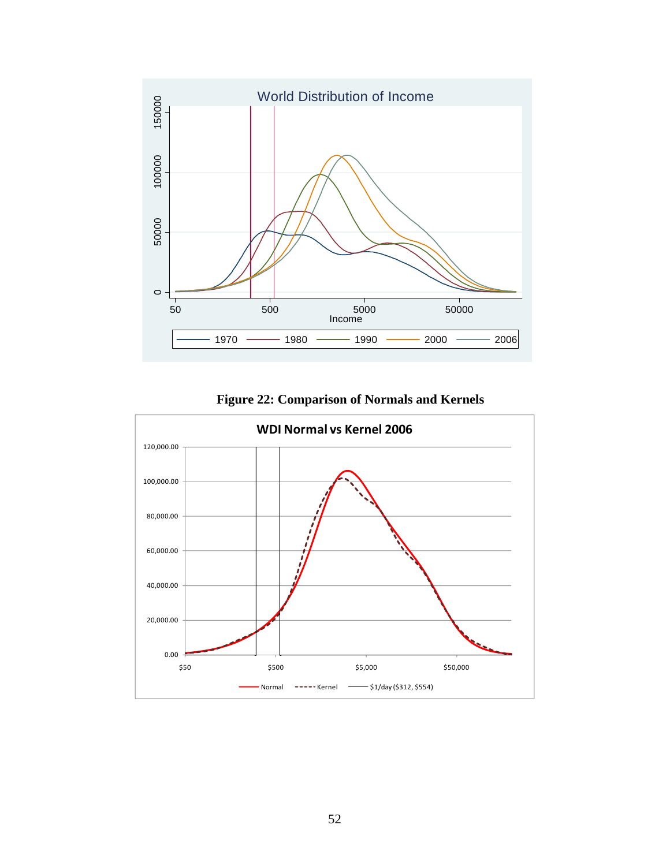

**Figure 22: Comparison of Normals and Kernels** 

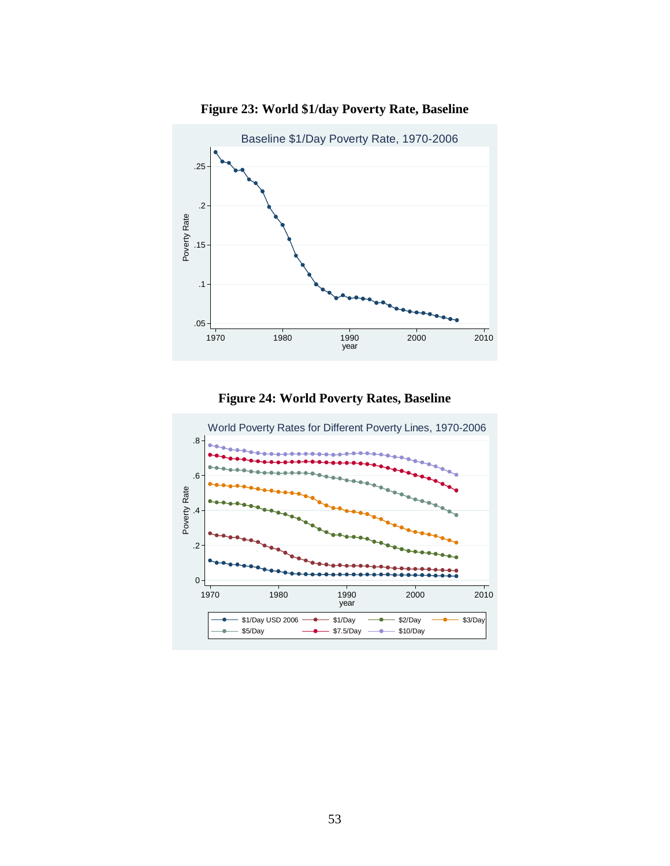

**Figure 23: World \$1/day Poverty Rate, Baseline** 



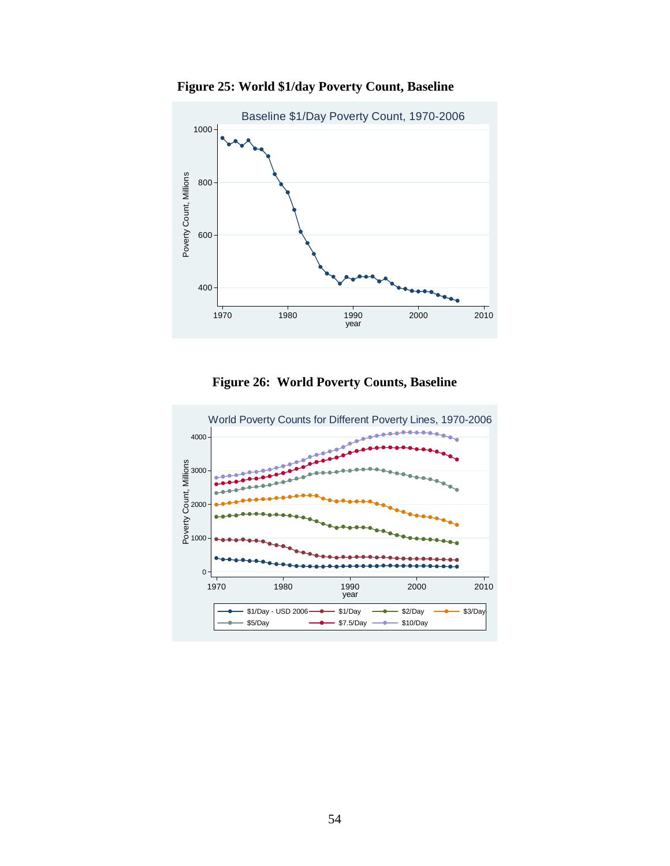

 **Figure 25: World \$1/day Poverty Count, Baseline** 

**Figure 26: World Poverty Counts, Baseline** 

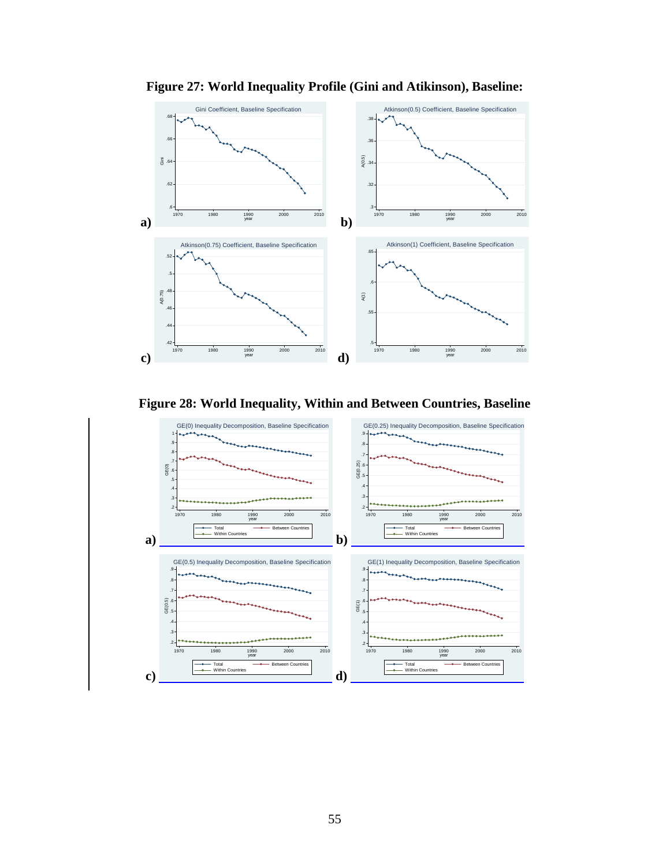

**Figure 27: World Inequality Profile (Gini and Atikinson), Baseline:** 

**Figure 28: World Inequality, Within and Between Countries, Baseline** 

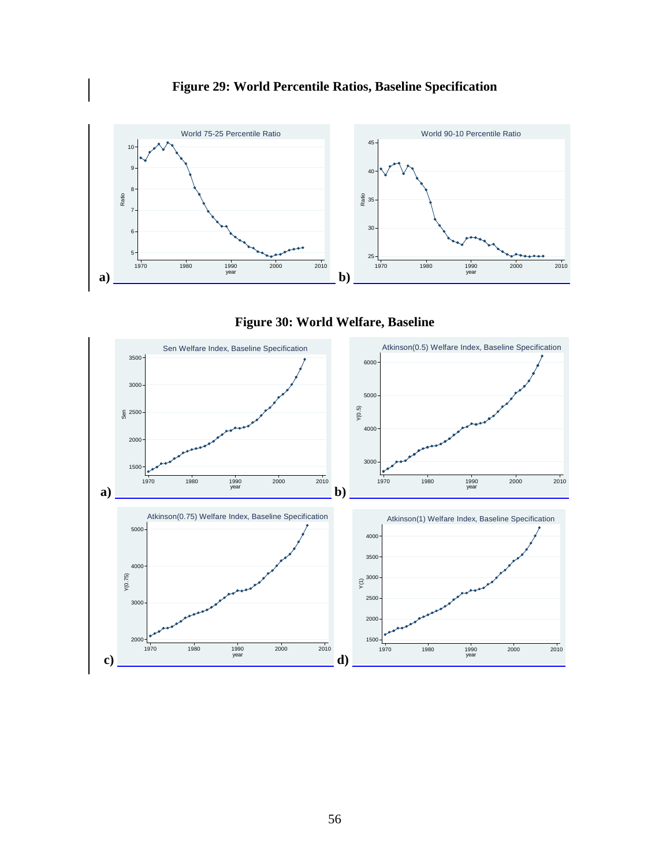





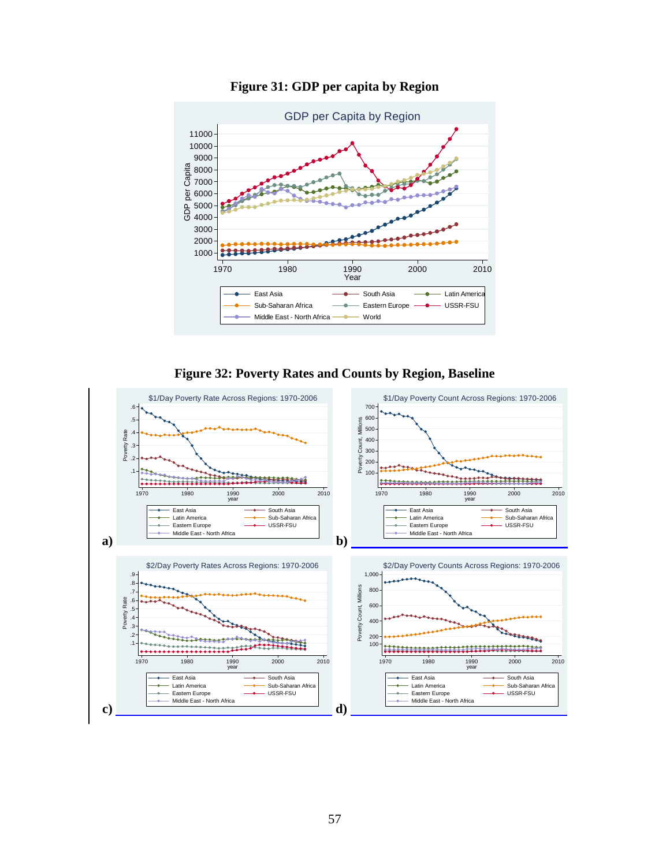

**Figure 31: GDP per capita by Region** 



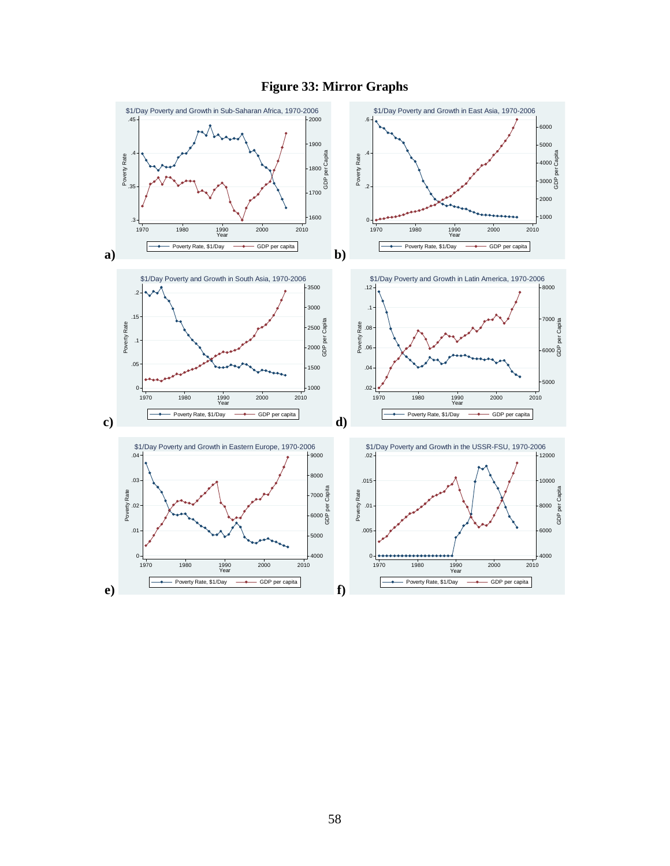

## **Figure 33: Mirror Graphs**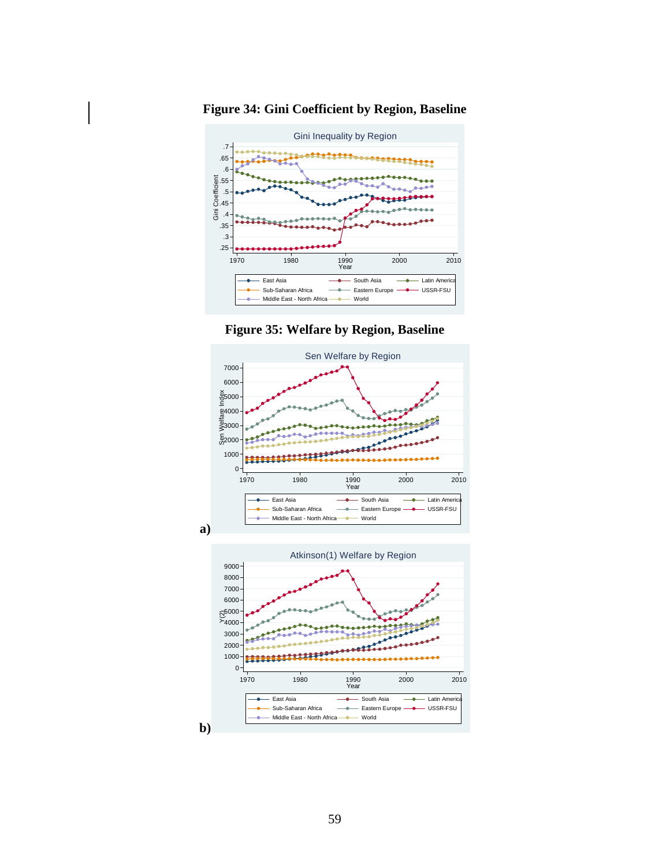

**Figure 34: Gini Coefficient by Region, Baseline**





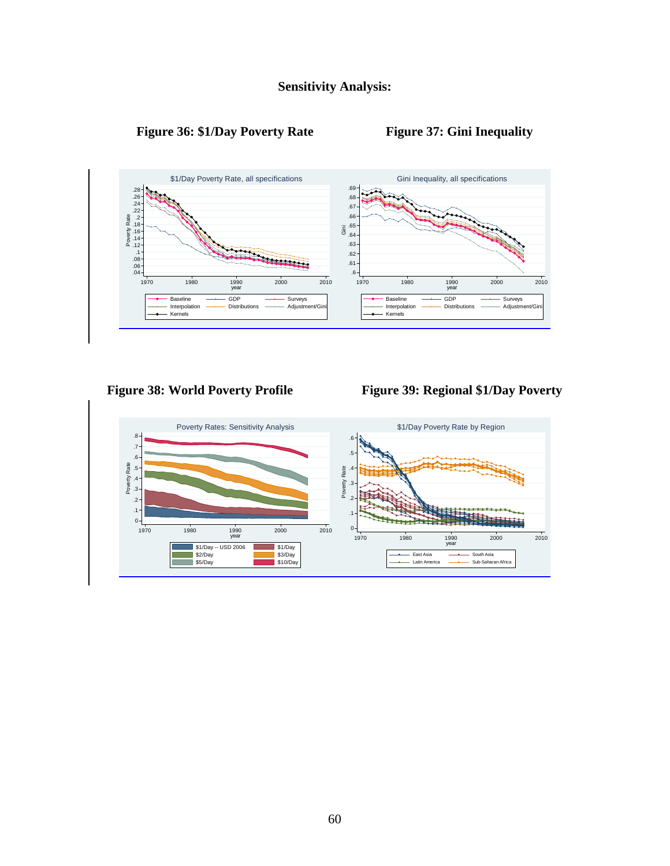

# Figure 36: \$1/Day Poverty Rate Figure 37: Gini Inequality



Figure 38: World Poverty Profile Figure 39: Regional \$1/Day Poverty

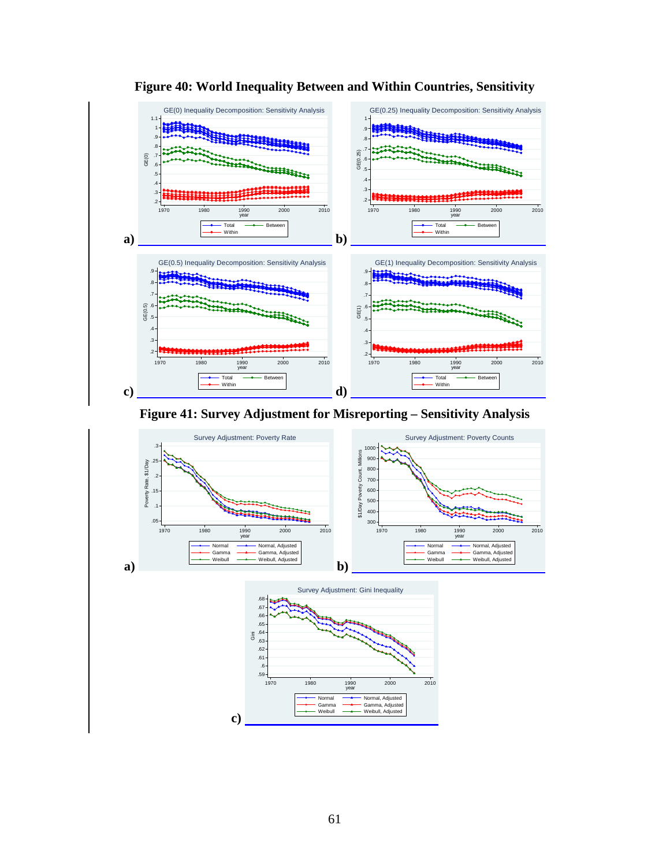

**Figure 40: World Inequality Between and Within Countries, Sensitivity** 



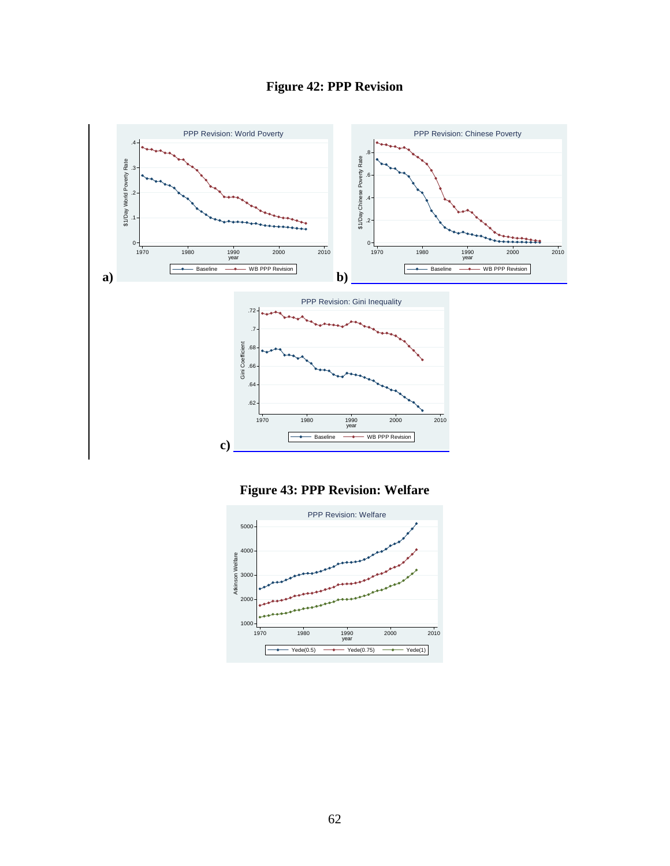





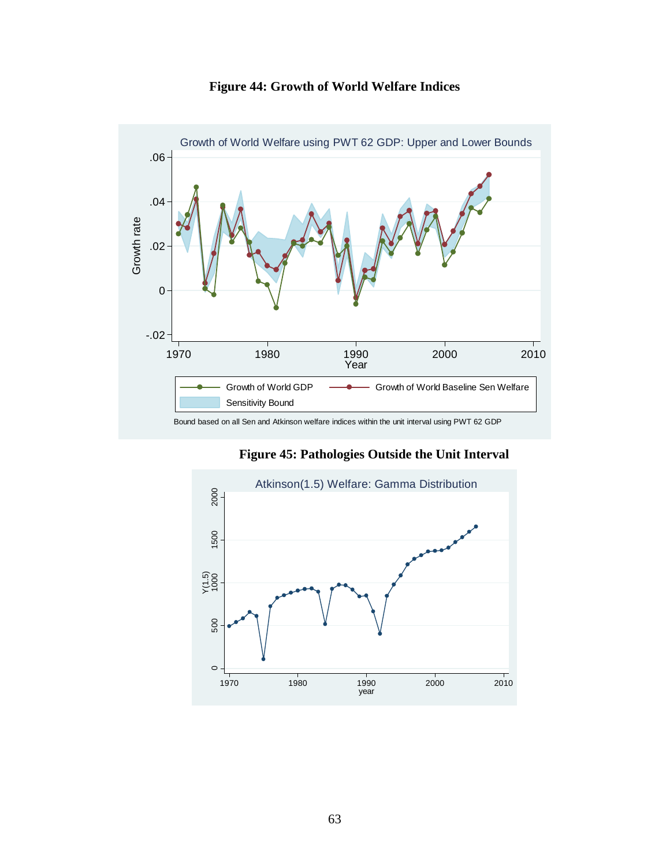

**Figure 44: Growth of World Welfare Indices** 

**Figure 45: Pathologies Outside the Unit Interval** 

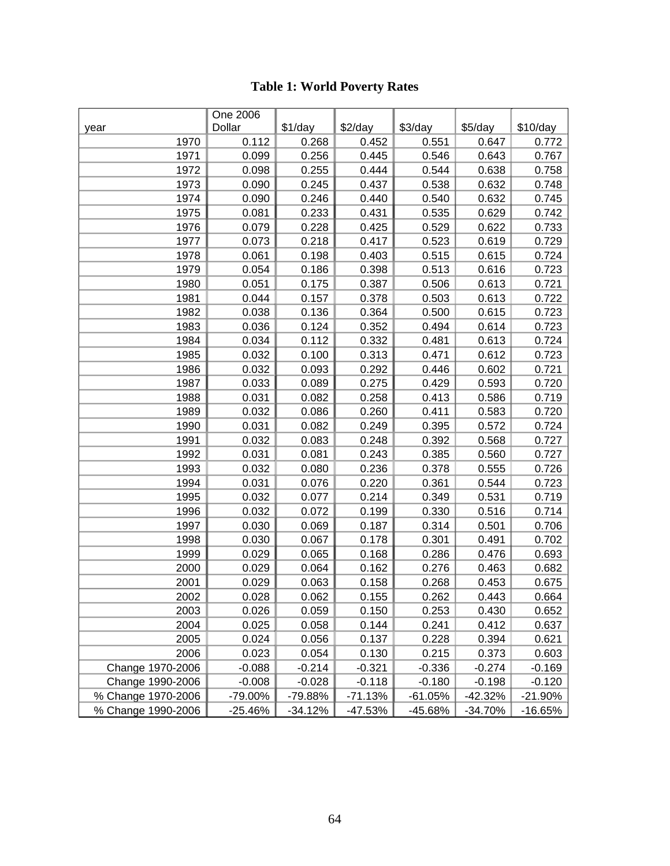|                    | One 2006  |           |           |           |           |           |
|--------------------|-----------|-----------|-----------|-----------|-----------|-----------|
| year               | Dollar    | \$1/day   | $$2$ /day | $$3$ /day | $$5$ /day | \$10/day  |
| 1970               | 0.112     | 0.268     | 0.452     | 0.551     | 0.647     | 0.772     |
| 1971               | 0.099     | 0.256     | 0.445     | 0.546     | 0.643     | 0.767     |
| 1972               | 0.098     | 0.255     | 0.444     | 0.544     | 0.638     | 0.758     |
| 1973               | 0.090     | 0.245     | 0.437     | 0.538     | 0.632     | 0.748     |
| 1974               | 0.090     | 0.246     | 0.440     | 0.540     | 0.632     | 0.745     |
| 1975               | 0.081     | 0.233     | 0.431     | 0.535     | 0.629     | 0.742     |
| 1976               | 0.079     | 0.228     | 0.425     | 0.529     | 0.622     | 0.733     |
| 1977               | 0.073     | 0.218     | 0.417     | 0.523     | 0.619     | 0.729     |
| 1978               | 0.061     | 0.198     | 0.403     | 0.515     | 0.615     | 0.724     |
| 1979               | 0.054     | 0.186     | 0.398     | 0.513     | 0.616     | 0.723     |
| 1980               | 0.051     | 0.175     | 0.387     | 0.506     | 0.613     | 0.721     |
| 1981               | 0.044     | 0.157     | 0.378     | 0.503     | 0.613     | 0.722     |
| 1982               | 0.038     | 0.136     | 0.364     | 0.500     | 0.615     | 0.723     |
| 1983               | 0.036     | 0.124     | 0.352     | 0.494     | 0.614     | 0.723     |
| 1984               | 0.034     | 0.112     | 0.332     | 0.481     | 0.613     | 0.724     |
| 1985               | 0.032     | 0.100     | 0.313     | 0.471     | 0.612     | 0.723     |
| 1986               | 0.032     | 0.093     | 0.292     | 0.446     | 0.602     | 0.721     |
| 1987               | 0.033     | 0.089     | 0.275     | 0.429     | 0.593     | 0.720     |
| 1988               | 0.031     | 0.082     | 0.258     | 0.413     | 0.586     | 0.719     |
| 1989               | 0.032     | 0.086     | 0.260     | 0.411     | 0.583     | 0.720     |
| 1990               | 0.031     | 0.082     | 0.249     | 0.395     | 0.572     | 0.724     |
| 1991               | 0.032     | 0.083     | 0.248     | 0.392     | 0.568     | 0.727     |
| 1992               | 0.031     | 0.081     | 0.243     | 0.385     | 0.560     | 0.727     |
| 1993               | 0.032     | 0.080     | 0.236     | 0.378     | 0.555     | 0.726     |
| 1994               | 0.031     | 0.076     | 0.220     | 0.361     | 0.544     | 0.723     |
| 1995               | 0.032     | 0.077     | 0.214     | 0.349     | 0.531     | 0.719     |
| 1996               | 0.032     | 0.072     | 0.199     | 0.330     | 0.516     | 0.714     |
| 1997               | 0.030     | 0.069     | 0.187     | 0.314     | 0.501     | 0.706     |
| 1998               | 0.030     | 0.067     | 0.178     | 0.301     | 0.491     | 0.702     |
| 1999               | 0.029     | 0.065     | 0.168     | 0.286     | 0.476     | 0.693     |
| 2000               | 0.029     | 0.064     | 0.162     | 0.276     | 0.463     | 0.682     |
| 2001               | 0.029     | 0.063     | 0.158     | 0.268     | 0.453     | 0.675     |
| 2002               | 0.028     | 0.062     | 0.155     | 0.262     | 0.443     | 0.664     |
| 2003               | 0.026     | 0.059     | 0.150     | 0.253     | 0.430     | 0.652     |
| 2004               | 0.025     | 0.058     | 0.144     | 0.241     | 0.412     | 0.637     |
| 2005               | 0.024     | 0.056     | 0.137     | 0.228     | 0.394     | 0.621     |
| 2006               | 0.023     | 0.054     | 0.130     | 0.215     | 0.373     | 0.603     |
| Change 1970-2006   | $-0.088$  | $-0.214$  | $-0.321$  | $-0.336$  | $-0.274$  | $-0.169$  |
| Change 1990-2006   | $-0.008$  | $-0.028$  | $-0.118$  | $-0.180$  | $-0.198$  | $-0.120$  |
| % Change 1970-2006 | -79.00%   | -79.88%   | $-71.13%$ | $-61.05%$ | $-42.32%$ | $-21.90%$ |
| % Change 1990-2006 | $-25.46%$ | $-34.12%$ | -47.53%   | -45.68%   | -34.70%   | $-16.65%$ |

# **Table 1: World Poverty Rates**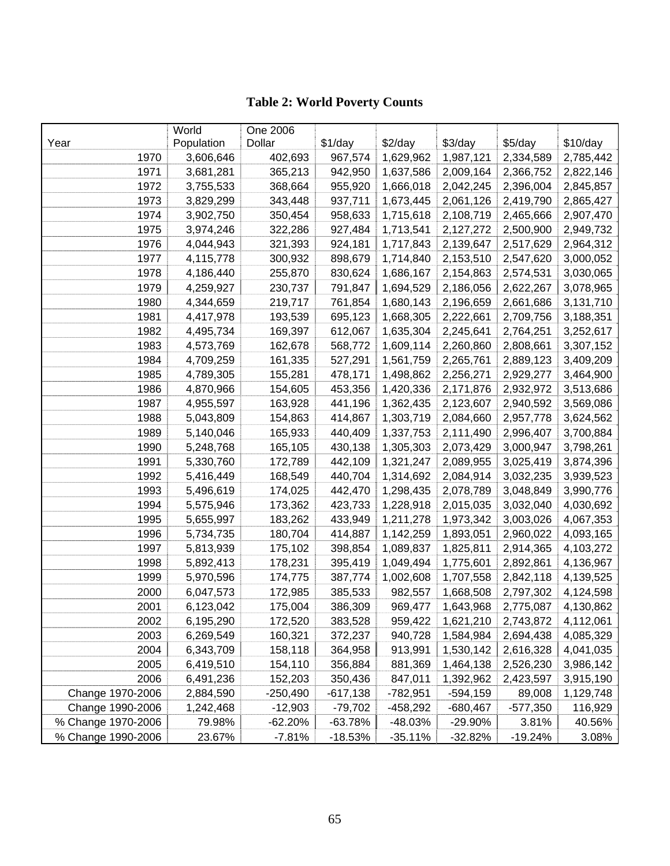# **Table 2: World Poverty Counts**

|                    | World      | One 2006   |            |            |            |            |           |
|--------------------|------------|------------|------------|------------|------------|------------|-----------|
| Year               | Population | Dollar     | \$1/day    | $$2$ /day  | $$3$ /day  | \$5/day    | \$10/day  |
| 1970               | 3,606,646  | 402,693    | 967,574    | 1,629,962  | 1,987,121  | 2,334,589  | 2,785,442 |
| 1971               | 3,681,281  | 365,213    | 942,950    | 1,637,586  | 2,009,164  | 2,366,752  | 2,822,146 |
| 1972               | 3,755,533  | 368,664    | 955,920    | 1,666,018  | 2,042,245  | 2,396,004  | 2,845,857 |
| 1973               | 3,829,299  | 343,448    | 937,711    | 1,673,445  | 2,061,126  | 2,419,790  | 2,865,427 |
| 1974               | 3,902,750  | 350,454    | 958,633    | 1,715,618  | 2,108,719  | 2,465,666  | 2,907,470 |
| 1975               | 3,974,246  | 322,286    | 927,484    | 1,713,541  | 2,127,272  | 2,500,900  | 2,949,732 |
| 1976               | 4,044,943  | 321,393    | 924,181    | 1,717,843  | 2,139,647  | 2,517,629  | 2,964,312 |
| 1977               | 4,115,778  | 300,932    | 898,679    | 1,714,840  | 2,153,510  | 2,547,620  | 3,000,052 |
| 1978               | 4,186,440  | 255,870    | 830,624    | 1,686,167  | 2,154,863  | 2,574,531  | 3,030,065 |
| 1979               | 4,259,927  | 230,737    | 791,847    | 1,694,529  | 2,186,056  | 2,622,267  | 3,078,965 |
| 1980               | 4,344,659  | 219,717    | 761,854    | 1,680,143  | 2,196,659  | 2,661,686  | 3,131,710 |
| 1981               | 4,417,978  | 193,539    | 695,123    | 1,668,305  | 2,222,661  | 2,709,756  | 3,188,351 |
| 1982               | 4,495,734  | 169,397    | 612,067    | 1,635,304  | 2,245,641  | 2,764,251  | 3,252,617 |
| 1983               | 4,573,769  | 162,678    | 568,772    | 1,609,114  | 2,260,860  | 2,808,661  | 3,307,152 |
| 1984               | 4,709,259  | 161,335    | 527,291    | 1,561,759  | 2,265,761  | 2,889,123  | 3,409,209 |
| 1985               | 4,789,305  | 155,281    | 478,171    | 1,498,862  | 2,256,271  | 2,929,277  | 3,464,900 |
| 1986               | 4,870,966  | 154,605    | 453,356    | 1,420,336  | 2,171,876  | 2,932,972  | 3,513,686 |
| 1987               | 4,955,597  | 163,928    | 441,196    | 1,362,435  | 2,123,607  | 2,940,592  | 3,569,086 |
| 1988               | 5,043,809  | 154,863    | 414,867    | 1,303,719  | 2,084,660  | 2,957,778  | 3,624,562 |
| 1989               | 5,140,046  | 165,933    | 440,409    | 1,337,753  | 2,111,490  | 2,996,407  | 3,700,884 |
| 1990               | 5,248,768  | 165,105    | 430,138    | 1,305,303  | 2,073,429  | 3,000,947  | 3,798,261 |
| 1991               | 5,330,760  | 172,789    | 442,109    | 1,321,247  | 2,089,955  | 3,025,419  | 3,874,396 |
| 1992               | 5,416,449  | 168,549    | 440,704    | 1,314,692  | 2,084,914  | 3,032,235  | 3,939,523 |
| 1993               | 5,496,619  | 174,025    | 442,470    | 1,298,435  | 2,078,789  | 3,048,849  | 3,990,776 |
| 1994               | 5,575,946  | 173,362    | 423,733    | 1,228,918  | 2,015,035  | 3,032,040  | 4,030,692 |
| 1995               | 5,655,997  | 183,262    | 433,949    | 1,211,278  | 1,973,342  | 3,003,026  | 4,067,353 |
| 1996               | 5,734,735  | 180,704    | 414,887    | 1,142,259  | 1,893,051  | 2,960,022  | 4,093,165 |
| 1997               | 5,813,939  | 175,102    | 398,854    | 1,089,837  | 1,825,811  | 2,914,365  | 4,103,272 |
| 1998               | 5,892,413  | 178,231    | 395,419    | 1,049,494  | 1,775,601  | 2,892,861  | 4,136,967 |
| 1999               | 5,970,596  | 174,775    | 387,774    | 1,002,608  | 1,707,558  | 2,842,118  | 4,139,525 |
| 2000               | 6,047,573  | 172,985    | 385,533    | 982,557    | 1,668,508  | 2,797,302  | 4,124,598 |
| 2001               | 6,123,042  | 175,004    | 386,309    | 969,477    | 1,643,968  | 2,775,087  | 4,130,862 |
| 2002               | 6,195,290  | 172,520    | 383,528    | 959,422    | 1,621,210  | 2,743,872  | 4,112,061 |
| 2003               | 6,269,549  | 160,321    | 372,237    | 940,728    | 1,584,984  | 2,694,438  | 4,085,329 |
| 2004               | 6,343,709  | 158,118    | 364,958    | 913,991    | 1,530,142  | 2,616,328  | 4,041,035 |
| 2005               | 6,419,510  | 154,110    | 356,884    | 881,369    | 1,464,138  | 2,526,230  | 3,986,142 |
| 2006               | 6,491,236  | 152,203    | 350,436    | 847,011    | 1,392,962  | 2,423,597  | 3,915,190 |
| Change 1970-2006   | 2,884,590  | $-250,490$ | $-617,138$ | $-782,951$ | $-594,159$ | 89,008     | 1,129,748 |
| Change 1990-2006   | 1,242,468  | $-12,903$  | $-79,702$  | $-458,292$ | $-680,467$ | $-577,350$ | 116,929   |
| % Change 1970-2006 | 79.98%     | $-62.20%$  | $-63.78%$  | -48.03%    | -29.90%    | 3.81%      | 40.56%    |
| % Change 1990-2006 | 23.67%     | $-7.81%$   | $-18.53%$  | $-35.11%$  | -32.82%    | -19.24%    | 3.08%     |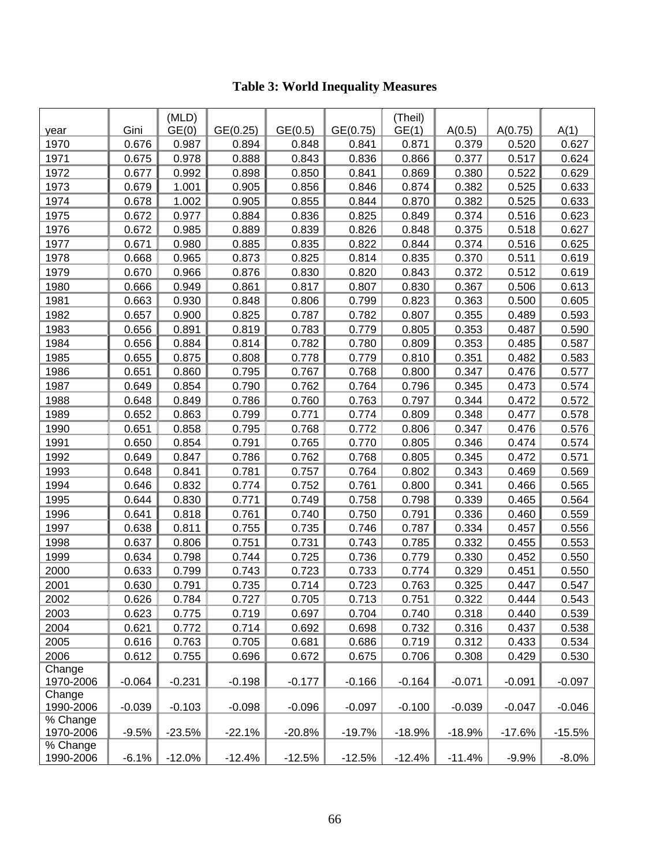|                       |          | (MLD)    |          |          |          | (Theil)  |          |          |          |
|-----------------------|----------|----------|----------|----------|----------|----------|----------|----------|----------|
| year                  | Gini     | GE(0)    | GE(0.25) | GE(0.5)  | GE(0.75) | GE(1)    | A(0.5)   | A(0.75)  | A(1)     |
| 1970                  | 0.676    | 0.987    | 0.894    | 0.848    | 0.841    | 0.871    | 0.379    | 0.520    | 0.627    |
| 1971                  | 0.675    | 0.978    | 0.888    | 0.843    | 0.836    | 0.866    | 0.377    | 0.517    | 0.624    |
| 1972                  | 0.677    | 0.992    | 0.898    | 0.850    | 0.841    | 0.869    | 0.380    | 0.522    | 0.629    |
| 1973                  | 0.679    | 1.001    | 0.905    | 0.856    | 0.846    | 0.874    | 0.382    | 0.525    | 0.633    |
| 1974                  | 0.678    | 1.002    | 0.905    | 0.855    | 0.844    | 0.870    | 0.382    | 0.525    | 0.633    |
| 1975                  | 0.672    | 0.977    | 0.884    | 0.836    | 0.825    | 0.849    | 0.374    | 0.516    | 0.623    |
| 1976                  | 0.672    | 0.985    | 0.889    | 0.839    | 0.826    | 0.848    | 0.375    | 0.518    | 0.627    |
| 1977                  | 0.671    | 0.980    | 0.885    | 0.835    | 0.822    | 0.844    | 0.374    | 0.516    | 0.625    |
| 1978                  | 0.668    | 0.965    | 0.873    | 0.825    | 0.814    | 0.835    | 0.370    | 0.511    | 0.619    |
| 1979                  | 0.670    | 0.966    | 0.876    | 0.830    | 0.820    | 0.843    | 0.372    | 0.512    | 0.619    |
| 1980                  | 0.666    | 0.949    | 0.861    | 0.817    | 0.807    | 0.830    | 0.367    | 0.506    | 0.613    |
| 1981                  | 0.663    | 0.930    | 0.848    | 0.806    | 0.799    | 0.823    | 0.363    | 0.500    | 0.605    |
| 1982                  | 0.657    | 0.900    | 0.825    | 0.787    | 0.782    | 0.807    | 0.355    | 0.489    | 0.593    |
| 1983                  | 0.656    | 0.891    | 0.819    | 0.783    | 0.779    | 0.805    | 0.353    | 0.487    | 0.590    |
| 1984                  | 0.656    | 0.884    | 0.814    | 0.782    | 0.780    | 0.809    | 0.353    | 0.485    | 0.587    |
| 1985                  | 0.655    | 0.875    | 0.808    | 0.778    | 0.779    | 0.810    | 0.351    | 0.482    | 0.583    |
| 1986                  | 0.651    | 0.860    | 0.795    | 0.767    | 0.768    | 0.800    | 0.347    | 0.476    | 0.577    |
| 1987                  | 0.649    | 0.854    | 0.790    | 0.762    | 0.764    | 0.796    | 0.345    | 0.473    | 0.574    |
| 1988                  | 0.648    | 0.849    | 0.786    | 0.760    | 0.763    | 0.797    | 0.344    | 0.472    | 0.572    |
| 1989                  | 0.652    | 0.863    | 0.799    | 0.771    | 0.774    | 0.809    | 0.348    | 0.477    | 0.578    |
| 1990                  | 0.651    | 0.858    | 0.795    | 0.768    | 0.772    | 0.806    | 0.347    | 0.476    | 0.576    |
| 1991                  | 0.650    | 0.854    | 0.791    | 0.765    | 0.770    | 0.805    | 0.346    | 0.474    | 0.574    |
| 1992                  | 0.649    | 0.847    | 0.786    | 0.762    | 0.768    | 0.805    | 0.345    | 0.472    | 0.571    |
| 1993                  | 0.648    | 0.841    | 0.781    | 0.757    | 0.764    | 0.802    | 0.343    | 0.469    | 0.569    |
| 1994                  | 0.646    | 0.832    | 0.774    | 0.752    | 0.761    | 0.800    | 0.341    | 0.466    | 0.565    |
| 1995                  | 0.644    | 0.830    | 0.771    | 0.749    | 0.758    | 0.798    | 0.339    | 0.465    | 0.564    |
| 1996                  | 0.641    | 0.818    | 0.761    | 0.740    | 0.750    | 0.791    | 0.336    | 0.460    | 0.559    |
| 1997                  | 0.638    | 0.811    | 0.755    | 0.735    | 0.746    | 0.787    | 0.334    | 0.457    | 0.556    |
| 1998                  | 0.637    | 0.806    | 0.751    | 0.731    | 0.743    | 0.785    | 0.332    | 0.455    | 0.553    |
| 1999                  | 0.634    | 0.798    | 0.744    | 0.725    | 0.736    | 0.779    | 0.330    | 0.452    | 0.550    |
| 2000                  | 0.633    | 0.799    | 0.743    | 0.723    | 0.733    | 0.774    | 0.329    | 0.451    | 0.550    |
| 2001                  | 0.630    | 0.791    | 0.735    | 0.714    | 0.723    | 0.763    | 0.325    | 0.447    | 0.547    |
| 2002                  | 0.626    | 0.784    | 0.727    | 0.705    | 0.713    | 0.751    | 0.322    | 0.444    | 0.543    |
| 2003                  | 0.623    | 0.775    | 0.719    | 0.697    | 0.704    | 0.740    | 0.318    | 0.440    | 0.539    |
| 2004                  | 0.621    | 0.772    | 0.714    | 0.692    | 0.698    | 0.732    | 0.316    | 0.437    | 0.538    |
| 2005                  | 0.616    | 0.763    | 0.705    | 0.681    | 0.686    | 0.719    | 0.312    | 0.433    | 0.534    |
| 2006                  | 0.612    | 0.755    | 0.696    | 0.672    | 0.675    | 0.706    | 0.308    | 0.429    | 0.530    |
| Change                |          |          |          |          |          |          |          |          |          |
| 1970-2006             | $-0.064$ | $-0.231$ | $-0.198$ | $-0.177$ | $-0.166$ | $-0.164$ | $-0.071$ | $-0.091$ | $-0.097$ |
| Change                |          |          |          |          |          |          |          |          |          |
| 1990-2006             | $-0.039$ | $-0.103$ | $-0.098$ | $-0.096$ | $-0.097$ | $-0.100$ | $-0.039$ | $-0.047$ | $-0.046$ |
| % Change              |          |          |          |          |          |          |          |          |          |
| 1970-2006             | $-9.5%$  | $-23.5%$ | $-22.1%$ | $-20.8%$ | $-19.7%$ | $-18.9%$ | $-18.9%$ | $-17.6%$ | $-15.5%$ |
| % Change<br>1990-2006 | $-6.1%$  | $-12.0%$ | $-12.4%$ | $-12.5%$ | $-12.5%$ | $-12.4%$ | $-11.4%$ | $-9.9%$  | $-8.0\%$ |
|                       |          |          |          |          |          |          |          |          |          |

# **Table 3: World Inequality Measures**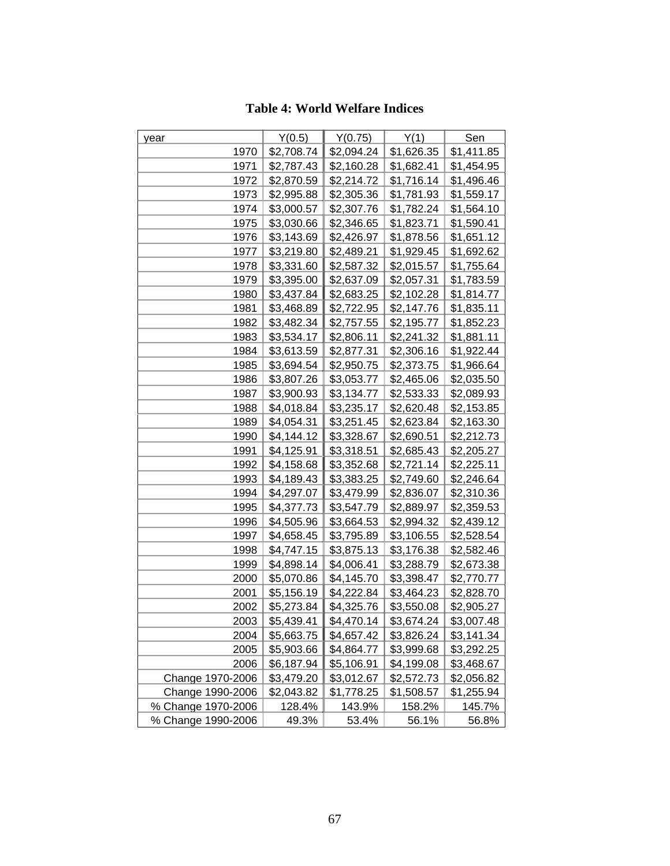## **Table 4: World Welfare Indices**

| year               | Y(0.5)     | Y(0.75)    | Y(1)       | Sen        |
|--------------------|------------|------------|------------|------------|
| 1970               | \$2,708.74 | \$2,094.24 | \$1,626.35 | \$1,411.85 |
| 1971               | \$2,787.43 | \$2,160.28 | \$1,682.41 | \$1,454.95 |
| 1972               | \$2,870.59 | \$2,214.72 | \$1,716.14 | \$1,496.46 |
| 1973               | \$2,995.88 | \$2,305.36 | \$1,781.93 | \$1,559.17 |
| 1974               | \$3,000.57 | \$2,307.76 | \$1,782.24 | \$1,564.10 |
| 1975               | \$3,030.66 | \$2,346.65 | \$1,823.71 | \$1,590.41 |
| 1976               | \$3,143.69 | \$2,426.97 | \$1,878.56 | \$1,651.12 |
| 1977               | \$3,219.80 | \$2,489.21 | \$1,929.45 | \$1,692.62 |
| 1978               | \$3,331.60 | \$2,587.32 | \$2,015.57 | \$1,755.64 |
| 1979               | \$3,395.00 | \$2,637.09 | \$2,057.31 | \$1,783.59 |
| 1980               | \$3,437.84 | \$2,683.25 | \$2,102.28 | \$1,814.77 |
| 1981               | \$3,468.89 | \$2,722.95 | \$2,147.76 | \$1,835.11 |
| 1982               | \$3,482.34 | \$2,757.55 | \$2,195.77 | \$1,852.23 |
| 1983               | \$3,534.17 | \$2,806.11 | \$2,241.32 | \$1,881.11 |
| 1984               | \$3,613.59 | \$2,877.31 | \$2,306.16 | \$1,922.44 |
| 1985               | \$3,694.54 | \$2,950.75 | \$2,373.75 | \$1,966.64 |
| 1986               | \$3,807.26 | \$3,053.77 | \$2,465.06 | \$2,035.50 |
| 1987               | \$3,900.93 | \$3,134.77 | \$2,533.33 | \$2,089.93 |
| 1988               | \$4,018.84 | \$3,235.17 | \$2,620.48 | \$2,153.85 |
| 1989               | \$4,054.31 | \$3,251.45 | \$2,623.84 | \$2,163.30 |
| 1990               | \$4,144.12 | \$3,328.67 | \$2,690.51 | \$2,212.73 |
| 1991               | \$4,125.91 | \$3,318.51 | \$2,685.43 | \$2,205.27 |
| 1992               | \$4,158.68 | \$3,352.68 | \$2,721.14 | \$2,225.11 |
| 1993               | \$4,189.43 | \$3,383.25 | \$2,749.60 | \$2,246.64 |
| 1994               | \$4,297.07 | \$3,479.99 | \$2,836.07 | \$2,310.36 |
| 1995               | \$4,377.73 | \$3,547.79 | \$2,889.97 | \$2,359.53 |
| 1996               | \$4,505.96 | \$3,664.53 | \$2,994.32 | \$2,439.12 |
| 1997               | \$4,658.45 | \$3,795.89 | \$3,106.55 | \$2,528.54 |
| 1998               | \$4,747.15 | \$3,875.13 | \$3,176.38 | \$2,582.46 |
| 1999               | \$4,898.14 | \$4,006.41 | \$3,288.79 | \$2,673.38 |
| 2000               | \$5,070.86 | \$4,145.70 | \$3,398.47 | \$2,770.77 |
| 2001               | \$5,156.19 | \$4,222.84 | \$3,464.23 | \$2,828.70 |
| 2002               | \$5,273.84 | \$4,325.76 | \$3,550.08 | \$2,905.27 |
| 2003               | \$5,439.41 | \$4,470.14 | \$3,674.24 | \$3,007.48 |
| 2004               | \$5,663.75 | \$4,657.42 | \$3,826.24 | \$3,141.34 |
| 2005               | \$5,903.66 | \$4,864.77 | \$3,999.68 | \$3,292.25 |
| 2006               | \$6,187.94 | \$5,106.91 | \$4,199.08 | \$3,468.67 |
| Change 1970-2006   | \$3,479.20 | \$3,012.67 | \$2,572.73 | \$2,056.82 |
| Change 1990-2006   | \$2,043.82 | \$1,778.25 | \$1,508.57 | \$1,255.94 |
| % Change 1970-2006 | 128.4%     | 143.9%     | 158.2%     | 145.7%     |
| % Change 1990-2006 | 49.3%      | 53.4%      | 56.1%      | 56.8%      |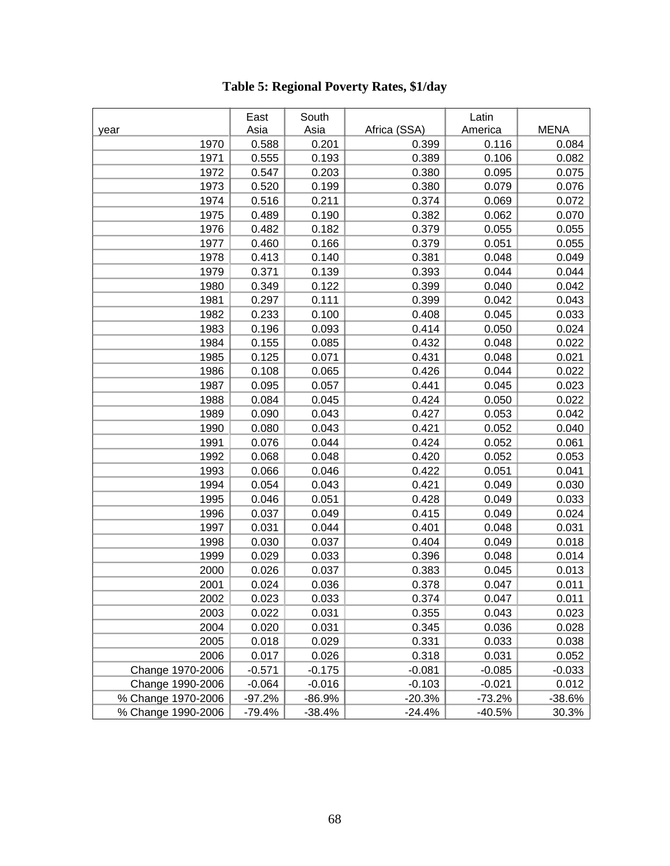|                    | East     | South    |              | Latin    |             |
|--------------------|----------|----------|--------------|----------|-------------|
| year               | Asia     | Asia     | Africa (SSA) | America  | <b>MENA</b> |
| 1970               | 0.588    | 0.201    | 0.399        | 0.116    | 0.084       |
| 1971               | 0.555    | 0.193    | 0.389        | 0.106    | 0.082       |
| 1972               | 0.547    | 0.203    | 0.380        | 0.095    | 0.075       |
| 1973               | 0.520    | 0.199    | 0.380        | 0.079    | 0.076       |
| 1974               | 0.516    | 0.211    | 0.374        | 0.069    | 0.072       |
| 1975               | 0.489    | 0.190    | 0.382        | 0.062    | 0.070       |
| 1976               | 0.482    | 0.182    | 0.379        | 0.055    | 0.055       |
| 1977               | 0.460    | 0.166    | 0.379        | 0.051    | 0.055       |
| 1978               | 0.413    | 0.140    | 0.381        | 0.048    | 0.049       |
| 1979               | 0.371    | 0.139    | 0.393        | 0.044    | 0.044       |
| 1980               | 0.349    | 0.122    | 0.399        | 0.040    | 0.042       |
| 1981               | 0.297    | 0.111    | 0.399        | 0.042    | 0.043       |
| 1982               | 0.233    | 0.100    | 0.408        | 0.045    | 0.033       |
| 1983               | 0.196    | 0.093    | 0.414        | 0.050    | 0.024       |
| 1984               | 0.155    | 0.085    | 0.432        | 0.048    | 0.022       |
| 1985               | 0.125    | 0.071    | 0.431        | 0.048    | 0.021       |
| 1986               | 0.108    | 0.065    | 0.426        | 0.044    | 0.022       |
| 1987               | 0.095    | 0.057    | 0.441        | 0.045    | 0.023       |
| 1988               | 0.084    | 0.045    | 0.424        | 0.050    | 0.022       |
| 1989               | 0.090    | 0.043    | 0.427        | 0.053    | 0.042       |
| 1990               | 0.080    | 0.043    | 0.421        | 0.052    | 0.040       |
| 1991               | 0.076    | 0.044    | 0.424        | 0.052    | 0.061       |
| 1992               | 0.068    | 0.048    | 0.420        | 0.052    | 0.053       |
| 1993               | 0.066    | 0.046    | 0.422        | 0.051    | 0.041       |
| 1994               | 0.054    | 0.043    | 0.421        | 0.049    | 0.030       |
| 1995               | 0.046    | 0.051    | 0.428        | 0.049    | 0.033       |
| 1996               | 0.037    | 0.049    | 0.415        | 0.049    | 0.024       |
| 1997               | 0.031    | 0.044    | 0.401        | 0.048    | 0.031       |
| 1998               | 0.030    | 0.037    | 0.404        | 0.049    | 0.018       |
| 1999               | 0.029    | 0.033    | 0.396        | 0.048    | 0.014       |
| 2000               | 0.026    | 0.037    | 0.383        | 0.045    | 0.013       |
| 2001               | 0.024    | 0.036    | 0.378        | 0.047    | 0.011       |
| 2002               | 0.023    | 0.033    | 0.374        | 0.047    | 0.011       |
| 2003               | 0.022    | 0.031    | 0.355        | 0.043    | 0.023       |
| 2004               | 0.020    | 0.031    | 0.345        | 0.036    | 0.028       |
| 2005               | 0.018    | 0.029    | 0.331        | 0.033    | 0.038       |
| 2006               | 0.017    | 0.026    | 0.318        | 0.031    | 0.052       |
| Change 1970-2006   | $-0.571$ | $-0.175$ | $-0.081$     | $-0.085$ | $-0.033$    |
| Change 1990-2006   | $-0.064$ | $-0.016$ | $-0.103$     | $-0.021$ | 0.012       |
| % Change 1970-2006 | $-97.2%$ | $-86.9%$ | $-20.3%$     | $-73.2%$ | $-38.6%$    |
| % Change 1990-2006 | $-79.4%$ | $-38.4%$ | $-24.4%$     | $-40.5%$ | 30.3%       |

# **Table 5: Regional Poverty Rates, \$1/day**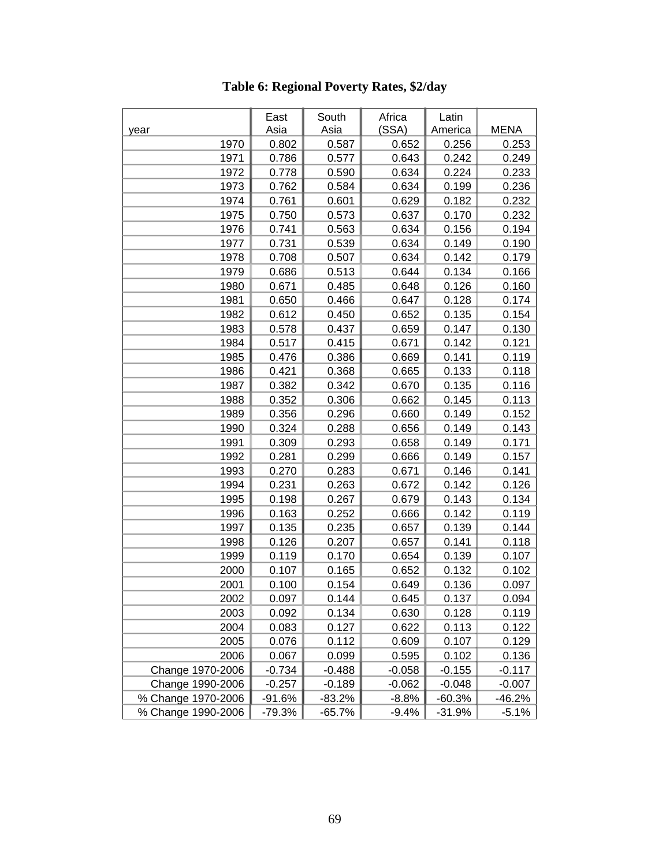|                    | East     | South    | Africa   | Latin    |             |
|--------------------|----------|----------|----------|----------|-------------|
| year               | Asia     | Asia     | (SSA)    | America  | <b>MENA</b> |
| 1970               | 0.802    | 0.587    | 0.652    | 0.256    | 0.253       |
| 1971               | 0.786    | 0.577    | 0.643    | 0.242    | 0.249       |
| 1972               | 0.778    | 0.590    | 0.634    | 0.224    | 0.233       |
| 1973               | 0.762    | 0.584    | 0.634    | 0.199    | 0.236       |
| 1974               | 0.761    | 0.601    | 0.629    | 0.182    | 0.232       |
| 1975               | 0.750    | 0.573    | 0.637    | 0.170    | 0.232       |
| 1976               | 0.741    | 0.563    | 0.634    | 0.156    | 0.194       |
| 1977               | 0.731    | 0.539    | 0.634    | 0.149    | 0.190       |
| 1978               | 0.708    | 0.507    | 0.634    | 0.142    | 0.179       |
| 1979               | 0.686    | 0.513    | 0.644    | 0.134    | 0.166       |
| 1980               | 0.671    | 0.485    | 0.648    | 0.126    | 0.160       |
| 1981               | 0.650    | 0.466    | 0.647    | 0.128    | 0.174       |
| 1982               | 0.612    | 0.450    | 0.652    | 0.135    | 0.154       |
| 1983               | 0.578    | 0.437    | 0.659    | 0.147    | 0.130       |
| 1984               | 0.517    | 0.415    | 0.671    | 0.142    | 0.121       |
| 1985               | 0.476    | 0.386    | 0.669    | 0.141    | 0.119       |
| 1986               | 0.421    | 0.368    | 0.665    | 0.133    | 0.118       |
| 1987               | 0.382    | 0.342    | 0.670    | 0.135    | 0.116       |
| 1988               | 0.352    | 0.306    | 0.662    | 0.145    | 0.113       |
| 1989               | 0.356    | 0.296    | 0.660    | 0.149    | 0.152       |
| 1990               | 0.324    | 0.288    | 0.656    | 0.149    | 0.143       |
| 1991               | 0.309    | 0.293    | 0.658    | 0.149    | 0.171       |
| 1992               | 0.281    | 0.299    | 0.666    | 0.149    | 0.157       |
| 1993               | 0.270    | 0.283    | 0.671    | 0.146    | 0.141       |
| 1994               | 0.231    | 0.263    | 0.672    | 0.142    | 0.126       |
| 1995               | 0.198    | 0.267    | 0.679    | 0.143    | 0.134       |
| 1996               | 0.163    | 0.252    | 0.666    | 0.142    | 0.119       |
| 1997               | 0.135    | 0.235    | 0.657    | 0.139    | 0.144       |
| 1998               | 0.126    | 0.207    | 0.657    | 0.141    | 0.118       |
| 1999               | 0.119    | 0.170    | 0.654    | 0.139    | 0.107       |
| 2000               | 0.107    | 0.165    | 0.652    | 0.132    | 0.102       |
| 2001               | 0.100    | 0.154    | 0.649    | 0.136    | 0.097       |
| 2002               | 0.097    | 0.144    | 0.645    | 0.137    | 0.094       |
| 2003               | 0.092    | 0.134    | 0.630    | 0.128    | 0.119       |
| 2004               | 0.083    | 0.127    | 0.622    | 0.113    | 0.122       |
| 2005               | 0.076    | 0.112    | 0.609    | 0.107    | 0.129       |
| 2006               | 0.067    | 0.099    | 0.595    | 0.102    | 0.136       |
| Change 1970-2006   | $-0.734$ | $-0.488$ | $-0.058$ | $-0.155$ | $-0.117$    |
| Change 1990-2006   | $-0.257$ | $-0.189$ | $-0.062$ | $-0.048$ | $-0.007$    |
| % Change 1970-2006 | $-91.6%$ | $-83.2%$ | $-8.8%$  | $-60.3%$ | $-46.2%$    |
| % Change 1990-2006 | $-79.3%$ | -65.7%   | $-9.4%$  | $-31.9%$ | $-5.1%$     |

**Table 6: Regional Poverty Rates, \$2/day**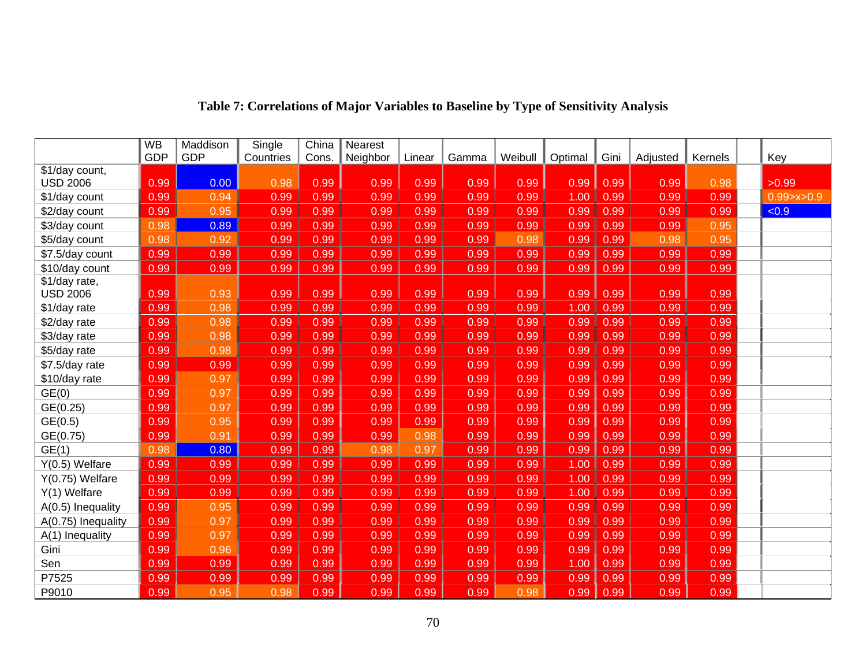|                                  | <b>WB</b>  | Maddison | Single    | China | Nearest  |        |       |         |         |      |          |         |                |
|----------------------------------|------------|----------|-----------|-------|----------|--------|-------|---------|---------|------|----------|---------|----------------|
|                                  | <b>GDP</b> | GDP      | Countries | Cons. | Neighbor | Linear | Gamma | Weibull | Optimal | Gini | Adjusted | Kernels | Key            |
| \$1/day count,                   |            |          |           |       |          |        |       |         |         |      |          |         |                |
| <b>USD 2006</b>                  | 0.99       | 0.00     | 0.98      | 0.99  | 0.99     | 0.99   | 0.99  | 0.99    | 0.99    | 0.99 | 0.99     | 0.98    | >0.99          |
| \$1/day count                    | 0.99       | 0.94     | 0.99      | 0.99  | 0.99     | 0.99   | 0.99  | 0.99    | 1.00    | 0.99 | 0.99     | 0.99    | 0.99 > x > 0.9 |
| \$2/day count                    | 0.99       | 0.95     | 0.99      | 0.99  | 0.99     | 0.99   | 0.99  | 0.99    | 0.99    | 0.99 | 0.99     | 0.99    | < 0.9          |
| \$3/day count                    | 0.98       | 0.89     | 0.99      | 0.99  | 0.99     | 0.99   | 0.99  | 0.99    | 0.99    | 0.99 | 0.99     | 0.95    |                |
| \$5/day count                    | 0.98       | 0.92     | 0.99      | 0.99  | 0.99     | 0.99   | 0.99  | 0.98    | 0.99    | 0.99 | 0.98     | 0.95    |                |
| \$7.5/day count                  | 0.99       | 0.99     | 0.99      | 0.99  | 0.99     | 0.99   | 0.99  | 0.99    | 0.99    | 0.99 | 0.99     | 0.99    |                |
| \$10/day count                   | 0.99       | 0.99     | 0.99      | 0.99  | 0.99     | 0.99   | 0.99  | 0.99    | 0.99    | 0.99 | 0.99     | 0.99    |                |
| \$1/day rate,<br><b>USD 2006</b> | 0.99       | 0.93     | 0.99      | 0.99  | 0.99     | 0.99   | 0.99  | 0.99    | 0.99    | 0.99 | 0.99     | 0.99    |                |
| \$1/day rate                     | 0.99       | 0.98     | 0.99      | 0.99  | 0.99     | 0.99   | 0.99  | 0.99    | 1.00    | 0.99 | 0.99     | 0.99    |                |
| \$2/day rate                     | 0.99       | 0.98     | 0.99      | 0.99  | 0.99     | 0.99   | 0.99  | 0.99    | 0.99    | 0.99 | 0.99     | 0.99    |                |
| \$3/day rate                     | 0.99       | 0.98     | 0.99      | 0.99  | 0.99     | 0.99   | 0.99  | 0.99    | 0.99    | 0.99 | 0.99     | 0.99    |                |
| \$5/day rate                     | 0.99       | 0.98     | 0.99      | 0.99  | 0.99     | 0.99   | 0.99  | 0.99    | 0.99    | 0.99 | 0.99     | 0.99    |                |
| \$7.5/day rate                   | 0.99       | 0.99     | 0.99      | 0.99  | 0.99     | 0.99   | 0.99  | 0.99    | 0.99    | 0.99 | 0.99     | 0.99    |                |
| \$10/day rate                    | 0.99       | 0.97     | 0.99      | 0.99  | 0.99     | 0.99   | 0.99  | 0.99    | 0.99    | 0.99 | 0.99     | 0.99    |                |
| GE(0)                            | 0.99       | 0.97     | 0.99      | 0.99  | 0.99     | 0.99   | 0.99  | 0.99    | 0.99    | 0.99 | 0.99     | 0.99    |                |
| GE(0.25)                         | 0.99       | 0.97     | 0.99      | 0.99  | 0.99     | 0.99   | 0.99  | 0.99    | 0.99    | 0.99 | 0.99     | 0.99    |                |
| GE(0.5)                          | 0.99       | 0.95     | 0.99      | 0.99  | 0.99     | 0.99   | 0.99  | 0.99    | 0.99    | 0.99 | 0.99     | 0.99    |                |
| GE(0.75)                         | 0.99       | 0.91     | 0.99      | 0.99  | 0.99     | 0.98   | 0.99  | 0.99    | 0.99    | 0.99 | 0.99     | 0.99    |                |
| GE(1)                            | 0.98       | 0.80     | 0.99      | 0.99  | 0.98     | 0.97   | 0.99  | 0.99    | 0.99    | 0.99 | 0.99     | 0.99    |                |
| Y(0.5) Welfare                   | 0.99       | 0.99     | 0.99      | 0.99  | 0.99     | 0.99   | 0.99  | 0.99    | 1.00    | 0.99 | 0.99     | 0.99    |                |
| Y(0.75) Welfare                  | 0.99       | 0.99     | 0.99      | 0.99  | 0.99     | 0.99   | 0.99  | 0.99    | 1.00    | 0.99 | 0.99     | 0.99    |                |
| Y(1) Welfare                     | 0.99       | 0.99     | 0.99      | 0.99  | 0.99     | 0.99   | 0.99  | 0.99    | 1.00    | 0.99 | 0.99     | 0.99    |                |
| A(0.5) Inequality                | 0.99       | 0.95     | 0.99      | 0.99  | 0.99     | 0.99   | 0.99  | 0.99    | 0.99    | 0.99 | 0.99     | 0.99    |                |
| A(0.75) Inequality               | 0.99       | 0.97     | 0.99      | 0.99  | 0.99     | 0.99   | 0.99  | 0.99    | 0.99    | 0.99 | 0.99     | 0.99    |                |
| A(1) Inequality                  | 0.99       | 0.97     | 0.99      | 0.99  | 0.99     | 0.99   | 0.99  | 0.99    | 0.99    | 0.99 | 0.99     | 0.99    |                |
| Gini                             | 0.99       | 0.96     | 0.99      | 0.99  | 0.99     | 0.99   | 0.99  | 0.99    | 0.99    | 0.99 | 0.99     | 0.99    |                |
| Sen                              | 0.99       | 0.99     | 0.99      | 0.99  | 0.99     | 0.99   | 0.99  | 0.99    | 1.00    | 0.99 | 0.99     | 0.99    |                |
| P7525                            | 0.99       | 0.99     | 0.99      | 0.99  | 0.99     | 0.99   | 0.99  | 0.99    | 0.99    | 0.99 | 0.99     | 0.99    |                |
| P9010                            | 0.99       | 0.95     | 0.98      | 0.99  | 0.99     | 0.99   | 0.99  | 0.98    | 0.99    | 0.99 | 0.99     | 0.99    |                |

# **Table 7: Correlations of Major Variables to Baseline by Type of Sensitivity Analysis**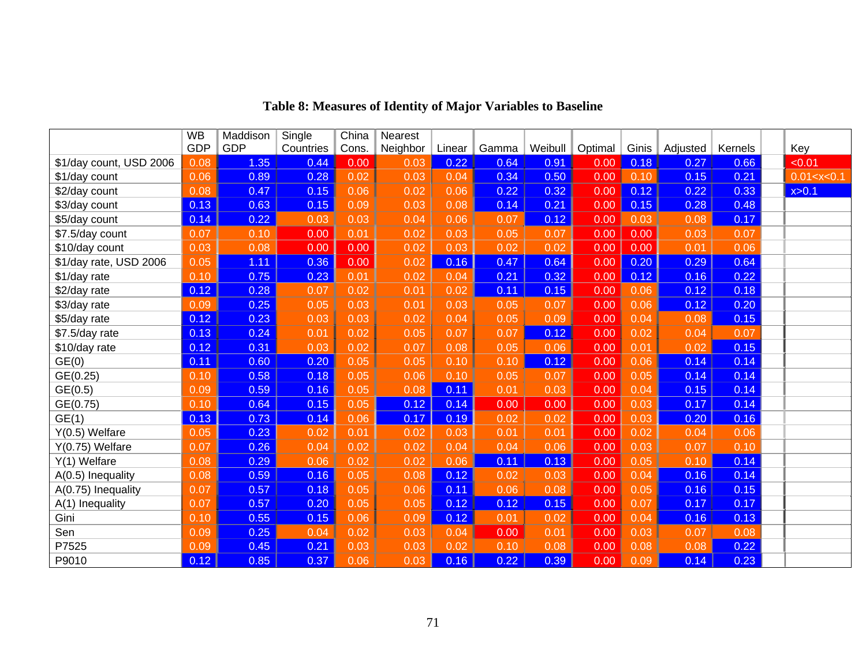|                         | <b>WB</b>  | Maddison   | Single    | China | Nearest  |        |       |         |         |       |          |         |                |
|-------------------------|------------|------------|-----------|-------|----------|--------|-------|---------|---------|-------|----------|---------|----------------|
|                         | <b>GDP</b> | <b>GDP</b> | Countries | Cons. | Neighbor | Linear | Gamma | Weibull | Optimal | Ginis | Adjusted | Kernels | Key            |
| \$1/day count, USD 2006 | 0.08       | 1.35       | 0.44      | 0.00  | 0.03     | 0.22   | 0.64  | 0.91    | 0.00    | 0.18  | 0.27     | 0.66    | < 0.01         |
| \$1/day count           | 0.06       | 0.89       | 0.28      | 0.02  | 0.03     | 0.04   | 0.34  | 0.50    | 0.00    | 0.10  | 0.15     | 0.21    | 0.01 < x < 0.1 |
| \$2/day count           | 0.08       | 0.47       | 0.15      | 0.06  | 0.02     | 0.06   | 0.22  | 0.32    | 0.00    | 0.12  | 0.22     | 0.33    | x > 0.1        |
| \$3/day count           | 0.13       | 0.63       | 0.15      | 0.09  | 0.03     | 0.08   | 0.14  | 0.21    | 0.00    | 0.15  | 0.28     | 0.48    |                |
| \$5/day count           | 0.14       | 0.22       | 0.03      | 0.03  | 0.04     | 0.06   | 0.07  | 0.12    | 0.00    | 0.03  | 0.08     | 0.17    |                |
| \$7.5/day count         | 0.07       | 0.10       | 0.00      | 0.01  | 0.02     | 0.03   | 0.05  | 0.07    | 0.00    | 0.00  | 0.03     | 0.07    |                |
| \$10/day count          | 0.03       | 0.08       | 0.00      | 0.00  | 0.02     | 0.03   | 0.02  | 0.02    | 0.00    | 0.00  | 0.01     | 0.06    |                |
| \$1/day rate, USD 2006  | 0.05       | 1.11       | 0.36      | 0.00  | 0.02     | 0.16   | 0.47  | 0.64    | 0.00    | 0.20  | 0.29     | 0.64    |                |
| \$1/day rate            | 0.10       | 0.75       | 0.23      | 0.01  | 0.02     | 0.04   | 0.21  | 0.32    | 0.00    | 0.12  | 0.16     | 0.22    |                |
| \$2/day rate            | 0.12       | 0.28       | 0.07      | 0.02  | 0.01     | 0.02   | 0.11  | 0.15    | 0.00    | 0.06  | 0.12     | 0.18    |                |
| \$3/day rate            | 0.09       | 0.25       | 0.05      | 0.03  | 0.01     | 0.03   | 0.05  | 0.07    | 0.00    | 0.06  | 0.12     | 0.20    |                |
| \$5/day rate            | 0.12       | 0.23       | 0.03      | 0.03  | 0.02     | 0.04   | 0.05  | 0.09    | 0.00    | 0.04  | 0.08     | 0.15    |                |
| \$7.5/day rate          | 0.13       | 0.24       | 0.01      | 0.02  | 0.05     | 0.07   | 0.07  | 0.12    | 0.00    | 0.02  | 0.04     | 0.07    |                |
| \$10/day rate           | 0.12       | 0.31       | 0.03      | 0.02  | 0.07     | 0.08   | 0.05  | 0.06    | 0.00    | 0.01  | 0.02     | 0.15    |                |
| GE(0)                   | 0.11       | 0.60       | 0.20      | 0.05  | 0.05     | 0.10   | 0.10  | 0.12    | 0.00    | 0.06  | 0.14     | 0.14    |                |
| GE(0.25)                | 0.10       | 0.58       | 0.18      | 0.05  | 0.06     | 0.10   | 0.05  | 0.07    | 0.00    | 0.05  | 0.14     | 0.14    |                |
| GE(0.5)                 | 0.09       | 0.59       | 0.16      | 0.05  | 0.08     | 0.11   | 0.01  | 0.03    | 0.00    | 0.04  | 0.15     | 0.14    |                |
| GE(0.75)                | 0.10       | 0.64       | 0.15      | 0.05  | 0.12     | 0.14   | 0.00  | 0.00    | 0.00    | 0.03  | 0.17     | 0.14    |                |
| GE(1)                   | 0.13       | 0.73       | 0.14      | 0.06  | 0.17     | 0.19   | 0.02  | 0.02    | 0.00    | 0.03  | 0.20     | 0.16    |                |
| $Y(0.5)$ Welfare        | 0.05       | 0.23       | 0.02      | 0.01  | 0.02     | 0.03   | 0.01  | 0.01    | 0.00    | 0.02  | 0.04     | 0.06    |                |
| Y(0.75) Welfare         | 0.07       | 0.26       | 0.04      | 0.02  | 0.02     | 0.04   | 0.04  | 0.06    | 0.00    | 0.03  | 0.07     | 0.10    |                |
| Y(1) Welfare            | 0.08       | 0.29       | 0.06      | 0.02  | 0.02     | 0.06   | 0.11  | 0.13    | 0.00    | 0.05  | 0.10     | 0.14    |                |
| A(0.5) Inequality       | 0.08       | 0.59       | 0.16      | 0.05  | 0.08     | 0.12   | 0.02  | 0.03    | 0.00    | 0.04  | 0.16     | 0.14    |                |
| A(0.75) Inequality      | 0.07       | 0.57       | 0.18      | 0.05  | 0.06     | 0.11   | 0.06  | 0.08    | 0.00    | 0.05  | 0.16     | 0.15    |                |
| A(1) Inequality         | 0.07       | 0.57       | 0.20      | 0.05  | 0.05     | 0.12   | 0.12  | 0.15    | 0.00    | 0.07  | 0.17     | 0.17    |                |
| Gini                    | 0.10       | 0.55       | 0.15      | 0.06  | 0.09     | 0.12   | 0.01  | 0.02    | 0.00    | 0.04  | 0.16     | 0.13    |                |
| Sen                     | 0.09       | 0.25       | 0.04      | 0.02  | 0.03     | 0.04   | 0.00  | 0.01    | 0.00    | 0.03  | 0.07     | 0.08    |                |
| P7525                   | 0.09       | 0.45       | 0.21      | 0.03  | 0.03     | 0.02   | 0.10  | 0.08    | 0.00    | 0.08  | 0.08     | 0.22    |                |
| P9010                   | 0.12       | 0.85       | 0.37      | 0.06  | 0.03     | 0.16   | 0.22  | 0.39    | 0.00    | 0.09  | 0.14     | 0.23    |                |

# **Table 8: Measures of Identity of Major Variables to Baseline**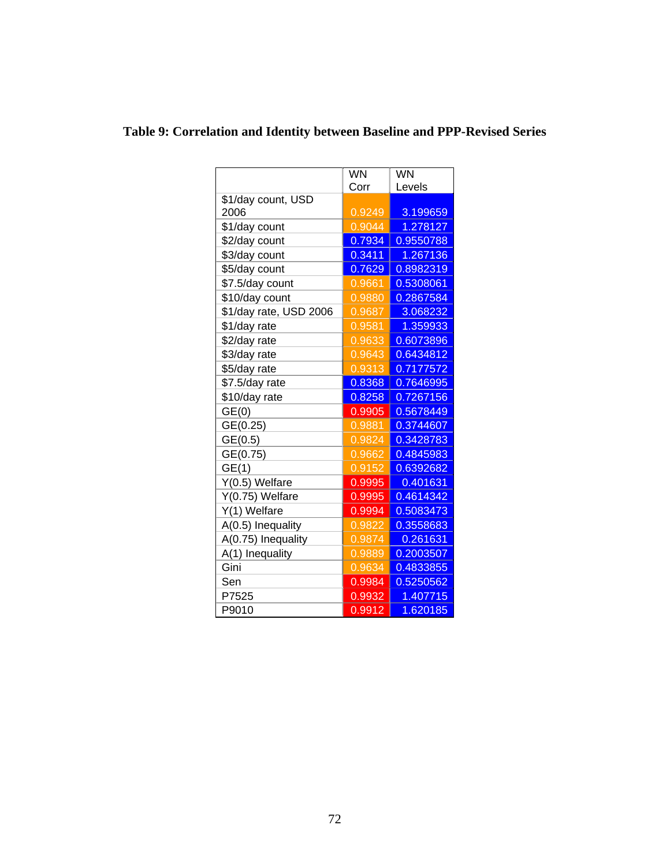|                        | <b>WN</b> | <b>WN</b> |  |  |
|------------------------|-----------|-----------|--|--|
|                        | Corr      | Levels    |  |  |
| \$1/day count, USD     |           |           |  |  |
| 2006                   | 0.9249    | 3.199659  |  |  |
| \$1/day count          | 0.9044    | 1.278127  |  |  |
| \$2/day count          | 0.7934    | 0.9550788 |  |  |
| \$3/day count          | 0.3411    | 1.267136  |  |  |
| \$5/day count          | 0.7629    | 0.8982319 |  |  |
| \$7.5/day count        | 0.9661    | 0.5308061 |  |  |
| \$10/day count         | 0.9880    | 0.2867584 |  |  |
| \$1/day rate, USD 2006 | 0.9687    | 3.068232  |  |  |
| \$1/day rate           | 0.9581    | 1.359933  |  |  |
| \$2/day rate           | 0.9633    | 0.6073896 |  |  |
| \$3/day rate           | 0.9643    | 0.6434812 |  |  |
| \$5/day rate           | 0.9313    | 0.7177572 |  |  |
| \$7.5/day rate         | 0.8368    | 0.7646995 |  |  |
| \$10/day rate          | 0.8258    | 0.7267156 |  |  |
| GE(0)                  | 0.9905    | 0.5678449 |  |  |
| GE(0.25)               | 0.9881    | 0.3744607 |  |  |
| GE(0.5)                | 0.9824    | 0.3428783 |  |  |
| GE(0.75)               | 0.9662    | 0.4845983 |  |  |
| GE(1)                  | 0.9152    | 0.6392682 |  |  |
| Y(0.5) Welfare         | 0.9995    | 0.401631  |  |  |
| Y(0.75) Welfare        | 0.9995    | 0.4614342 |  |  |
| Y(1) Welfare           | 0.9994    | 0.5083473 |  |  |
| A(0.5) Inequality      | 0.9822    | 0.3558683 |  |  |
| A(0.75) Inequality     | 0.9874    | 0.261631  |  |  |
| A(1) Inequality        | 0.9889    | 0.2003507 |  |  |
| Gini                   | 0.9634    | 0.4833855 |  |  |
| Sen                    | 0.9984    | 0.5250562 |  |  |
| P7525                  | 0.9932    | 1.407715  |  |  |
| P9010                  | 0.9912    | 1.620185  |  |  |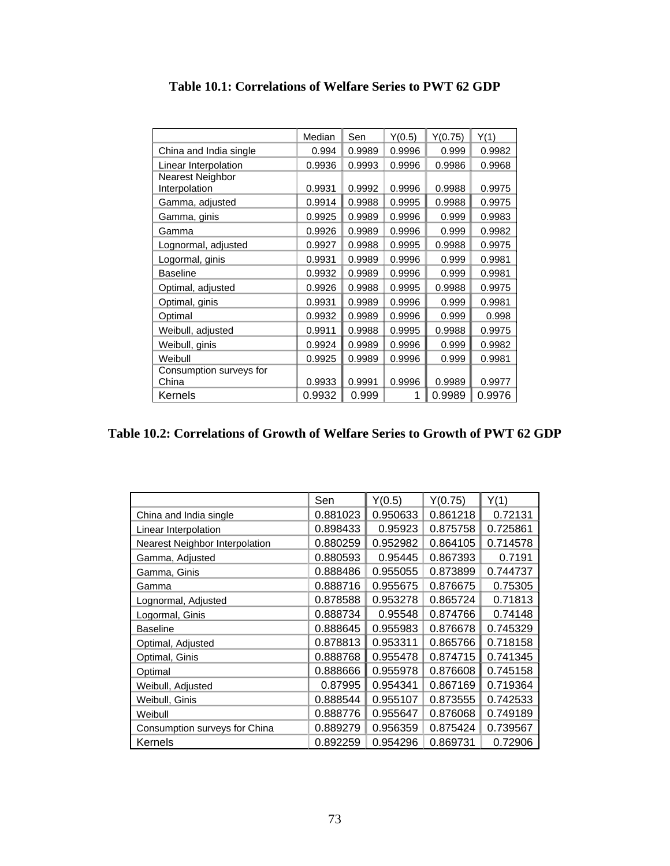|                         | Median | Sen    | Y(0.5) | Y(0.75) | Y(1)   |
|-------------------------|--------|--------|--------|---------|--------|
| China and India single  | 0.994  | 0.9989 | 0.9996 | 0.999   | 0.9982 |
| Linear Interpolation    | 0.9936 | 0.9993 | 0.9996 | 0.9986  | 0.9968 |
| Nearest Neighbor        |        |        |        |         |        |
| Interpolation           | 0.9931 | 0.9992 | 0.9996 | 0.9988  | 0.9975 |
| Gamma, adjusted         | 0.9914 | 0.9988 | 0.9995 | 0.9988  | 0.9975 |
| Gamma, ginis            | 0.9925 | 0.9989 | 0.9996 | 0.999   | 0.9983 |
| Gamma                   | 0.9926 | 0.9989 | 0.9996 | 0.999   | 0.9982 |
| Lognormal, adjusted     | 0.9927 | 0.9988 | 0.9995 | 0.9988  | 0.9975 |
| Logormal, ginis         | 0.9931 | 0.9989 | 0.9996 | 0.999   | 0.9981 |
| <b>Baseline</b>         | 0.9932 | 0.9989 | 0.9996 | 0.999   | 0.9981 |
| Optimal, adjusted       | 0.9926 | 0.9988 | 0.9995 | 0.9988  | 0.9975 |
| Optimal, ginis          | 0.9931 | 0.9989 | 0.9996 | 0.999   | 0.9981 |
| Optimal                 | 0.9932 | 0.9989 | 0.9996 | 0.999   | 0.998  |
| Weibull, adjusted       | 0.9911 | 0.9988 | 0.9995 | 0.9988  | 0.9975 |
| Weibull, ginis          | 0.9924 | 0.9989 | 0.9996 | 0.999   | 0.9982 |
| Weibull                 | 0.9925 | 0.9989 | 0.9996 | 0.999   | 0.9981 |
| Consumption surveys for |        |        |        |         |        |
| China                   | 0.9933 | 0.9991 | 0.9996 | 0.9989  | 0.9977 |
| Kernels                 | 0.9932 | 0.999  | 1      | 0.9989  | 0.9976 |

**Table 10.1: Correlations of Welfare Series to PWT 62 GDP** 

## **Table 10.2: Correlations of Growth of Welfare Series to Growth of PWT 62 GDP**

|                                | Sen      | Y(0.5)<br>Y(0.75) |          | Y(1)     |  |
|--------------------------------|----------|-------------------|----------|----------|--|
| China and India single         | 0.881023 | 0.950633          | 0.861218 | 0.72131  |  |
| Linear Interpolation           | 0.898433 | 0.95923           | 0.875758 | 0.725861 |  |
| Nearest Neighbor Interpolation | 0.880259 | 0.952982          | 0.864105 | 0.714578 |  |
| Gamma, Adjusted                | 0.880593 | 0.95445           | 0.867393 | 0.7191   |  |
| Gamma, Ginis                   | 0.888486 | 0.955055          | 0.873899 | 0.744737 |  |
| Gamma                          | 0.888716 | 0.955675          | 0.876675 | 0.75305  |  |
| Lognormal, Adjusted            | 0.878588 | 0.953278          | 0.865724 | 0.71813  |  |
| Logormal, Ginis                | 0.888734 | 0.95548           | 0.874766 | 0.74148  |  |
| <b>Baseline</b>                | 0.888645 | 0.955983          | 0.876678 | 0.745329 |  |
| Optimal, Adjusted              | 0.878813 | 0.953311          | 0.865766 | 0.718158 |  |
| Optimal, Ginis                 | 0.888768 | 0.955478          | 0.874715 | 0.741345 |  |
| Optimal                        | 0.888666 | 0.955978          | 0.876608 | 0.745158 |  |
| Weibull, Adjusted              | 0.87995  | 0.954341          | 0.867169 | 0.719364 |  |
| Weibull, Ginis                 | 0.888544 | 0.955107          | 0.873555 | 0.742533 |  |
| Weibull                        | 0.888776 | 0.955647          | 0.876068 | 0.749189 |  |
| Consumption surveys for China  | 0.889279 | 0.956359          | 0.875424 | 0.739567 |  |
| Kernels                        | 0.892259 | 0.954296          | 0.869731 | 0.72906  |  |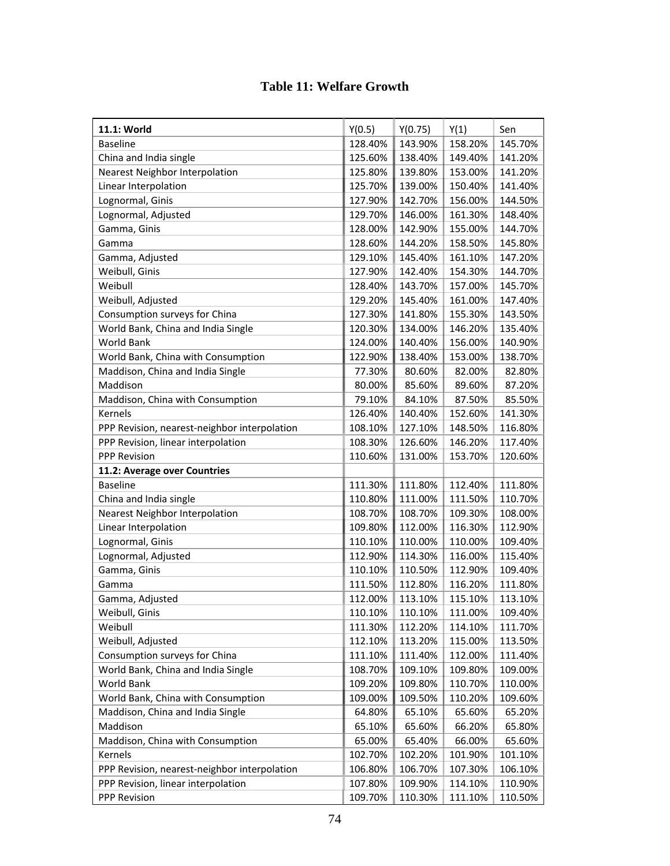## **Table 11: Welfare Growth**

| 11.1: World                                  | Y(0.5)  | Y(0.75) | Y(1)    | Sen     |
|----------------------------------------------|---------|---------|---------|---------|
| <b>Baseline</b>                              | 128.40% | 143.90% | 158.20% | 145.70% |
| China and India single                       | 125.60% | 138.40% | 149.40% | 141.20% |
| Nearest Neighbor Interpolation               | 125.80% | 139.80% | 153.00% | 141.20% |
| Linear Interpolation                         | 125.70% | 139.00% | 150.40% | 141.40% |
| Lognormal, Ginis                             | 127.90% | 142.70% | 156.00% | 144.50% |
| Lognormal, Adjusted                          | 129.70% | 146.00% | 161.30% | 148.40% |
| Gamma, Ginis                                 | 128.00% | 142.90% | 155.00% | 144.70% |
| Gamma                                        | 128.60% | 144.20% | 158.50% | 145.80% |
| Gamma, Adjusted                              | 129.10% | 145.40% | 161.10% | 147.20% |
| Weibull, Ginis                               | 127.90% | 142.40% | 154.30% | 144.70% |
| Weibull                                      | 128.40% | 143.70% | 157.00% | 145.70% |
| Weibull, Adjusted                            | 129.20% | 145.40% | 161.00% | 147.40% |
| Consumption surveys for China                | 127.30% | 141.80% | 155.30% | 143.50% |
| World Bank, China and India Single           | 120.30% | 134.00% | 146.20% | 135.40% |
| World Bank                                   | 124.00% | 140.40% | 156.00% | 140.90% |
| World Bank, China with Consumption           | 122.90% | 138.40% | 153.00% | 138.70% |
| Maddison, China and India Single             | 77.30%  | 80.60%  | 82.00%  | 82.80%  |
| Maddison                                     | 80.00%  | 85.60%  | 89.60%  | 87.20%  |
| Maddison, China with Consumption             | 79.10%  | 84.10%  | 87.50%  | 85.50%  |
| Kernels                                      | 126.40% | 140.40% | 152.60% | 141.30% |
| PPP Revision, nearest-neighbor interpolation | 108.10% | 127.10% | 148.50% | 116.80% |
| PPP Revision, linear interpolation           | 108.30% | 126.60% | 146.20% | 117.40% |
| <b>PPP Revision</b>                          | 110.60% | 131.00% | 153.70% | 120.60% |
| 11.2: Average over Countries                 |         |         |         |         |
| <b>Baseline</b>                              | 111.30% | 111.80% | 112.40% | 111.80% |
| China and India single                       | 110.80% | 111.00% | 111.50% | 110.70% |
| Nearest Neighbor Interpolation               | 108.70% | 108.70% | 109.30% | 108.00% |
| Linear Interpolation                         | 109.80% | 112.00% | 116.30% | 112.90% |
| Lognormal, Ginis                             | 110.10% | 110.00% | 110.00% | 109.40% |
| Lognormal, Adjusted                          | 112.90% | 114.30% | 116.00% | 115.40% |
| Gamma, Ginis                                 | 110.10% | 110.50% | 112.90% | 109.40% |
| Gamma                                        | 111.50% | 112.80% | 116.20% | 111.80% |
| Gamma, Adjusted                              | 112.00% | 113.10% | 115.10% | 113.10% |
| Weibull, Ginis                               | 110.10% | 110.10% | 111.00% | 109.40% |
| Weibull                                      | 111.30% | 112.20% | 114.10% | 111.70% |
| Weibull, Adjusted                            | 112.10% | 113.20% | 115.00% | 113.50% |
| Consumption surveys for China                | 111.10% | 111.40% | 112.00% | 111.40% |
| World Bank, China and India Single           | 108.70% | 109.10% | 109.80% | 109.00% |
| World Bank                                   | 109.20% | 109.80% | 110.70% | 110.00% |
| World Bank, China with Consumption           | 109.00% | 109.50% | 110.20% | 109.60% |
| Maddison, China and India Single             | 64.80%  | 65.10%  | 65.60%  | 65.20%  |
| Maddison                                     | 65.10%  | 65.60%  | 66.20%  | 65.80%  |
| Maddison, China with Consumption             | 65.00%  | 65.40%  | 66.00%  | 65.60%  |
| Kernels                                      | 102.70% | 102.20% | 101.90% | 101.10% |
| PPP Revision, nearest-neighbor interpolation | 106.80% | 106.70% | 107.30% | 106.10% |
| PPP Revision, linear interpolation           | 107.80% | 109.90% | 114.10% | 110.90% |
| PPP Revision                                 | 109.70% | 110.30% | 111.10% | 110.50% |